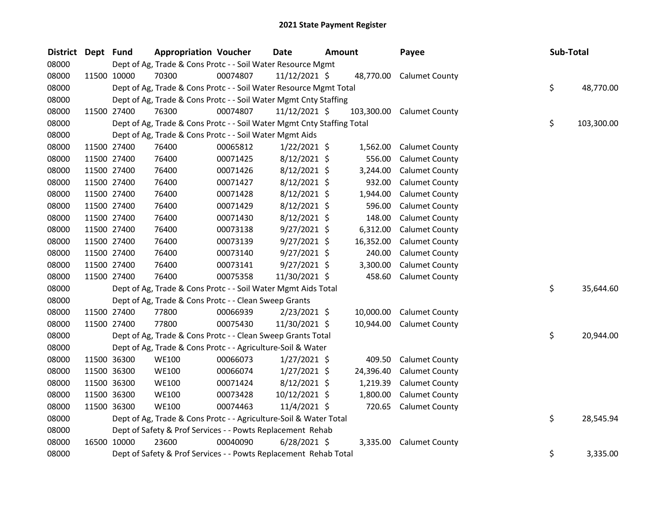| <b>District</b> | Dept Fund |             | <b>Appropriation Voucher</b>                                           |          | <b>Date</b>     | <b>Amount</b> |           | Payee                     | Sub-Total |            |
|-----------------|-----------|-------------|------------------------------------------------------------------------|----------|-----------------|---------------|-----------|---------------------------|-----------|------------|
| 08000           |           |             | Dept of Ag, Trade & Cons Protc - - Soil Water Resource Mgmt            |          |                 |               |           |                           |           |            |
| 08000           |           | 11500 10000 | 70300                                                                  | 00074807 | 11/12/2021 \$   |               |           | 48,770.00 Calumet County  |           |            |
| 08000           |           |             | Dept of Ag, Trade & Cons Protc - - Soil Water Resource Mgmt Total      |          |                 |               |           |                           | \$        | 48,770.00  |
| 08000           |           |             | Dept of Ag, Trade & Cons Protc - - Soil Water Mgmt Cnty Staffing       |          |                 |               |           |                           |           |            |
| 08000           |           | 11500 27400 | 76300                                                                  | 00074807 | $11/12/2021$ \$ |               |           | 103,300.00 Calumet County |           |            |
| 08000           |           |             | Dept of Ag, Trade & Cons Protc - - Soil Water Mgmt Cnty Staffing Total |          |                 |               |           |                           | \$.       | 103,300.00 |
| 08000           |           |             | Dept of Ag, Trade & Cons Protc - - Soil Water Mgmt Aids                |          |                 |               |           |                           |           |            |
| 08000           |           | 11500 27400 | 76400                                                                  | 00065812 | $1/22/2021$ \$  |               | 1,562.00  | <b>Calumet County</b>     |           |            |
| 08000           |           | 11500 27400 | 76400                                                                  | 00071425 | 8/12/2021 \$    |               | 556.00    | <b>Calumet County</b>     |           |            |
| 08000           |           | 11500 27400 | 76400                                                                  | 00071426 | $8/12/2021$ \$  |               | 3,244.00  | <b>Calumet County</b>     |           |            |
| 08000           |           | 11500 27400 | 76400                                                                  | 00071427 | $8/12/2021$ \$  |               | 932.00    | <b>Calumet County</b>     |           |            |
| 08000           |           | 11500 27400 | 76400                                                                  | 00071428 | 8/12/2021 \$    |               | 1,944.00  | <b>Calumet County</b>     |           |            |
| 08000           |           | 11500 27400 | 76400                                                                  | 00071429 | $8/12/2021$ \$  |               | 596.00    | <b>Calumet County</b>     |           |            |
| 08000           |           | 11500 27400 | 76400                                                                  | 00071430 | 8/12/2021 \$    |               | 148.00    | <b>Calumet County</b>     |           |            |
| 08000           |           | 11500 27400 | 76400                                                                  | 00073138 | $9/27/2021$ \$  |               | 6,312.00  | <b>Calumet County</b>     |           |            |
| 08000           |           | 11500 27400 | 76400                                                                  | 00073139 | $9/27/2021$ \$  |               | 16,352.00 | <b>Calumet County</b>     |           |            |
| 08000           |           | 11500 27400 | 76400                                                                  | 00073140 | $9/27/2021$ \$  |               | 240.00    | <b>Calumet County</b>     |           |            |
| 08000           |           | 11500 27400 | 76400                                                                  | 00073141 | $9/27/2021$ \$  |               | 3,300.00  | <b>Calumet County</b>     |           |            |
| 08000           |           | 11500 27400 | 76400                                                                  | 00075358 | 11/30/2021 \$   |               | 458.60    | <b>Calumet County</b>     |           |            |
| 08000           |           |             | Dept of Ag, Trade & Cons Protc - - Soil Water Mgmt Aids Total          |          |                 |               |           |                           | \$        | 35,644.60  |
| 08000           |           |             | Dept of Ag, Trade & Cons Protc - - Clean Sweep Grants                  |          |                 |               |           |                           |           |            |
| 08000           |           | 11500 27400 | 77800                                                                  | 00066939 | 2/23/2021 \$    |               | 10,000.00 | <b>Calumet County</b>     |           |            |
| 08000           |           | 11500 27400 | 77800                                                                  | 00075430 | 11/30/2021 \$   |               | 10,944.00 | <b>Calumet County</b>     |           |            |
| 08000           |           |             | Dept of Ag, Trade & Cons Protc - - Clean Sweep Grants Total            |          |                 |               |           |                           | \$        | 20,944.00  |
| 08000           |           |             | Dept of Ag, Trade & Cons Protc - - Agriculture-Soil & Water            |          |                 |               |           |                           |           |            |
| 08000           |           | 11500 36300 | <b>WE100</b>                                                           | 00066073 | $1/27/2021$ \$  |               | 409.50    | <b>Calumet County</b>     |           |            |
| 08000           |           | 11500 36300 | <b>WE100</b>                                                           | 00066074 | $1/27/2021$ \$  |               | 24,396.40 | <b>Calumet County</b>     |           |            |
| 08000           |           | 11500 36300 | <b>WE100</b>                                                           | 00071424 | 8/12/2021 \$    |               | 1,219.39  | <b>Calumet County</b>     |           |            |
| 08000           |           | 11500 36300 | <b>WE100</b>                                                           | 00073428 | 10/12/2021 \$   |               | 1,800.00  | <b>Calumet County</b>     |           |            |
| 08000           |           | 11500 36300 | <b>WE100</b>                                                           | 00074463 | 11/4/2021 \$    |               |           | 720.65 Calumet County     |           |            |
| 08000           |           |             | Dept of Ag, Trade & Cons Protc - - Agriculture-Soil & Water Total      |          |                 |               |           |                           | \$        | 28,545.94  |
| 08000           |           |             | Dept of Safety & Prof Services - - Powts Replacement Rehab             |          |                 |               |           |                           |           |            |
| 08000           |           | 16500 10000 | 23600                                                                  | 00040090 | $6/28/2021$ \$  |               | 3,335.00  | <b>Calumet County</b>     |           |            |
| 08000           |           |             | Dept of Safety & Prof Services - - Powts Replacement Rehab Total       |          |                 |               |           |                           | \$        | 3,335.00   |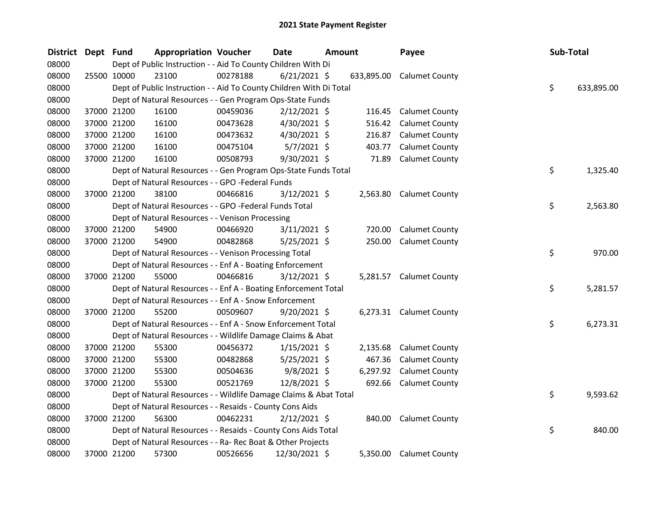| <b>District</b> | Dept Fund |             | <b>Appropriation Voucher</b>                                        |          | <b>Date</b>    | <b>Amount</b> |          | Payee                     | Sub-Total |            |
|-----------------|-----------|-------------|---------------------------------------------------------------------|----------|----------------|---------------|----------|---------------------------|-----------|------------|
| 08000           |           |             | Dept of Public Instruction - - Aid To County Children With Di       |          |                |               |          |                           |           |            |
| 08000           |           | 25500 10000 | 23100                                                               | 00278188 | $6/21/2021$ \$ |               |          | 633,895.00 Calumet County |           |            |
| 08000           |           |             | Dept of Public Instruction - - Aid To County Children With Di Total |          |                |               |          |                           | \$        | 633,895.00 |
| 08000           |           |             | Dept of Natural Resources - - Gen Program Ops-State Funds           |          |                |               |          |                           |           |            |
| 08000           |           | 37000 21200 | 16100                                                               | 00459036 | $2/12/2021$ \$ |               |          | 116.45 Calumet County     |           |            |
| 08000           |           | 37000 21200 | 16100                                                               | 00473628 | $4/30/2021$ \$ |               | 516.42   | <b>Calumet County</b>     |           |            |
| 08000           |           | 37000 21200 | 16100                                                               | 00473632 | 4/30/2021 \$   |               | 216.87   | <b>Calumet County</b>     |           |            |
| 08000           |           | 37000 21200 | 16100                                                               | 00475104 | $5/7/2021$ \$  |               | 403.77   | <b>Calumet County</b>     |           |            |
| 08000           |           | 37000 21200 | 16100                                                               | 00508793 | 9/30/2021 \$   |               | 71.89    | <b>Calumet County</b>     |           |            |
| 08000           |           |             | Dept of Natural Resources - - Gen Program Ops-State Funds Total     |          |                |               |          |                           | \$        | 1,325.40   |
| 08000           |           |             | Dept of Natural Resources - - GPO -Federal Funds                    |          |                |               |          |                           |           |            |
| 08000           |           | 37000 21200 | 38100                                                               | 00466816 | $3/12/2021$ \$ |               |          | 2,563.80 Calumet County   |           |            |
| 08000           |           |             | Dept of Natural Resources - - GPO -Federal Funds Total              |          |                |               |          |                           | \$        | 2,563.80   |
| 08000           |           |             | Dept of Natural Resources - - Venison Processing                    |          |                |               |          |                           |           |            |
| 08000           |           | 37000 21200 | 54900                                                               | 00466920 | $3/11/2021$ \$ |               | 720.00   | <b>Calumet County</b>     |           |            |
| 08000           |           | 37000 21200 | 54900                                                               | 00482868 | 5/25/2021 \$   |               | 250.00   | <b>Calumet County</b>     |           |            |
| 08000           |           |             | Dept of Natural Resources - - Venison Processing Total              |          |                |               |          |                           | \$        | 970.00     |
| 08000           |           |             | Dept of Natural Resources - - Enf A - Boating Enforcement           |          |                |               |          |                           |           |            |
| 08000           |           | 37000 21200 | 55000                                                               | 00466816 | $3/12/2021$ \$ |               |          | 5,281.57 Calumet County   |           |            |
| 08000           |           |             | Dept of Natural Resources - - Enf A - Boating Enforcement Total     |          |                |               |          |                           | \$        | 5,281.57   |
| 08000           |           |             | Dept of Natural Resources - - Enf A - Snow Enforcement              |          |                |               |          |                           |           |            |
| 08000           |           | 37000 21200 | 55200                                                               | 00509607 | $9/20/2021$ \$ |               |          | 6,273.31 Calumet County   |           |            |
| 08000           |           |             | Dept of Natural Resources - - Enf A - Snow Enforcement Total        |          |                |               |          |                           | \$        | 6,273.31   |
| 08000           |           |             | Dept of Natural Resources - - Wildlife Damage Claims & Abat         |          |                |               |          |                           |           |            |
| 08000           |           | 37000 21200 | 55300                                                               | 00456372 | $1/15/2021$ \$ |               | 2,135.68 | <b>Calumet County</b>     |           |            |
| 08000           |           | 37000 21200 | 55300                                                               | 00482868 | $5/25/2021$ \$ |               | 467.36   | <b>Calumet County</b>     |           |            |
| 08000           |           | 37000 21200 | 55300                                                               | 00504636 | $9/8/2021$ \$  |               | 6,297.92 | <b>Calumet County</b>     |           |            |
| 08000           |           | 37000 21200 | 55300                                                               | 00521769 | 12/8/2021 \$   |               | 692.66   | <b>Calumet County</b>     |           |            |
| 08000           |           |             | Dept of Natural Resources - - Wildlife Damage Claims & Abat Total   |          |                |               |          |                           | \$        | 9,593.62   |
| 08000           |           |             | Dept of Natural Resources - - Resaids - County Cons Aids            |          |                |               |          |                           |           |            |
| 08000           |           | 37000 21200 | 56300                                                               | 00462231 | $2/12/2021$ \$ |               | 840.00   | <b>Calumet County</b>     |           |            |
| 08000           |           |             | Dept of Natural Resources - - Resaids - County Cons Aids Total      |          |                |               |          |                           | \$        | 840.00     |
| 08000           |           |             | Dept of Natural Resources - - Ra- Rec Boat & Other Projects         |          |                |               |          |                           |           |            |
| 08000           |           | 37000 21200 | 57300                                                               | 00526656 | 12/30/2021 \$  |               |          | 5,350.00 Calumet County   |           |            |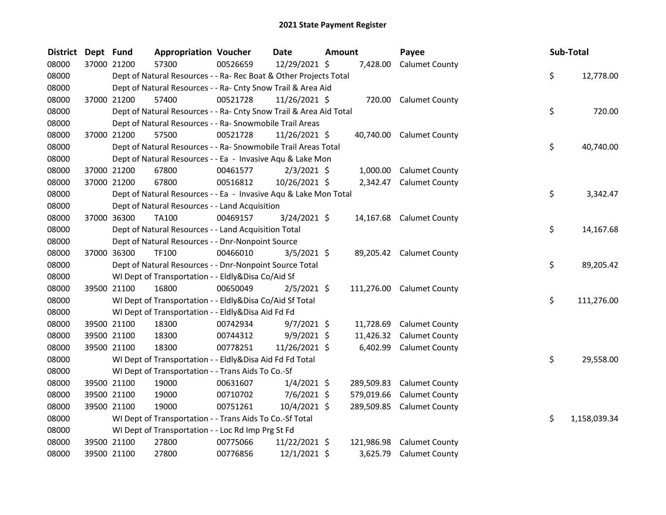| District Dept Fund |             | <b>Appropriation Voucher</b>                                       |          | Date           | Amount |            | Payee                     | Sub-Total          |
|--------------------|-------------|--------------------------------------------------------------------|----------|----------------|--------|------------|---------------------------|--------------------|
| 08000              | 37000 21200 | 57300                                                              | 00526659 | 12/29/2021 \$  |        | 7,428.00   | <b>Calumet County</b>     |                    |
| 08000              |             | Dept of Natural Resources - - Ra- Rec Boat & Other Projects Total  |          |                |        |            |                           | \$<br>12,778.00    |
| 08000              |             | Dept of Natural Resources - - Ra- Cnty Snow Trail & Area Aid       |          |                |        |            |                           |                    |
| 08000              | 37000 21200 | 57400                                                              | 00521728 | 11/26/2021 \$  |        |            | 720.00 Calumet County     |                    |
| 08000              |             | Dept of Natural Resources - - Ra- Cnty Snow Trail & Area Aid Total |          |                |        |            |                           | \$<br>720.00       |
| 08000              |             | Dept of Natural Resources - - Ra- Snowmobile Trail Areas           |          |                |        |            |                           |                    |
| 08000              | 37000 21200 | 57500                                                              | 00521728 | 11/26/2021 \$  |        |            | 40,740.00 Calumet County  |                    |
| 08000              |             | Dept of Natural Resources - - Ra- Snowmobile Trail Areas Total     |          |                |        |            |                           | \$<br>40,740.00    |
| 08000              |             | Dept of Natural Resources - - Ea - Invasive Aqu & Lake Mon         |          |                |        |            |                           |                    |
| 08000              | 37000 21200 | 67800                                                              | 00461577 | $2/3/2021$ \$  |        | 1,000.00   | <b>Calumet County</b>     |                    |
| 08000              | 37000 21200 | 67800                                                              | 00516812 | 10/26/2021 \$  |        |            | 2,342.47 Calumet County   |                    |
| 08000              |             | Dept of Natural Resources - - Ea - Invasive Aqu & Lake Mon Total   |          |                |        |            |                           | \$<br>3,342.47     |
| 08000              |             | Dept of Natural Resources - - Land Acquisition                     |          |                |        |            |                           |                    |
| 08000              | 37000 36300 | TA100                                                              | 00469157 | $3/24/2021$ \$ |        |            | 14,167.68 Calumet County  |                    |
| 08000              |             | Dept of Natural Resources - - Land Acquisition Total               |          |                |        |            |                           | \$<br>14,167.68    |
| 08000              |             | Dept of Natural Resources - - Dnr-Nonpoint Source                  |          |                |        |            |                           |                    |
| 08000              | 37000 36300 | <b>TF100</b>                                                       | 00466010 | $3/5/2021$ \$  |        |            | 89,205.42 Calumet County  |                    |
| 08000              |             | Dept of Natural Resources - - Dnr-Nonpoint Source Total            |          |                |        |            |                           | \$<br>89,205.42    |
| 08000              |             | WI Dept of Transportation - - Eldly&Disa Co/Aid Sf                 |          |                |        |            |                           |                    |
| 08000              | 39500 21100 | 16800                                                              | 00650049 | $2/5/2021$ \$  |        |            | 111,276.00 Calumet County |                    |
| 08000              |             | WI Dept of Transportation - - Eldly&Disa Co/Aid Sf Total           |          |                |        |            |                           | \$<br>111,276.00   |
| 08000              |             | WI Dept of Transportation - - Eldly&Disa Aid Fd Fd                 |          |                |        |            |                           |                    |
| 08000              | 39500 21100 | 18300                                                              | 00742934 | $9/7/2021$ \$  |        | 11,728.69  | <b>Calumet County</b>     |                    |
| 08000              | 39500 21100 | 18300                                                              | 00744312 | 9/9/2021 \$    |        | 11,426.32  | <b>Calumet County</b>     |                    |
| 08000              | 39500 21100 | 18300                                                              | 00778251 | 11/26/2021 \$  |        | 6,402.99   | <b>Calumet County</b>     |                    |
| 08000              |             | WI Dept of Transportation - - Eldly&Disa Aid Fd Fd Total           |          |                |        |            |                           | \$<br>29,558.00    |
| 08000              |             | WI Dept of Transportation - - Trans Aids To Co.-Sf                 |          |                |        |            |                           |                    |
| 08000              | 39500 21100 | 19000                                                              | 00631607 | $1/4/2021$ \$  |        | 289,509.83 | <b>Calumet County</b>     |                    |
| 08000              | 39500 21100 | 19000                                                              | 00710702 | $7/6/2021$ \$  |        | 579,019.66 | <b>Calumet County</b>     |                    |
| 08000              | 39500 21100 | 19000                                                              | 00751261 | 10/4/2021 \$   |        |            | 289,509.85 Calumet County |                    |
| 08000              |             | WI Dept of Transportation - - Trans Aids To Co.-Sf Total           |          |                |        |            |                           | \$<br>1,158,039.34 |
| 08000              |             | WI Dept of Transportation - - Loc Rd Imp Prg St Fd                 |          |                |        |            |                           |                    |
| 08000              | 39500 21100 | 27800                                                              | 00775066 | 11/22/2021 \$  |        | 121,986.98 | <b>Calumet County</b>     |                    |
| 08000              | 39500 21100 | 27800                                                              | 00776856 | 12/1/2021 \$   |        | 3,625.79   | <b>Calumet County</b>     |                    |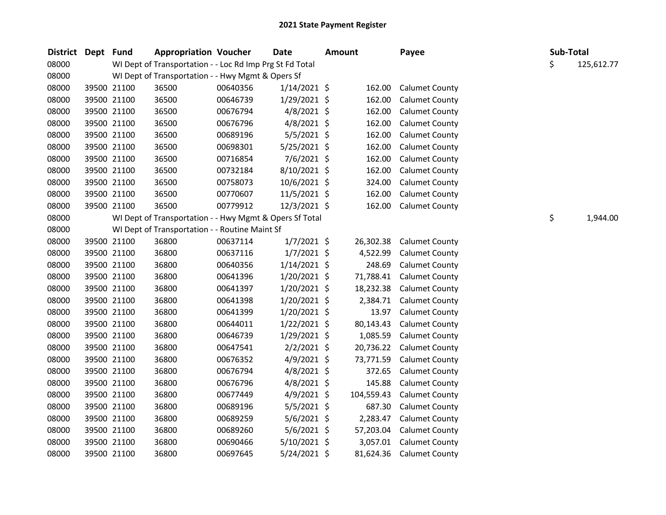| District Dept Fund |             |             | <b>Appropriation Voucher</b>                             |          | <b>Date</b>    | <b>Amount</b> |            | Payee                 | Sub-Total        |          |
|--------------------|-------------|-------------|----------------------------------------------------------|----------|----------------|---------------|------------|-----------------------|------------------|----------|
| 08000              |             |             | WI Dept of Transportation - - Loc Rd Imp Prg St Fd Total |          |                |               |            |                       | \$<br>125,612.77 |          |
| 08000              |             |             | WI Dept of Transportation - - Hwy Mgmt & Opers Sf        |          |                |               |            |                       |                  |          |
| 08000              |             | 39500 21100 | 36500                                                    | 00640356 | $1/14/2021$ \$ |               | 162.00     | <b>Calumet County</b> |                  |          |
| 08000              |             | 39500 21100 | 36500                                                    | 00646739 | $1/29/2021$ \$ |               | 162.00     | <b>Calumet County</b> |                  |          |
| 08000              |             | 39500 21100 | 36500                                                    | 00676794 | $4/8/2021$ \$  |               | 162.00     | <b>Calumet County</b> |                  |          |
| 08000              |             | 39500 21100 | 36500                                                    | 00676796 | $4/8/2021$ \$  |               | 162.00     | <b>Calumet County</b> |                  |          |
| 08000              |             | 39500 21100 | 36500                                                    | 00689196 | $5/5/2021$ \$  |               | 162.00     | <b>Calumet County</b> |                  |          |
| 08000              |             | 39500 21100 | 36500                                                    | 00698301 | $5/25/2021$ \$ |               | 162.00     | <b>Calumet County</b> |                  |          |
| 08000              |             | 39500 21100 | 36500                                                    | 00716854 | $7/6/2021$ \$  |               | 162.00     | <b>Calumet County</b> |                  |          |
| 08000              |             | 39500 21100 | 36500                                                    | 00732184 | 8/10/2021 \$   |               | 162.00     | <b>Calumet County</b> |                  |          |
| 08000              |             | 39500 21100 | 36500                                                    | 00758073 | 10/6/2021 \$   |               | 324.00     | <b>Calumet County</b> |                  |          |
| 08000              |             | 39500 21100 | 36500                                                    | 00770607 | 11/5/2021 \$   |               | 162.00     | <b>Calumet County</b> |                  |          |
| 08000              |             | 39500 21100 | 36500                                                    | 00779912 | 12/3/2021 \$   |               | 162.00     | <b>Calumet County</b> |                  |          |
| 08000              |             |             | WI Dept of Transportation - - Hwy Mgmt & Opers Sf Total  |          |                |               |            |                       | \$               | 1,944.00 |
| 08000              |             |             | WI Dept of Transportation - - Routine Maint Sf           |          |                |               |            |                       |                  |          |
| 08000              |             | 39500 21100 | 36800                                                    | 00637114 | $1/7/2021$ \$  |               | 26,302.38  | <b>Calumet County</b> |                  |          |
| 08000              |             | 39500 21100 | 36800                                                    | 00637116 | $1/7/2021$ \$  |               | 4,522.99   | <b>Calumet County</b> |                  |          |
| 08000              |             | 39500 21100 | 36800                                                    | 00640356 | $1/14/2021$ \$ |               | 248.69     | <b>Calumet County</b> |                  |          |
| 08000              |             | 39500 21100 | 36800                                                    | 00641396 | $1/20/2021$ \$ |               | 71,788.41  | <b>Calumet County</b> |                  |          |
| 08000              |             | 39500 21100 | 36800                                                    | 00641397 | $1/20/2021$ \$ |               | 18,232.38  | <b>Calumet County</b> |                  |          |
| 08000              |             | 39500 21100 | 36800                                                    | 00641398 | $1/20/2021$ \$ |               | 2,384.71   | <b>Calumet County</b> |                  |          |
| 08000              |             | 39500 21100 | 36800                                                    | 00641399 | 1/20/2021 \$   |               | 13.97      | <b>Calumet County</b> |                  |          |
| 08000              |             | 39500 21100 | 36800                                                    | 00644011 | $1/22/2021$ \$ |               | 80,143.43  | <b>Calumet County</b> |                  |          |
| 08000              |             | 39500 21100 | 36800                                                    | 00646739 | 1/29/2021 \$   |               | 1,085.59   | <b>Calumet County</b> |                  |          |
| 08000              |             | 39500 21100 | 36800                                                    | 00647541 | $2/2/2021$ \$  |               | 20,736.22  | <b>Calumet County</b> |                  |          |
| 08000              |             | 39500 21100 | 36800                                                    | 00676352 | $4/9/2021$ \$  |               | 73,771.59  | <b>Calumet County</b> |                  |          |
| 08000              |             | 39500 21100 | 36800                                                    | 00676794 | $4/8/2021$ \$  |               | 372.65     | <b>Calumet County</b> |                  |          |
| 08000              |             | 39500 21100 | 36800                                                    | 00676796 | $4/8/2021$ \$  |               | 145.88     | <b>Calumet County</b> |                  |          |
| 08000              |             | 39500 21100 | 36800                                                    | 00677449 | $4/9/2021$ \$  |               | 104,559.43 | <b>Calumet County</b> |                  |          |
| 08000              |             | 39500 21100 | 36800                                                    | 00689196 | $5/5/2021$ \$  |               | 687.30     | <b>Calumet County</b> |                  |          |
| 08000              |             | 39500 21100 | 36800                                                    | 00689259 | $5/6/2021$ \$  |               | 2,283.47   | <b>Calumet County</b> |                  |          |
| 08000              |             | 39500 21100 | 36800                                                    | 00689260 | $5/6/2021$ \$  |               | 57,203.04  | <b>Calumet County</b> |                  |          |
| 08000              |             | 39500 21100 | 36800                                                    | 00690466 | $5/10/2021$ \$ |               | 3,057.01   | <b>Calumet County</b> |                  |          |
| 08000              | 39500 21100 |             | 36800                                                    | 00697645 | 5/24/2021 \$   |               | 81,624.36  | <b>Calumet County</b> |                  |          |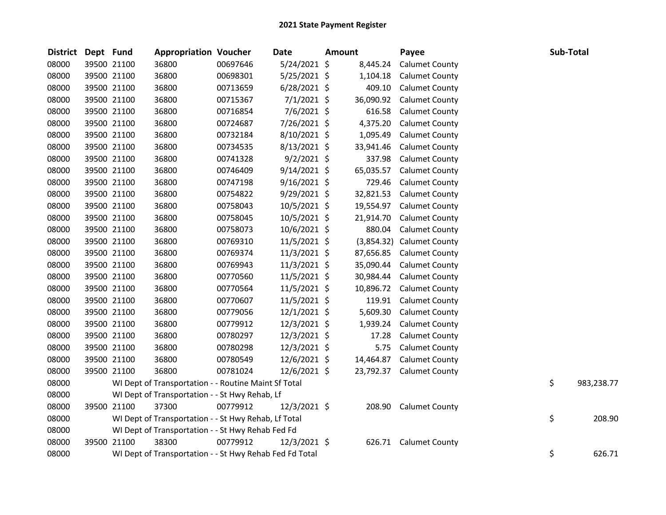| District | Dept Fund |             | <b>Appropriation Voucher</b>                            |          | <b>Date</b>    | <b>Amount</b> | Payee                     |    | Sub-Total  |
|----------|-----------|-------------|---------------------------------------------------------|----------|----------------|---------------|---------------------------|----|------------|
| 08000    |           | 39500 21100 | 36800                                                   | 00697646 | 5/24/2021 \$   | 8,445.24      | <b>Calumet County</b>     |    |            |
| 08000    |           | 39500 21100 | 36800                                                   | 00698301 | 5/25/2021 \$   | 1,104.18      | <b>Calumet County</b>     |    |            |
| 08000    |           | 39500 21100 | 36800                                                   | 00713659 | $6/28/2021$ \$ | 409.10        | <b>Calumet County</b>     |    |            |
| 08000    |           | 39500 21100 | 36800                                                   | 00715367 | $7/1/2021$ \$  | 36,090.92     | <b>Calumet County</b>     |    |            |
| 08000    |           | 39500 21100 | 36800                                                   | 00716854 | 7/6/2021 \$    | 616.58        | <b>Calumet County</b>     |    |            |
| 08000    |           | 39500 21100 | 36800                                                   | 00724687 | 7/26/2021 \$   | 4,375.20      | <b>Calumet County</b>     |    |            |
| 08000    |           | 39500 21100 | 36800                                                   | 00732184 | 8/10/2021 \$   | 1,095.49      | <b>Calumet County</b>     |    |            |
| 08000    |           | 39500 21100 | 36800                                                   | 00734535 | $8/13/2021$ \$ | 33,941.46     | <b>Calumet County</b>     |    |            |
| 08000    |           | 39500 21100 | 36800                                                   | 00741328 | $9/2/2021$ \$  | 337.98        | <b>Calumet County</b>     |    |            |
| 08000    |           | 39500 21100 | 36800                                                   | 00746409 | $9/14/2021$ \$ | 65,035.57     | <b>Calumet County</b>     |    |            |
| 08000    |           | 39500 21100 | 36800                                                   | 00747198 | $9/16/2021$ \$ | 729.46        | <b>Calumet County</b>     |    |            |
| 08000    |           | 39500 21100 | 36800                                                   | 00754822 | $9/29/2021$ \$ | 32,821.53     | <b>Calumet County</b>     |    |            |
| 08000    |           | 39500 21100 | 36800                                                   | 00758043 | $10/5/2021$ \$ | 19,554.97     | <b>Calumet County</b>     |    |            |
| 08000    |           | 39500 21100 | 36800                                                   | 00758045 | 10/5/2021 \$   | 21,914.70     | <b>Calumet County</b>     |    |            |
| 08000    |           | 39500 21100 | 36800                                                   | 00758073 | $10/6/2021$ \$ | 880.04        | <b>Calumet County</b>     |    |            |
| 08000    |           | 39500 21100 | 36800                                                   | 00769310 | $11/5/2021$ \$ |               | (3,854.32) Calumet County |    |            |
| 08000    |           | 39500 21100 | 36800                                                   | 00769374 | 11/3/2021 \$   | 87,656.85     | <b>Calumet County</b>     |    |            |
| 08000    |           | 39500 21100 | 36800                                                   | 00769943 | 11/3/2021 \$   | 35,090.44     | <b>Calumet County</b>     |    |            |
| 08000    |           | 39500 21100 | 36800                                                   | 00770560 | $11/5/2021$ \$ | 30,984.44     | <b>Calumet County</b>     |    |            |
| 08000    |           | 39500 21100 | 36800                                                   | 00770564 | $11/5/2021$ \$ | 10,896.72     | <b>Calumet County</b>     |    |            |
| 08000    |           | 39500 21100 | 36800                                                   | 00770607 | 11/5/2021 \$   | 119.91        | <b>Calumet County</b>     |    |            |
| 08000    |           | 39500 21100 | 36800                                                   | 00779056 | $12/1/2021$ \$ | 5,609.30      | <b>Calumet County</b>     |    |            |
| 08000    |           | 39500 21100 | 36800                                                   | 00779912 | 12/3/2021 \$   | 1,939.24      | <b>Calumet County</b>     |    |            |
| 08000    |           | 39500 21100 | 36800                                                   | 00780297 | 12/3/2021 \$   | 17.28         | <b>Calumet County</b>     |    |            |
| 08000    |           | 39500 21100 | 36800                                                   | 00780298 | 12/3/2021 \$   | 5.75          | <b>Calumet County</b>     |    |            |
| 08000    |           | 39500 21100 | 36800                                                   | 00780549 | $12/6/2021$ \$ | 14,464.87     | <b>Calumet County</b>     |    |            |
| 08000    |           | 39500 21100 | 36800                                                   | 00781024 | 12/6/2021 \$   | 23,792.37     | <b>Calumet County</b>     |    |            |
| 08000    |           |             | WI Dept of Transportation - - Routine Maint Sf Total    |          |                |               |                           | \$ | 983,238.77 |
| 08000    |           |             | WI Dept of Transportation - - St Hwy Rehab, Lf          |          |                |               |                           |    |            |
| 08000    |           | 39500 21100 | 37300                                                   | 00779912 | $12/3/2021$ \$ | 208.90        | <b>Calumet County</b>     |    |            |
| 08000    |           |             | WI Dept of Transportation - - St Hwy Rehab, Lf Total    |          |                |               |                           | \$ | 208.90     |
| 08000    |           |             | WI Dept of Transportation - - St Hwy Rehab Fed Fd       |          |                |               |                           |    |            |
| 08000    |           | 39500 21100 | 38300                                                   | 00779912 | $12/3/2021$ \$ | 626.71        | <b>Calumet County</b>     |    |            |
| 08000    |           |             | WI Dept of Transportation - - St Hwy Rehab Fed Fd Total |          |                |               |                           | \$ | 626.71     |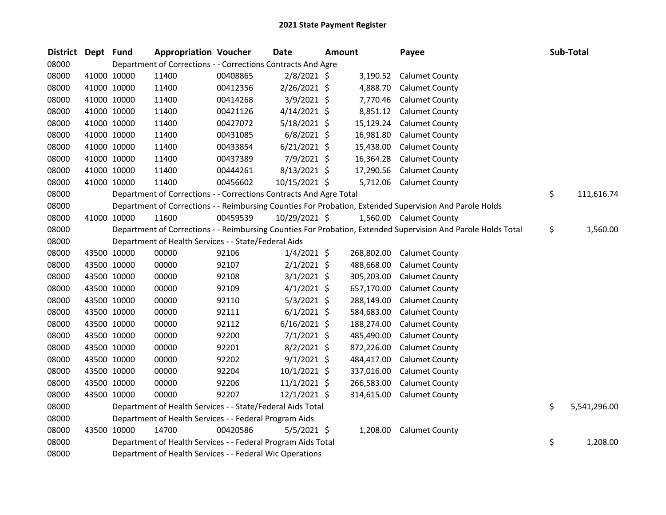| <b>District</b> | Dept Fund |             | <b>Appropriation Voucher</b>                                       |          | <b>Date</b>    | <b>Amount</b> |            | Payee                                                                                                         | Sub-Total          |
|-----------------|-----------|-------------|--------------------------------------------------------------------|----------|----------------|---------------|------------|---------------------------------------------------------------------------------------------------------------|--------------------|
| 08000           |           |             | Department of Corrections - - Corrections Contracts And Agre       |          |                |               |            |                                                                                                               |                    |
| 08000           |           | 41000 10000 | 11400                                                              | 00408865 | 2/8/2021 \$    |               | 3,190.52   | <b>Calumet County</b>                                                                                         |                    |
| 08000           |           | 41000 10000 | 11400                                                              | 00412356 | 2/26/2021 \$   |               | 4,888.70   | <b>Calumet County</b>                                                                                         |                    |
| 08000           |           | 41000 10000 | 11400                                                              | 00414268 | $3/9/2021$ \$  |               | 7,770.46   | <b>Calumet County</b>                                                                                         |                    |
| 08000           |           | 41000 10000 | 11400                                                              | 00421126 | $4/14/2021$ \$ |               | 8,851.12   | <b>Calumet County</b>                                                                                         |                    |
| 08000           |           | 41000 10000 | 11400                                                              | 00427072 | 5/18/2021 \$   |               | 15,129.24  | <b>Calumet County</b>                                                                                         |                    |
| 08000           |           | 41000 10000 | 11400                                                              | 00431085 | $6/8/2021$ \$  |               | 16,981.80  | <b>Calumet County</b>                                                                                         |                    |
| 08000           |           | 41000 10000 | 11400                                                              | 00433854 | $6/21/2021$ \$ |               | 15,438.00  | <b>Calumet County</b>                                                                                         |                    |
| 08000           |           | 41000 10000 | 11400                                                              | 00437389 | 7/9/2021 \$    |               | 16,364.28  | <b>Calumet County</b>                                                                                         |                    |
| 08000           |           | 41000 10000 | 11400                                                              | 00444261 | 8/13/2021 \$   |               | 17,290.56  | <b>Calumet County</b>                                                                                         |                    |
| 08000           |           | 41000 10000 | 11400                                                              | 00456602 | 10/15/2021 \$  |               |            | 5,712.06 Calumet County                                                                                       |                    |
| 08000           |           |             | Department of Corrections - - Corrections Contracts And Agre Total |          |                |               |            |                                                                                                               | \$<br>111,616.74   |
| 08000           |           |             |                                                                    |          |                |               |            | Department of Corrections - - Reimbursing Counties For Probation, Extended Supervision And Parole Holds       |                    |
| 08000           |           | 41000 10000 | 11600                                                              | 00459539 | 10/29/2021 \$  |               |            | 1,560.00 Calumet County                                                                                       |                    |
| 08000           |           |             |                                                                    |          |                |               |            | Department of Corrections - - Reimbursing Counties For Probation, Extended Supervision And Parole Holds Total | \$<br>1,560.00     |
| 08000           |           |             | Department of Health Services - - State/Federal Aids               |          |                |               |            |                                                                                                               |                    |
| 08000           |           | 43500 10000 | 00000                                                              | 92106    | $1/4/2021$ \$  |               | 268,802.00 | <b>Calumet County</b>                                                                                         |                    |
| 08000           |           | 43500 10000 | 00000                                                              | 92107    | $2/1/2021$ \$  |               | 488,668.00 | <b>Calumet County</b>                                                                                         |                    |
| 08000           |           | 43500 10000 | 00000                                                              | 92108    | $3/1/2021$ \$  |               | 305,203.00 | <b>Calumet County</b>                                                                                         |                    |
| 08000           |           | 43500 10000 | 00000                                                              | 92109    | $4/1/2021$ \$  |               | 657,170.00 | <b>Calumet County</b>                                                                                         |                    |
| 08000           |           | 43500 10000 | 00000                                                              | 92110    | $5/3/2021$ \$  |               | 288,149.00 | <b>Calumet County</b>                                                                                         |                    |
| 08000           |           | 43500 10000 | 00000                                                              | 92111    | $6/1/2021$ \$  |               | 584,683.00 | <b>Calumet County</b>                                                                                         |                    |
| 08000           |           | 43500 10000 | 00000                                                              | 92112    | $6/16/2021$ \$ |               | 188,274.00 | <b>Calumet County</b>                                                                                         |                    |
| 08000           |           | 43500 10000 | 00000                                                              | 92200    | $7/1/2021$ \$  |               | 485,490.00 | <b>Calumet County</b>                                                                                         |                    |
| 08000           |           | 43500 10000 | 00000                                                              | 92201    | $8/2/2021$ \$  |               | 872,226.00 | <b>Calumet County</b>                                                                                         |                    |
| 08000           |           | 43500 10000 | 00000                                                              | 92202    | $9/1/2021$ \$  |               | 484,417.00 | <b>Calumet County</b>                                                                                         |                    |
| 08000           |           | 43500 10000 | 00000                                                              | 92204    | $10/1/2021$ \$ |               | 337,016.00 | <b>Calumet County</b>                                                                                         |                    |
| 08000           |           | 43500 10000 | 00000                                                              | 92206    | $11/1/2021$ \$ |               | 266,583.00 | <b>Calumet County</b>                                                                                         |                    |
| 08000           |           | 43500 10000 | 00000                                                              | 92207    | 12/1/2021 \$   |               | 314,615.00 | <b>Calumet County</b>                                                                                         |                    |
| 08000           |           |             | Department of Health Services - - State/Federal Aids Total         |          |                |               |            |                                                                                                               | \$<br>5,541,296.00 |
| 08000           |           |             | Department of Health Services - - Federal Program Aids             |          |                |               |            |                                                                                                               |                    |
| 08000           |           | 43500 10000 | 14700                                                              | 00420586 | $5/5/2021$ \$  |               | 1,208.00   | <b>Calumet County</b>                                                                                         |                    |
| 08000           |           |             | Department of Health Services - - Federal Program Aids Total       |          |                |               |            |                                                                                                               | \$<br>1,208.00     |
| 08000           |           |             | Department of Health Services - - Federal Wic Operations           |          |                |               |            |                                                                                                               |                    |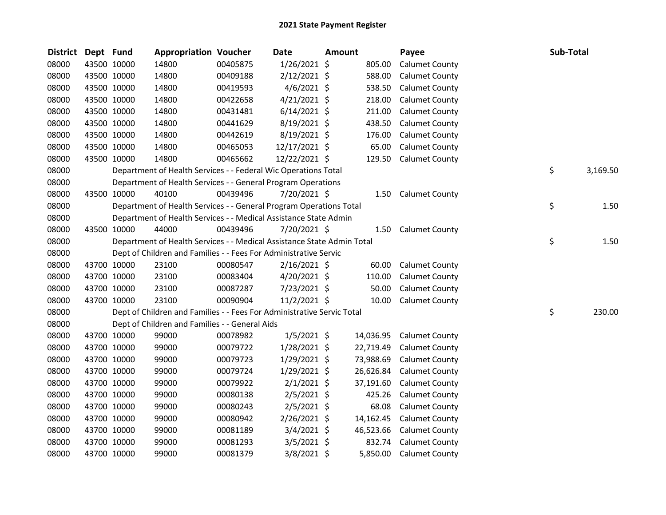| <b>District</b> | Dept Fund |             | <b>Appropriation Voucher</b>                                           |          | Date           | <b>Amount</b> |           | Payee                 | Sub-Total      |
|-----------------|-----------|-------------|------------------------------------------------------------------------|----------|----------------|---------------|-----------|-----------------------|----------------|
| 08000           |           | 43500 10000 | 14800                                                                  | 00405875 | $1/26/2021$ \$ |               | 805.00    | <b>Calumet County</b> |                |
| 08000           |           | 43500 10000 | 14800                                                                  | 00409188 | $2/12/2021$ \$ |               | 588.00    | <b>Calumet County</b> |                |
| 08000           |           | 43500 10000 | 14800                                                                  | 00419593 | 4/6/2021 \$    |               | 538.50    | <b>Calumet County</b> |                |
| 08000           |           | 43500 10000 | 14800                                                                  | 00422658 | $4/21/2021$ \$ |               | 218.00    | <b>Calumet County</b> |                |
| 08000           |           | 43500 10000 | 14800                                                                  | 00431481 | $6/14/2021$ \$ |               | 211.00    | <b>Calumet County</b> |                |
| 08000           |           | 43500 10000 | 14800                                                                  | 00441629 | 8/19/2021 \$   |               | 438.50    | Calumet County        |                |
| 08000           |           | 43500 10000 | 14800                                                                  | 00442619 | 8/19/2021 \$   |               | 176.00    | <b>Calumet County</b> |                |
| 08000           |           | 43500 10000 | 14800                                                                  | 00465053 | 12/17/2021 \$  |               | 65.00     | <b>Calumet County</b> |                |
| 08000           |           | 43500 10000 | 14800                                                                  | 00465662 | 12/22/2021 \$  |               | 129.50    | <b>Calumet County</b> |                |
| 08000           |           |             | Department of Health Services - - Federal Wic Operations Total         |          |                |               |           |                       | \$<br>3,169.50 |
| 08000           |           |             | Department of Health Services - - General Program Operations           |          |                |               |           |                       |                |
| 08000           |           | 43500 10000 | 40100                                                                  | 00439496 | 7/20/2021 \$   |               | 1.50      | <b>Calumet County</b> |                |
| 08000           |           |             | Department of Health Services - - General Program Operations Total     |          |                |               |           |                       | \$<br>1.50     |
| 08000           |           |             | Department of Health Services - - Medical Assistance State Admin       |          |                |               |           |                       |                |
| 08000           |           | 43500 10000 | 44000                                                                  | 00439496 | 7/20/2021 \$   |               | 1.50      | <b>Calumet County</b> |                |
| 08000           |           |             | Department of Health Services - - Medical Assistance State Admin Total |          |                |               |           |                       | \$<br>1.50     |
| 08000           |           |             | Dept of Children and Families - - Fees For Administrative Servic       |          |                |               |           |                       |                |
| 08000           |           | 43700 10000 | 23100                                                                  | 00080547 | $2/16/2021$ \$ |               | 60.00     | <b>Calumet County</b> |                |
| 08000           |           | 43700 10000 | 23100                                                                  | 00083404 | $4/20/2021$ \$ |               | 110.00    | <b>Calumet County</b> |                |
| 08000           |           | 43700 10000 | 23100                                                                  | 00087287 | 7/23/2021 \$   |               | 50.00     | <b>Calumet County</b> |                |
| 08000           |           | 43700 10000 | 23100                                                                  | 00090904 | $11/2/2021$ \$ |               | 10.00     | <b>Calumet County</b> |                |
| 08000           |           |             | Dept of Children and Families - - Fees For Administrative Servic Total |          |                |               |           |                       | \$<br>230.00   |
| 08000           |           |             | Dept of Children and Families - - General Aids                         |          |                |               |           |                       |                |
| 08000           |           | 43700 10000 | 99000                                                                  | 00078982 | $1/5/2021$ \$  |               | 14,036.95 | <b>Calumet County</b> |                |
| 08000           |           | 43700 10000 | 99000                                                                  | 00079722 | 1/28/2021 \$   |               | 22,719.49 | <b>Calumet County</b> |                |
| 08000           |           | 43700 10000 | 99000                                                                  | 00079723 | 1/29/2021 \$   |               | 73,988.69 | <b>Calumet County</b> |                |
| 08000           |           | 43700 10000 | 99000                                                                  | 00079724 | $1/29/2021$ \$ |               | 26,626.84 | <b>Calumet County</b> |                |
| 08000           |           | 43700 10000 | 99000                                                                  | 00079922 | $2/1/2021$ \$  |               | 37,191.60 | <b>Calumet County</b> |                |
| 08000           |           | 43700 10000 | 99000                                                                  | 00080138 | $2/5/2021$ \$  |               | 425.26    | <b>Calumet County</b> |                |
| 08000           |           | 43700 10000 | 99000                                                                  | 00080243 | $2/5/2021$ \$  |               | 68.08     | <b>Calumet County</b> |                |
| 08000           |           | 43700 10000 | 99000                                                                  | 00080942 | 2/26/2021 \$   |               | 14,162.45 | <b>Calumet County</b> |                |
| 08000           |           | 43700 10000 | 99000                                                                  | 00081189 | 3/4/2021 \$    |               | 46,523.66 | <b>Calumet County</b> |                |
| 08000           |           | 43700 10000 | 99000                                                                  | 00081293 | $3/5/2021$ \$  |               | 832.74    | <b>Calumet County</b> |                |
| 08000           |           | 43700 10000 | 99000                                                                  | 00081379 | 3/8/2021 \$    |               | 5,850.00  | <b>Calumet County</b> |                |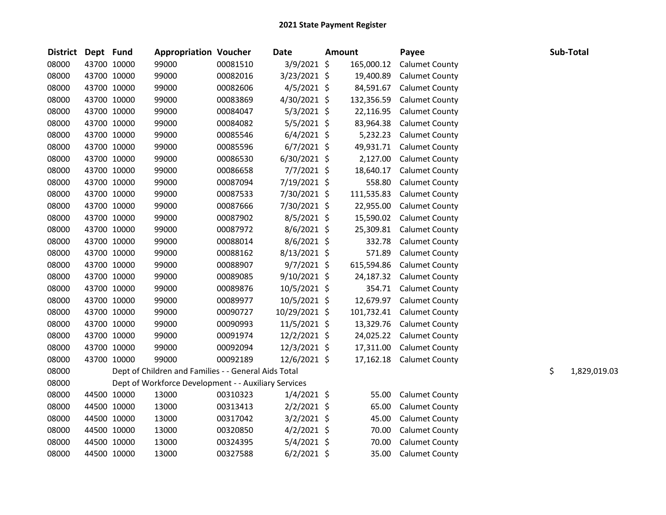| <b>District</b> | Dept Fund   |             | <b>Appropriation Voucher</b>                         |          | <b>Date</b>    | <b>Amount</b> |            | Payee                 |    | Sub-Total    |
|-----------------|-------------|-------------|------------------------------------------------------|----------|----------------|---------------|------------|-----------------------|----|--------------|
| 08000           | 43700 10000 |             | 99000                                                | 00081510 | 3/9/2021 \$    |               | 165,000.12 | <b>Calumet County</b> |    |              |
| 08000           | 43700 10000 |             | 99000                                                | 00082016 | 3/23/2021 \$   |               | 19,400.89  | <b>Calumet County</b> |    |              |
| 08000           | 43700 10000 |             | 99000                                                | 00082606 | $4/5/2021$ \$  |               | 84,591.67  | <b>Calumet County</b> |    |              |
| 08000           | 43700 10000 |             | 99000                                                | 00083869 | 4/30/2021 \$   |               | 132,356.59 | <b>Calumet County</b> |    |              |
| 08000           | 43700 10000 |             | 99000                                                | 00084047 | $5/3/2021$ \$  |               | 22,116.95  | <b>Calumet County</b> |    |              |
| 08000           | 43700 10000 |             | 99000                                                | 00084082 | $5/5/2021$ \$  |               | 83,964.38  | <b>Calumet County</b> |    |              |
| 08000           | 43700 10000 |             | 99000                                                | 00085546 | $6/4/2021$ \$  |               | 5,232.23   | <b>Calumet County</b> |    |              |
| 08000           | 43700 10000 |             | 99000                                                | 00085596 | $6/7/2021$ \$  |               | 49,931.71  | <b>Calumet County</b> |    |              |
| 08000           | 43700 10000 |             | 99000                                                | 00086530 | 6/30/2021 \$   |               | 2,127.00   | <b>Calumet County</b> |    |              |
| 08000           | 43700 10000 |             | 99000                                                | 00086658 | $7/7/2021$ \$  |               | 18,640.17  | <b>Calumet County</b> |    |              |
| 08000           | 43700 10000 |             | 99000                                                | 00087094 | 7/19/2021 \$   |               | 558.80     | <b>Calumet County</b> |    |              |
| 08000           | 43700 10000 |             | 99000                                                | 00087533 | 7/30/2021 \$   |               | 111,535.83 | <b>Calumet County</b> |    |              |
| 08000           | 43700 10000 |             | 99000                                                | 00087666 | 7/30/2021 \$   |               | 22,955.00  | <b>Calumet County</b> |    |              |
| 08000           | 43700 10000 |             | 99000                                                | 00087902 | $8/5/2021$ \$  |               | 15,590.02  | <b>Calumet County</b> |    |              |
| 08000           | 43700 10000 |             | 99000                                                | 00087972 | $8/6/2021$ \$  |               | 25,309.81  | <b>Calumet County</b> |    |              |
| 08000           | 43700 10000 |             | 99000                                                | 00088014 | $8/6/2021$ \$  |               | 332.78     | <b>Calumet County</b> |    |              |
| 08000           | 43700 10000 |             | 99000                                                | 00088162 | 8/13/2021 \$   |               | 571.89     | <b>Calumet County</b> |    |              |
| 08000           | 43700 10000 |             | 99000                                                | 00088907 | $9/7/2021$ \$  |               | 615,594.86 | <b>Calumet County</b> |    |              |
| 08000           | 43700 10000 |             | 99000                                                | 00089085 | 9/10/2021 \$   |               | 24,187.32  | <b>Calumet County</b> |    |              |
| 08000           | 43700 10000 |             | 99000                                                | 00089876 | 10/5/2021 \$   |               | 354.71     | <b>Calumet County</b> |    |              |
| 08000           | 43700 10000 |             | 99000                                                | 00089977 | 10/5/2021 \$   |               | 12,679.97  | <b>Calumet County</b> |    |              |
| 08000           | 43700 10000 |             | 99000                                                | 00090727 | 10/29/2021 \$  |               | 101,732.41 | <b>Calumet County</b> |    |              |
| 08000           | 43700 10000 |             | 99000                                                | 00090993 | $11/5/2021$ \$ |               | 13,329.76  | <b>Calumet County</b> |    |              |
| 08000           | 43700 10000 |             | 99000                                                | 00091974 | 12/2/2021 \$   |               | 24,025.22  | <b>Calumet County</b> |    |              |
| 08000           | 43700 10000 |             | 99000                                                | 00092094 | 12/3/2021 \$   |               | 17,311.00  | <b>Calumet County</b> |    |              |
| 08000           | 43700 10000 |             | 99000                                                | 00092189 | 12/6/2021 \$   |               | 17,162.18  | <b>Calumet County</b> |    |              |
| 08000           |             |             | Dept of Children and Families - - General Aids Total |          |                |               |            |                       | \$ | 1,829,019.03 |
| 08000           |             |             | Dept of Workforce Development - - Auxiliary Services |          |                |               |            |                       |    |              |
| 08000           | 44500 10000 |             | 13000                                                | 00310323 | $1/4/2021$ \$  |               | 55.00      | <b>Calumet County</b> |    |              |
| 08000           | 44500 10000 |             | 13000                                                | 00313413 | $2/2/2021$ \$  |               | 65.00      | <b>Calumet County</b> |    |              |
| 08000           |             | 44500 10000 | 13000                                                | 00317042 | $3/2/2021$ \$  |               | 45.00      | <b>Calumet County</b> |    |              |
| 08000           | 44500 10000 |             | 13000                                                | 00320850 | $4/2/2021$ \$  |               | 70.00      | <b>Calumet County</b> |    |              |
| 08000           |             | 44500 10000 | 13000                                                | 00324395 | 5/4/2021 \$    |               | 70.00      | <b>Calumet County</b> |    |              |
| 08000           | 44500 10000 |             | 13000                                                | 00327588 | $6/2/2021$ \$  |               | 35.00      | <b>Calumet County</b> |    |              |
|                 |             |             |                                                      |          |                |               |            |                       |    |              |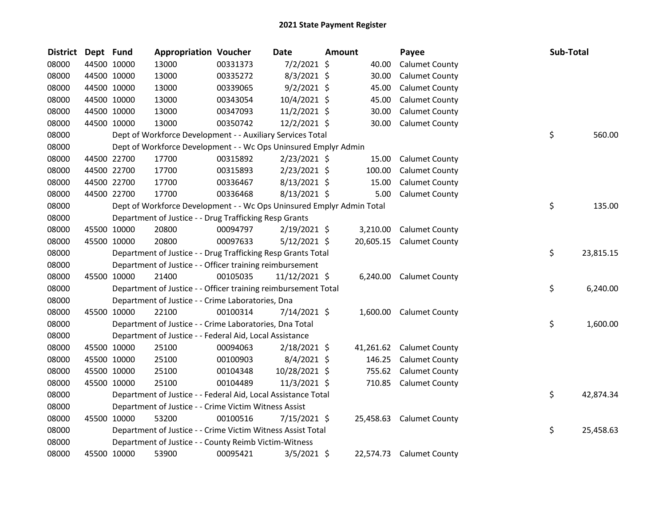| <b>District</b> | Dept Fund |             | <b>Appropriation Voucher</b>                                          |          | <b>Date</b>    | <b>Amount</b> |           | Payee                    | Sub-Total       |  |
|-----------------|-----------|-------------|-----------------------------------------------------------------------|----------|----------------|---------------|-----------|--------------------------|-----------------|--|
| 08000           |           | 44500 10000 | 13000                                                                 | 00331373 | $7/2/2021$ \$  |               | 40.00     | <b>Calumet County</b>    |                 |  |
| 08000           |           | 44500 10000 | 13000                                                                 | 00335272 | $8/3/2021$ \$  |               | 30.00     | <b>Calumet County</b>    |                 |  |
| 08000           |           | 44500 10000 | 13000                                                                 | 00339065 | $9/2/2021$ \$  |               | 45.00     | <b>Calumet County</b>    |                 |  |
| 08000           |           | 44500 10000 | 13000                                                                 | 00343054 | 10/4/2021 \$   |               | 45.00     | <b>Calumet County</b>    |                 |  |
| 08000           |           | 44500 10000 | 13000                                                                 | 00347093 | $11/2/2021$ \$ |               | 30.00     | <b>Calumet County</b>    |                 |  |
| 08000           |           | 44500 10000 | 13000                                                                 | 00350742 | 12/2/2021 \$   |               | 30.00     | <b>Calumet County</b>    |                 |  |
| 08000           |           |             | Dept of Workforce Development - - Auxiliary Services Total            |          |                |               |           |                          | \$<br>560.00    |  |
| 08000           |           |             | Dept of Workforce Development - - Wc Ops Uninsured Emplyr Admin       |          |                |               |           |                          |                 |  |
| 08000           |           | 44500 22700 | 17700                                                                 | 00315892 | $2/23/2021$ \$ |               | 15.00     | <b>Calumet County</b>    |                 |  |
| 08000           |           | 44500 22700 | 17700                                                                 | 00315893 | $2/23/2021$ \$ |               | 100.00    | <b>Calumet County</b>    |                 |  |
| 08000           |           | 44500 22700 | 17700                                                                 | 00336467 | 8/13/2021 \$   |               | 15.00     | <b>Calumet County</b>    |                 |  |
| 08000           |           | 44500 22700 | 17700                                                                 | 00336468 | 8/13/2021 \$   |               | 5.00      | <b>Calumet County</b>    |                 |  |
| 08000           |           |             | Dept of Workforce Development - - Wc Ops Uninsured Emplyr Admin Total |          |                |               |           |                          | \$<br>135.00    |  |
| 08000           |           |             | Department of Justice - - Drug Trafficking Resp Grants                |          |                |               |           |                          |                 |  |
| 08000           |           | 45500 10000 | 20800                                                                 | 00094797 | $2/19/2021$ \$ |               | 3,210.00  | <b>Calumet County</b>    |                 |  |
| 08000           |           | 45500 10000 | 20800                                                                 | 00097633 | 5/12/2021 \$   |               |           | 20,605.15 Calumet County |                 |  |
| 08000           |           |             | Department of Justice - - Drug Trafficking Resp Grants Total          |          |                |               |           |                          | \$<br>23,815.15 |  |
| 08000           |           |             | Department of Justice - - Officer training reimbursement              |          |                |               |           |                          |                 |  |
| 08000           |           | 45500 10000 | 21400                                                                 | 00105035 | 11/12/2021 \$  |               |           | 6,240.00 Calumet County  |                 |  |
| 08000           |           |             | Department of Justice - - Officer training reimbursement Total        |          |                |               |           |                          | \$<br>6,240.00  |  |
| 08000           |           |             | Department of Justice - - Crime Laboratories, Dna                     |          |                |               |           |                          |                 |  |
| 08000           |           | 45500 10000 | 22100                                                                 | 00100314 | 7/14/2021 \$   |               | 1,600.00  | <b>Calumet County</b>    |                 |  |
| 08000           |           |             | Department of Justice - - Crime Laboratories, Dna Total               |          |                |               |           |                          | \$<br>1,600.00  |  |
| 08000           |           |             | Department of Justice - - Federal Aid, Local Assistance               |          |                |               |           |                          |                 |  |
| 08000           |           | 45500 10000 | 25100                                                                 | 00094063 | $2/18/2021$ \$ |               | 41,261.62 | <b>Calumet County</b>    |                 |  |
| 08000           |           | 45500 10000 | 25100                                                                 | 00100903 | $8/4/2021$ \$  |               | 146.25    | <b>Calumet County</b>    |                 |  |
| 08000           |           | 45500 10000 | 25100                                                                 | 00104348 | 10/28/2021 \$  |               | 755.62    | <b>Calumet County</b>    |                 |  |
| 08000           |           | 45500 10000 | 25100                                                                 | 00104489 | $11/3/2021$ \$ |               |           | 710.85 Calumet County    |                 |  |
| 08000           |           |             | Department of Justice - - Federal Aid, Local Assistance Total         |          |                |               |           |                          | \$<br>42,874.34 |  |
| 08000           |           |             | Department of Justice - - Crime Victim Witness Assist                 |          |                |               |           |                          |                 |  |
| 08000           |           | 45500 10000 | 53200                                                                 | 00100516 | $7/15/2021$ \$ |               |           | 25,458.63 Calumet County |                 |  |
| 08000           |           |             | Department of Justice - - Crime Victim Witness Assist Total           |          |                |               |           |                          | \$<br>25,458.63 |  |
| 08000           |           |             | Department of Justice - - County Reimb Victim-Witness                 |          |                |               |           |                          |                 |  |
| 08000           |           | 45500 10000 | 53900                                                                 | 00095421 | $3/5/2021$ \$  |               |           | 22,574.73 Calumet County |                 |  |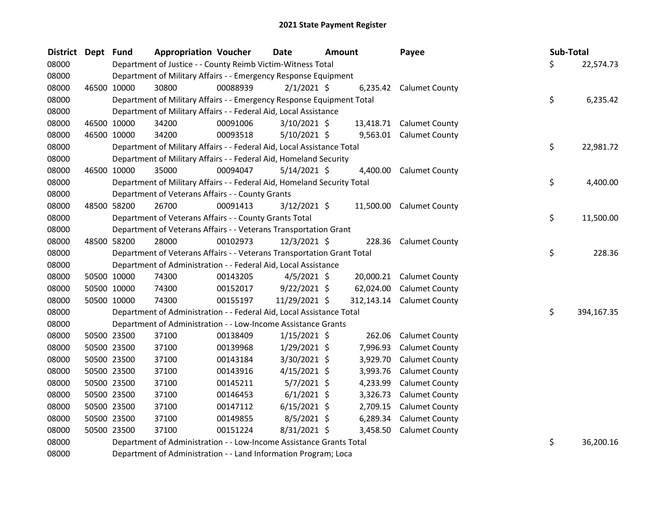| <b>District</b> | Dept Fund |             | <b>Appropriation Voucher</b>                                            |          | <b>Date</b>    | <b>Amount</b> |           | Payee                     | Sub-Total |            |
|-----------------|-----------|-------------|-------------------------------------------------------------------------|----------|----------------|---------------|-----------|---------------------------|-----------|------------|
| 08000           |           |             | Department of Justice - - County Reimb Victim-Witness Total             |          |                |               |           |                           | \$        | 22,574.73  |
| 08000           |           |             | Department of Military Affairs - - Emergency Response Equipment         |          |                |               |           |                           |           |            |
| 08000           |           | 46500 10000 | 30800                                                                   | 00088939 | $2/1/2021$ \$  |               |           | 6,235.42 Calumet County   |           |            |
| 08000           |           |             | Department of Military Affairs - - Emergency Response Equipment Total   |          |                |               |           |                           | \$        | 6,235.42   |
| 08000           |           |             | Department of Military Affairs - - Federal Aid, Local Assistance        |          |                |               |           |                           |           |            |
| 08000           |           | 46500 10000 | 34200                                                                   | 00091006 | $3/10/2021$ \$ |               | 13,418.71 | <b>Calumet County</b>     |           |            |
| 08000           |           | 46500 10000 | 34200                                                                   | 00093518 | $5/10/2021$ \$ |               |           | 9,563.01 Calumet County   |           |            |
| 08000           |           |             | Department of Military Affairs - - Federal Aid, Local Assistance Total  |          |                |               |           |                           | \$        | 22,981.72  |
| 08000           |           |             | Department of Military Affairs - - Federal Aid, Homeland Security       |          |                |               |           |                           |           |            |
| 08000           |           | 46500 10000 | 35000                                                                   | 00094047 | $5/14/2021$ \$ |               | 4,400.00  | <b>Calumet County</b>     |           |            |
| 08000           |           |             | Department of Military Affairs - - Federal Aid, Homeland Security Total |          |                |               |           |                           | \$        | 4,400.00   |
| 08000           |           |             | Department of Veterans Affairs - - County Grants                        |          |                |               |           |                           |           |            |
| 08000           |           | 48500 58200 | 26700                                                                   | 00091413 | $3/12/2021$ \$ |               |           | 11,500.00 Calumet County  |           |            |
| 08000           |           |             | Department of Veterans Affairs - - County Grants Total                  |          |                |               |           |                           | \$        | 11,500.00  |
| 08000           |           |             | Department of Veterans Affairs - - Veterans Transportation Grant        |          |                |               |           |                           |           |            |
| 08000           |           | 48500 58200 | 28000                                                                   | 00102973 | 12/3/2021 \$   |               | 228.36    | <b>Calumet County</b>     |           |            |
| 08000           |           |             | Department of Veterans Affairs - - Veterans Transportation Grant Total  |          |                |               |           |                           | \$        | 228.36     |
| 08000           |           |             | Department of Administration - - Federal Aid, Local Assistance          |          |                |               |           |                           |           |            |
| 08000           |           | 50500 10000 | 74300                                                                   | 00143205 | $4/5/2021$ \$  |               |           | 20,000.21 Calumet County  |           |            |
| 08000           |           | 50500 10000 | 74300                                                                   | 00152017 | $9/22/2021$ \$ |               | 62,024.00 | <b>Calumet County</b>     |           |            |
| 08000           |           | 50500 10000 | 74300                                                                   | 00155197 | 11/29/2021 \$  |               |           | 312,143.14 Calumet County |           |            |
| 08000           |           |             | Department of Administration - - Federal Aid, Local Assistance Total    |          |                |               |           |                           | \$        | 394,167.35 |
| 08000           |           |             | Department of Administration - - Low-Income Assistance Grants           |          |                |               |           |                           |           |            |
| 08000           |           | 50500 23500 | 37100                                                                   | 00138409 | $1/15/2021$ \$ |               | 262.06    | <b>Calumet County</b>     |           |            |
| 08000           |           | 50500 23500 | 37100                                                                   | 00139968 | $1/29/2021$ \$ |               | 7,996.93  | <b>Calumet County</b>     |           |            |
| 08000           |           | 50500 23500 | 37100                                                                   | 00143184 | 3/30/2021 \$   |               | 3,929.70  | <b>Calumet County</b>     |           |            |
| 08000           |           | 50500 23500 | 37100                                                                   | 00143916 | $4/15/2021$ \$ |               | 3,993.76  | <b>Calumet County</b>     |           |            |
| 08000           |           | 50500 23500 | 37100                                                                   | 00145211 | $5/7/2021$ \$  |               | 4,233.99  | <b>Calumet County</b>     |           |            |
| 08000           |           | 50500 23500 | 37100                                                                   | 00146453 | $6/1/2021$ \$  |               | 3,326.73  | <b>Calumet County</b>     |           |            |
| 08000           |           | 50500 23500 | 37100                                                                   | 00147112 | $6/15/2021$ \$ |               | 2,709.15  | <b>Calumet County</b>     |           |            |
| 08000           |           | 50500 23500 | 37100                                                                   | 00149855 | $8/5/2021$ \$  |               | 6,289.34  | <b>Calumet County</b>     |           |            |
| 08000           |           | 50500 23500 | 37100                                                                   | 00151224 | 8/31/2021 \$   |               | 3,458.50  | <b>Calumet County</b>     |           |            |
| 08000           |           |             | Department of Administration - - Low-Income Assistance Grants Total     |          |                |               |           |                           | \$        | 36,200.16  |
|                 |           |             |                                                                         |          |                |               |           |                           |           |            |

Department of Administration - - Land Information Program; Loca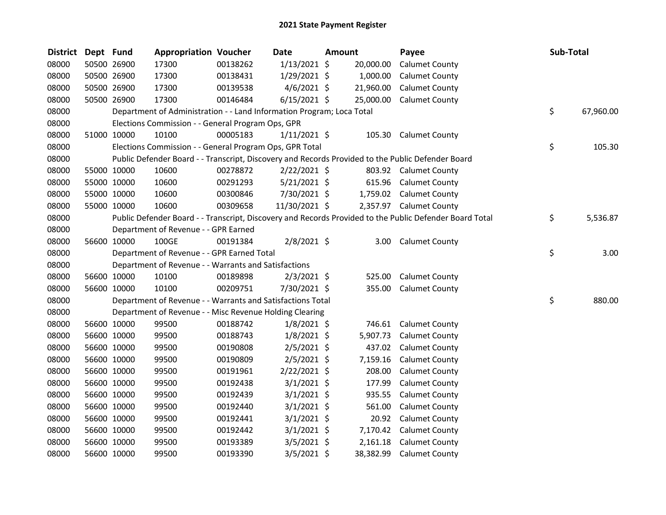| <b>District</b> | Dept Fund |             | <b>Appropriation Voucher</b>                                          |          | Date           | Amount    | Payee                                                                                                   | Sub-Total       |
|-----------------|-----------|-------------|-----------------------------------------------------------------------|----------|----------------|-----------|---------------------------------------------------------------------------------------------------------|-----------------|
| 08000           |           | 50500 26900 | 17300                                                                 | 00138262 | $1/13/2021$ \$ | 20,000.00 | <b>Calumet County</b>                                                                                   |                 |
| 08000           |           | 50500 26900 | 17300                                                                 | 00138431 | $1/29/2021$ \$ | 1,000.00  | <b>Calumet County</b>                                                                                   |                 |
| 08000           |           | 50500 26900 | 17300                                                                 | 00139538 | $4/6/2021$ \$  | 21,960.00 | <b>Calumet County</b>                                                                                   |                 |
| 08000           |           | 50500 26900 | 17300                                                                 | 00146484 | $6/15/2021$ \$ | 25,000.00 | <b>Calumet County</b>                                                                                   |                 |
| 08000           |           |             | Department of Administration - - Land Information Program; Loca Total |          |                |           |                                                                                                         | \$<br>67,960.00 |
| 08000           |           |             | Elections Commission - - General Program Ops, GPR                     |          |                |           |                                                                                                         |                 |
| 08000           |           | 51000 10000 | 10100                                                                 | 00005183 | $1/11/2021$ \$ | 105.30    | <b>Calumet County</b>                                                                                   |                 |
| 08000           |           |             | Elections Commission - - General Program Ops, GPR Total               |          |                |           |                                                                                                         | \$<br>105.30    |
| 08000           |           |             |                                                                       |          |                |           | Public Defender Board - - Transcript, Discovery and Records Provided to the Public Defender Board       |                 |
| 08000           |           | 55000 10000 | 10600                                                                 | 00278872 | $2/22/2021$ \$ |           | 803.92 Calumet County                                                                                   |                 |
| 08000           |           | 55000 10000 | 10600                                                                 | 00291293 | $5/21/2021$ \$ |           | 615.96 Calumet County                                                                                   |                 |
| 08000           |           | 55000 10000 | 10600                                                                 | 00300846 | 7/30/2021 \$   |           | 1,759.02 Calumet County                                                                                 |                 |
| 08000           |           | 55000 10000 | 10600                                                                 | 00309658 | 11/30/2021 \$  |           | 2,357.97 Calumet County                                                                                 |                 |
| 08000           |           |             |                                                                       |          |                |           | Public Defender Board - - Transcript, Discovery and Records Provided to the Public Defender Board Total | \$<br>5,536.87  |
| 08000           |           |             | Department of Revenue - - GPR Earned                                  |          |                |           |                                                                                                         |                 |
| 08000           |           | 56600 10000 | 100GE                                                                 | 00191384 | 2/8/2021 \$    |           | 3.00 Calumet County                                                                                     |                 |
| 08000           |           |             | Department of Revenue - - GPR Earned Total                            |          |                |           |                                                                                                         | \$<br>3.00      |
| 08000           |           |             | Department of Revenue - - Warrants and Satisfactions                  |          |                |           |                                                                                                         |                 |
| 08000           |           | 56600 10000 | 10100                                                                 | 00189898 | $2/3/2021$ \$  | 525.00    | <b>Calumet County</b>                                                                                   |                 |
| 08000           |           | 56600 10000 | 10100                                                                 | 00209751 | 7/30/2021 \$   | 355.00    | <b>Calumet County</b>                                                                                   |                 |
| 08000           |           |             | Department of Revenue - - Warrants and Satisfactions Total            |          |                |           |                                                                                                         | \$<br>880.00    |
| 08000           |           |             | Department of Revenue - - Misc Revenue Holding Clearing               |          |                |           |                                                                                                         |                 |
| 08000           |           | 56600 10000 | 99500                                                                 | 00188742 | $1/8/2021$ \$  | 746.61    | <b>Calumet County</b>                                                                                   |                 |
| 08000           |           | 56600 10000 | 99500                                                                 | 00188743 | $1/8/2021$ \$  | 5,907.73  | <b>Calumet County</b>                                                                                   |                 |
| 08000           |           | 56600 10000 | 99500                                                                 | 00190808 | $2/5/2021$ \$  | 437.02    | <b>Calumet County</b>                                                                                   |                 |
| 08000           |           | 56600 10000 | 99500                                                                 | 00190809 | $2/5/2021$ \$  | 7,159.16  | <b>Calumet County</b>                                                                                   |                 |
| 08000           |           | 56600 10000 | 99500                                                                 | 00191961 | 2/22/2021 \$   | 208.00    | <b>Calumet County</b>                                                                                   |                 |
| 08000           |           | 56600 10000 | 99500                                                                 | 00192438 | 3/1/2021 \$    | 177.99    | <b>Calumet County</b>                                                                                   |                 |
| 08000           |           | 56600 10000 | 99500                                                                 | 00192439 | $3/1/2021$ \$  | 935.55    | <b>Calumet County</b>                                                                                   |                 |
| 08000           |           | 56600 10000 | 99500                                                                 | 00192440 | $3/1/2021$ \$  | 561.00    | <b>Calumet County</b>                                                                                   |                 |
| 08000           |           | 56600 10000 | 99500                                                                 | 00192441 | $3/1/2021$ \$  | 20.92     | <b>Calumet County</b>                                                                                   |                 |
| 08000           |           | 56600 10000 | 99500                                                                 | 00192442 | $3/1/2021$ \$  | 7,170.42  | <b>Calumet County</b>                                                                                   |                 |
| 08000           |           | 56600 10000 | 99500                                                                 | 00193389 | $3/5/2021$ \$  | 2,161.18  | <b>Calumet County</b>                                                                                   |                 |
| 08000           |           | 56600 10000 | 99500                                                                 | 00193390 | 3/5/2021 \$    | 38,382.99 | <b>Calumet County</b>                                                                                   |                 |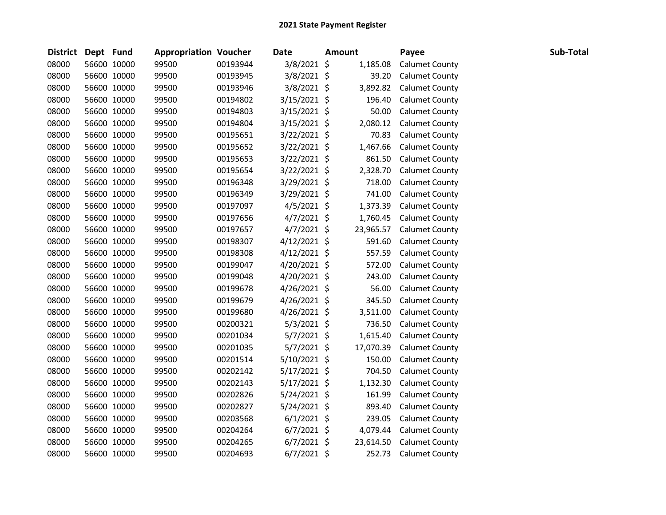| <b>District</b> | Dept Fund |             | <b>Appropriation Voucher</b> |          | Date           | Amount    | Payee                 | Sub-Total |
|-----------------|-----------|-------------|------------------------------|----------|----------------|-----------|-----------------------|-----------|
| 08000           |           | 56600 10000 | 99500                        | 00193944 | 3/8/2021 \$    | 1,185.08  | <b>Calumet County</b> |           |
| 08000           |           | 56600 10000 | 99500                        | 00193945 | 3/8/2021 \$    | 39.20     | <b>Calumet County</b> |           |
| 08000           |           | 56600 10000 | 99500                        | 00193946 | 3/8/2021 \$    | 3,892.82  | <b>Calumet County</b> |           |
| 08000           |           | 56600 10000 | 99500                        | 00194802 | $3/15/2021$ \$ | 196.40    | <b>Calumet County</b> |           |
| 08000           |           | 56600 10000 | 99500                        | 00194803 | $3/15/2021$ \$ | 50.00     | <b>Calumet County</b> |           |
| 08000           |           | 56600 10000 | 99500                        | 00194804 | $3/15/2021$ \$ | 2,080.12  | <b>Calumet County</b> |           |
| 08000           |           | 56600 10000 | 99500                        | 00195651 | 3/22/2021 \$   | 70.83     | <b>Calumet County</b> |           |
| 08000           |           | 56600 10000 | 99500                        | 00195652 | 3/22/2021 \$   | 1,467.66  | <b>Calumet County</b> |           |
| 08000           |           | 56600 10000 | 99500                        | 00195653 | 3/22/2021 \$   | 861.50    | <b>Calumet County</b> |           |
| 08000           |           | 56600 10000 | 99500                        | 00195654 | 3/22/2021 \$   | 2,328.70  | <b>Calumet County</b> |           |
| 08000           |           | 56600 10000 | 99500                        | 00196348 | 3/29/2021 \$   | 718.00    | <b>Calumet County</b> |           |
| 08000           |           | 56600 10000 | 99500                        | 00196349 | 3/29/2021 \$   | 741.00    | <b>Calumet County</b> |           |
| 08000           |           | 56600 10000 | 99500                        | 00197097 | $4/5/2021$ \$  | 1,373.39  | <b>Calumet County</b> |           |
| 08000           |           | 56600 10000 | 99500                        | 00197656 | $4/7/2021$ \$  | 1,760.45  | <b>Calumet County</b> |           |
| 08000           |           | 56600 10000 | 99500                        | 00197657 | $4/7/2021$ \$  | 23,965.57 | <b>Calumet County</b> |           |
| 08000           |           | 56600 10000 | 99500                        | 00198307 | $4/12/2021$ \$ | 591.60    | <b>Calumet County</b> |           |
| 08000           |           | 56600 10000 | 99500                        | 00198308 | $4/12/2021$ \$ | 557.59    | <b>Calumet County</b> |           |
| 08000           |           | 56600 10000 | 99500                        | 00199047 | $4/20/2021$ \$ | 572.00    | <b>Calumet County</b> |           |
| 08000           |           | 56600 10000 | 99500                        | 00199048 | 4/20/2021 \$   | 243.00    | <b>Calumet County</b> |           |
| 08000           |           | 56600 10000 | 99500                        | 00199678 | $4/26/2021$ \$ | 56.00     | <b>Calumet County</b> |           |
| 08000           |           | 56600 10000 | 99500                        | 00199679 | 4/26/2021 \$   | 345.50    | <b>Calumet County</b> |           |
| 08000           |           | 56600 10000 | 99500                        | 00199680 | $4/26/2021$ \$ | 3,511.00  | <b>Calumet County</b> |           |
| 08000           |           | 56600 10000 | 99500                        | 00200321 | 5/3/2021 \$    | 736.50    | <b>Calumet County</b> |           |
| 08000           |           | 56600 10000 | 99500                        | 00201034 | 5/7/2021 \$    | 1,615.40  | <b>Calumet County</b> |           |
| 08000           |           | 56600 10000 | 99500                        | 00201035 | $5/7/2021$ \$  | 17,070.39 | <b>Calumet County</b> |           |
| 08000           |           | 56600 10000 | 99500                        | 00201514 | 5/10/2021 \$   | 150.00    | <b>Calumet County</b> |           |
| 08000           |           | 56600 10000 | 99500                        | 00202142 | $5/17/2021$ \$ | 704.50    | <b>Calumet County</b> |           |
| 08000           |           | 56600 10000 | 99500                        | 00202143 | $5/17/2021$ \$ | 1,132.30  | <b>Calumet County</b> |           |
| 08000           |           | 56600 10000 | 99500                        | 00202826 | $5/24/2021$ \$ | 161.99    | <b>Calumet County</b> |           |
| 08000           |           | 56600 10000 | 99500                        | 00202827 | $5/24/2021$ \$ | 893.40    | <b>Calumet County</b> |           |
| 08000           |           | 56600 10000 | 99500                        | 00203568 | $6/1/2021$ \$  | 239.05    | <b>Calumet County</b> |           |
| 08000           |           | 56600 10000 | 99500                        | 00204264 | $6/7/2021$ \$  | 4,079.44  | <b>Calumet County</b> |           |
| 08000           |           | 56600 10000 | 99500                        | 00204265 | $6/7/2021$ \$  | 23,614.50 | <b>Calumet County</b> |           |
| 08000           |           | 56600 10000 | 99500                        | 00204693 | $6/7/2021$ \$  | 252.73    | <b>Calumet County</b> |           |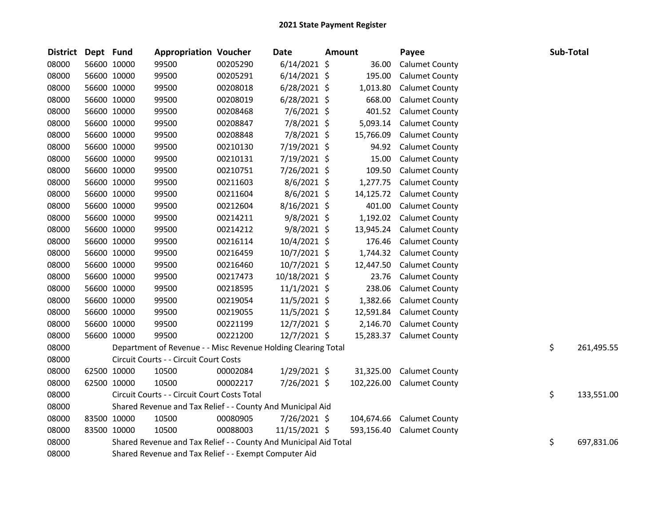| <b>District</b> | Dept Fund |             | <b>Appropriation Voucher</b>                                     |          | <b>Date</b>    | <b>Amount</b> | Payee                 | Sub-Total |            |
|-----------------|-----------|-------------|------------------------------------------------------------------|----------|----------------|---------------|-----------------------|-----------|------------|
| 08000           |           | 56600 10000 | 99500                                                            | 00205290 | $6/14/2021$ \$ | 36.00         | <b>Calumet County</b> |           |            |
| 08000           |           | 56600 10000 | 99500                                                            | 00205291 | $6/14/2021$ \$ | 195.00        | <b>Calumet County</b> |           |            |
| 08000           |           | 56600 10000 | 99500                                                            | 00208018 | $6/28/2021$ \$ | 1,013.80      | <b>Calumet County</b> |           |            |
| 08000           |           | 56600 10000 | 99500                                                            | 00208019 | $6/28/2021$ \$ | 668.00        | <b>Calumet County</b> |           |            |
| 08000           |           | 56600 10000 | 99500                                                            | 00208468 | 7/6/2021 \$    | 401.52        | <b>Calumet County</b> |           |            |
| 08000           |           | 56600 10000 | 99500                                                            | 00208847 | 7/8/2021 \$    | 5,093.14      | <b>Calumet County</b> |           |            |
| 08000           |           | 56600 10000 | 99500                                                            | 00208848 | 7/8/2021 \$    | 15,766.09     | <b>Calumet County</b> |           |            |
| 08000           |           | 56600 10000 | 99500                                                            | 00210130 | 7/19/2021 \$   | 94.92         | <b>Calumet County</b> |           |            |
| 08000           |           | 56600 10000 | 99500                                                            | 00210131 | 7/19/2021 \$   | 15.00         | <b>Calumet County</b> |           |            |
| 08000           |           | 56600 10000 | 99500                                                            | 00210751 | 7/26/2021 \$   | 109.50        | <b>Calumet County</b> |           |            |
| 08000           |           | 56600 10000 | 99500                                                            | 00211603 | $8/6/2021$ \$  | 1,277.75      | <b>Calumet County</b> |           |            |
| 08000           |           | 56600 10000 | 99500                                                            | 00211604 | 8/6/2021 \$    | 14,125.72     | <b>Calumet County</b> |           |            |
| 08000           |           | 56600 10000 | 99500                                                            | 00212604 | 8/16/2021 \$   | 401.00        | <b>Calumet County</b> |           |            |
| 08000           |           | 56600 10000 | 99500                                                            | 00214211 | 9/8/2021 \$    | 1,192.02      | <b>Calumet County</b> |           |            |
| 08000           |           | 56600 10000 | 99500                                                            | 00214212 | $9/8/2021$ \$  | 13,945.24     | <b>Calumet County</b> |           |            |
| 08000           |           | 56600 10000 | 99500                                                            | 00216114 | 10/4/2021 \$   | 176.46        | <b>Calumet County</b> |           |            |
| 08000           |           | 56600 10000 | 99500                                                            | 00216459 | 10/7/2021 \$   | 1,744.32      | <b>Calumet County</b> |           |            |
| 08000           |           | 56600 10000 | 99500                                                            | 00216460 | 10/7/2021 \$   | 12,447.50     | <b>Calumet County</b> |           |            |
| 08000           |           | 56600 10000 | 99500                                                            | 00217473 | 10/18/2021 \$  | 23.76         | <b>Calumet County</b> |           |            |
| 08000           |           | 56600 10000 | 99500                                                            | 00218595 | $11/1/2021$ \$ | 238.06        | <b>Calumet County</b> |           |            |
| 08000           |           | 56600 10000 | 99500                                                            | 00219054 | $11/5/2021$ \$ | 1,382.66      | <b>Calumet County</b> |           |            |
| 08000           |           | 56600 10000 | 99500                                                            | 00219055 | $11/5/2021$ \$ | 12,591.84     | <b>Calumet County</b> |           |            |
| 08000           |           | 56600 10000 | 99500                                                            | 00221199 | 12/7/2021 \$   | 2,146.70      | <b>Calumet County</b> |           |            |
| 08000           |           | 56600 10000 | 99500                                                            | 00221200 | 12/7/2021 \$   | 15,283.37     | <b>Calumet County</b> |           |            |
| 08000           |           |             | Department of Revenue - - Misc Revenue Holding Clearing Total    |          |                |               |                       | \$        | 261,495.55 |
| 08000           |           |             | Circuit Courts - - Circuit Court Costs                           |          |                |               |                       |           |            |
| 08000           |           | 62500 10000 | 10500                                                            | 00002084 | $1/29/2021$ \$ | 31,325.00     | <b>Calumet County</b> |           |            |
| 08000           |           | 62500 10000 | 10500                                                            | 00002217 | 7/26/2021 \$   | 102,226.00    | <b>Calumet County</b> |           |            |
| 08000           |           |             | Circuit Courts - - Circuit Court Costs Total                     |          |                |               |                       | \$        | 133,551.00 |
| 08000           |           |             | Shared Revenue and Tax Relief - - County And Municipal Aid       |          |                |               |                       |           |            |
| 08000           |           | 83500 10000 | 10500                                                            | 00080905 | 7/26/2021 \$   | 104,674.66    | <b>Calumet County</b> |           |            |
| 08000           |           | 83500 10000 | 10500                                                            | 00088003 | 11/15/2021 \$  | 593,156.40    | <b>Calumet County</b> |           |            |
| 08000           |           |             | Shared Revenue and Tax Relief - - County And Municipal Aid Total |          |                |               |                       | \$        | 697,831.06 |
| 08000           |           |             | Shared Revenue and Tax Relief - - Exempt Computer Aid            |          |                |               |                       |           |            |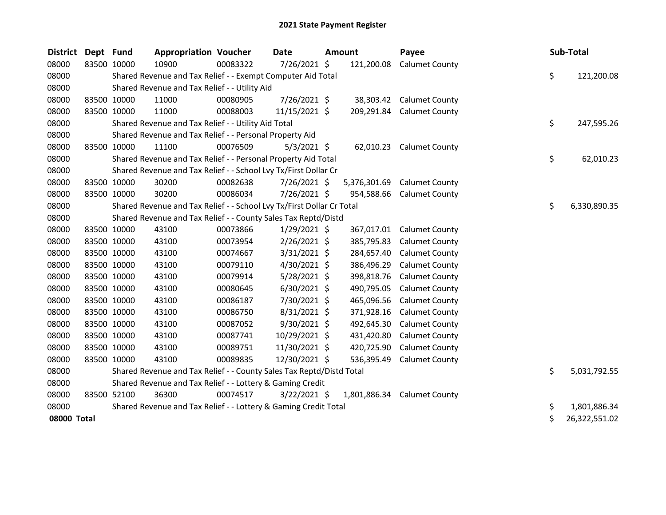| District Dept Fund |             | <b>Appropriation Voucher</b>                                          |          | Date           | <b>Amount</b> | Payee                 | Sub-Total           |
|--------------------|-------------|-----------------------------------------------------------------------|----------|----------------|---------------|-----------------------|---------------------|
| 08000              | 83500 10000 | 10900                                                                 | 00083322 | 7/26/2021 \$   | 121,200.08    | <b>Calumet County</b> |                     |
| 08000              |             | Shared Revenue and Tax Relief - - Exempt Computer Aid Total           |          |                |               |                       | \$<br>121,200.08    |
| 08000              |             | Shared Revenue and Tax Relief - - Utility Aid                         |          |                |               |                       |                     |
| 08000              | 83500 10000 | 11000                                                                 | 00080905 | 7/26/2021 \$   | 38,303.42     | <b>Calumet County</b> |                     |
| 08000              | 83500 10000 | 11000                                                                 | 00088003 | 11/15/2021 \$  | 209,291.84    | <b>Calumet County</b> |                     |
| 08000              |             | Shared Revenue and Tax Relief - - Utility Aid Total                   |          |                |               |                       | \$<br>247,595.26    |
| 08000              |             | Shared Revenue and Tax Relief - - Personal Property Aid               |          |                |               |                       |                     |
| 08000              | 83500 10000 | 11100                                                                 | 00076509 | $5/3/2021$ \$  | 62,010.23     | <b>Calumet County</b> |                     |
| 08000              |             | Shared Revenue and Tax Relief - - Personal Property Aid Total         |          |                |               |                       | \$<br>62,010.23     |
| 08000              |             | Shared Revenue and Tax Relief - - School Lvy Tx/First Dollar Cr       |          |                |               |                       |                     |
| 08000              | 83500 10000 | 30200                                                                 | 00082638 | 7/26/2021 \$   | 5,376,301.69  | <b>Calumet County</b> |                     |
| 08000              | 83500 10000 | 30200                                                                 | 00086034 | 7/26/2021 \$   | 954,588.66    | <b>Calumet County</b> |                     |
| 08000              |             | Shared Revenue and Tax Relief - - School Lvy Tx/First Dollar Cr Total |          |                |               |                       | \$<br>6,330,890.35  |
| 08000              |             | Shared Revenue and Tax Relief - - County Sales Tax Reptd/Distd        |          |                |               |                       |                     |
| 08000              | 83500 10000 | 43100                                                                 | 00073866 | $1/29/2021$ \$ | 367,017.01    | <b>Calumet County</b> |                     |
| 08000              | 83500 10000 | 43100                                                                 | 00073954 | $2/26/2021$ \$ | 385,795.83    | <b>Calumet County</b> |                     |
| 08000              | 83500 10000 | 43100                                                                 | 00074667 | $3/31/2021$ \$ | 284,657.40    | <b>Calumet County</b> |                     |
| 08000              | 83500 10000 | 43100                                                                 | 00079110 | 4/30/2021 \$   | 386,496.29    | <b>Calumet County</b> |                     |
| 08000              | 83500 10000 | 43100                                                                 | 00079914 | $5/28/2021$ \$ | 398,818.76    | <b>Calumet County</b> |                     |
| 08000              | 83500 10000 | 43100                                                                 | 00080645 | $6/30/2021$ \$ | 490,795.05    | <b>Calumet County</b> |                     |
| 08000              | 83500 10000 | 43100                                                                 | 00086187 | 7/30/2021 \$   | 465,096.56    | <b>Calumet County</b> |                     |
| 08000              | 83500 10000 | 43100                                                                 | 00086750 | $8/31/2021$ \$ | 371,928.16    | <b>Calumet County</b> |                     |
| 08000              | 83500 10000 | 43100                                                                 | 00087052 | 9/30/2021 \$   | 492,645.30    | <b>Calumet County</b> |                     |
| 08000              | 83500 10000 | 43100                                                                 | 00087741 | 10/29/2021 \$  | 431,420.80    | <b>Calumet County</b> |                     |
| 08000              | 83500 10000 | 43100                                                                 | 00089751 | 11/30/2021 \$  | 420,725.90    | <b>Calumet County</b> |                     |
| 08000              | 83500 10000 | 43100                                                                 | 00089835 | 12/30/2021 \$  | 536,395.49    | <b>Calumet County</b> |                     |
| 08000              |             | Shared Revenue and Tax Relief - - County Sales Tax Reptd/Distd Total  |          |                |               |                       | \$<br>5,031,792.55  |
| 08000              |             | Shared Revenue and Tax Relief - - Lottery & Gaming Credit             |          |                |               |                       |                     |
| 08000              | 83500 52100 | 36300                                                                 | 00074517 | $3/22/2021$ \$ | 1,801,886.34  | <b>Calumet County</b> |                     |
| 08000              |             | Shared Revenue and Tax Relief - - Lottery & Gaming Credit Total       |          |                |               |                       | \$<br>1,801,886.34  |
| 08000 Total        |             |                                                                       |          |                |               |                       | \$<br>26,322,551.02 |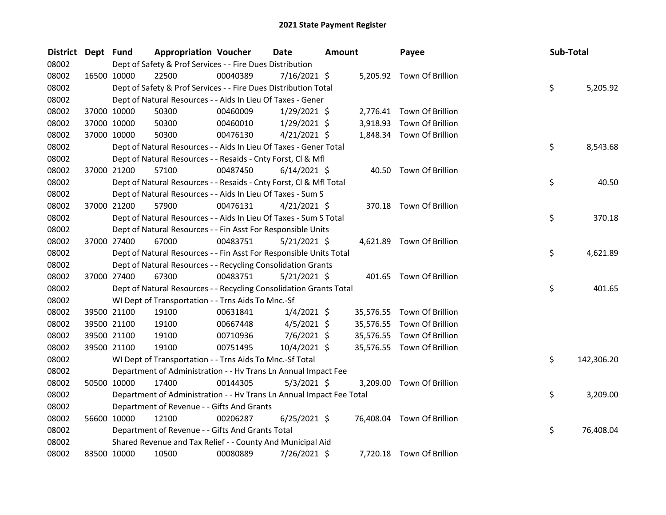| <b>District</b> | Dept Fund   |             | <b>Appropriation Voucher</b>                                         |          | Date           | <b>Amount</b> |           | Payee                      | Sub-Total |            |
|-----------------|-------------|-------------|----------------------------------------------------------------------|----------|----------------|---------------|-----------|----------------------------|-----------|------------|
| 08002           |             |             | Dept of Safety & Prof Services - - Fire Dues Distribution            |          |                |               |           |                            |           |            |
| 08002           |             | 16500 10000 | 22500                                                                | 00040389 | 7/16/2021 \$   |               |           | 5,205.92 Town Of Brillion  |           |            |
| 08002           |             |             | Dept of Safety & Prof Services - - Fire Dues Distribution Total      |          |                |               |           |                            | \$        | 5,205.92   |
| 08002           |             |             | Dept of Natural Resources - - Aids In Lieu Of Taxes - Gener          |          |                |               |           |                            |           |            |
| 08002           |             | 37000 10000 | 50300                                                                | 00460009 | $1/29/2021$ \$ |               |           | 2,776.41 Town Of Brillion  |           |            |
| 08002           |             | 37000 10000 | 50300                                                                | 00460010 | $1/29/2021$ \$ |               | 3,918.93  | Town Of Brillion           |           |            |
| 08002           |             | 37000 10000 | 50300                                                                | 00476130 | $4/21/2021$ \$ |               |           | 1,848.34 Town Of Brillion  |           |            |
| 08002           |             |             | Dept of Natural Resources - - Aids In Lieu Of Taxes - Gener Total    |          |                |               |           |                            | \$        | 8,543.68   |
| 08002           |             |             | Dept of Natural Resources - - Resaids - Cnty Forst, Cl & Mfl         |          |                |               |           |                            |           |            |
| 08002           |             | 37000 21200 | 57100                                                                | 00487450 | $6/14/2021$ \$ |               |           | 40.50 Town Of Brillion     |           |            |
| 08002           |             |             | Dept of Natural Resources - - Resaids - Cnty Forst, Cl & Mfl Total   |          |                |               |           |                            | \$        | 40.50      |
| 08002           |             |             | Dept of Natural Resources - - Aids In Lieu Of Taxes - Sum S          |          |                |               |           |                            |           |            |
| 08002           |             | 37000 21200 | 57900                                                                | 00476131 | $4/21/2021$ \$ |               |           | 370.18 Town Of Brillion    |           |            |
| 08002           |             |             | Dept of Natural Resources - - Aids In Lieu Of Taxes - Sum S Total    |          |                |               |           |                            | \$        | 370.18     |
| 08002           |             |             | Dept of Natural Resources - - Fin Asst For Responsible Units         |          |                |               |           |                            |           |            |
| 08002           |             | 37000 27400 | 67000                                                                | 00483751 | $5/21/2021$ \$ |               |           | 4,621.89 Town Of Brillion  |           |            |
| 08002           |             |             | Dept of Natural Resources - - Fin Asst For Responsible Units Total   |          |                |               |           |                            | \$        | 4,621.89   |
| 08002           |             |             | Dept of Natural Resources - - Recycling Consolidation Grants         |          |                |               |           |                            |           |            |
| 08002           |             | 37000 27400 | 67300                                                                | 00483751 | $5/21/2021$ \$ |               |           | 401.65 Town Of Brillion    |           |            |
| 08002           |             |             | Dept of Natural Resources - - Recycling Consolidation Grants Total   |          |                |               |           |                            | \$        | 401.65     |
| 08002           |             |             | WI Dept of Transportation - - Trns Aids To Mnc.-Sf                   |          |                |               |           |                            |           |            |
| 08002           |             | 39500 21100 | 19100                                                                | 00631841 | $1/4/2021$ \$  |               | 35,576.55 | Town Of Brillion           |           |            |
| 08002           |             | 39500 21100 | 19100                                                                | 00667448 | $4/5/2021$ \$  |               |           | 35,576.55 Town Of Brillion |           |            |
| 08002           |             | 39500 21100 | 19100                                                                | 00710936 | $7/6/2021$ \$  |               |           | 35,576.55 Town Of Brillion |           |            |
| 08002           |             | 39500 21100 | 19100                                                                | 00751495 | 10/4/2021 \$   |               |           | 35,576.55 Town Of Brillion |           |            |
| 08002           |             |             | WI Dept of Transportation - - Trns Aids To Mnc.-Sf Total             |          |                |               |           |                            | \$        | 142,306.20 |
| 08002           |             |             | Department of Administration - - Hv Trans Ln Annual Impact Fee       |          |                |               |           |                            |           |            |
| 08002           |             | 50500 10000 | 17400                                                                | 00144305 | $5/3/2021$ \$  |               |           | 3,209.00 Town Of Brillion  |           |            |
| 08002           |             |             | Department of Administration - - Hv Trans Ln Annual Impact Fee Total |          |                |               |           |                            | \$        | 3,209.00   |
| 08002           |             |             | Department of Revenue - - Gifts And Grants                           |          |                |               |           |                            |           |            |
| 08002           |             | 56600 10000 | 12100                                                                | 00206287 | $6/25/2021$ \$ |               |           | 76,408.04 Town Of Brillion |           |            |
| 08002           |             |             | Department of Revenue - - Gifts And Grants Total                     |          |                |               |           |                            | \$        | 76,408.04  |
| 08002           |             |             | Shared Revenue and Tax Relief - - County And Municipal Aid           |          |                |               |           |                            |           |            |
| 08002           | 83500 10000 |             | 10500                                                                | 00080889 | 7/26/2021 \$   |               |           | 7,720.18 Town Of Brillion  |           |            |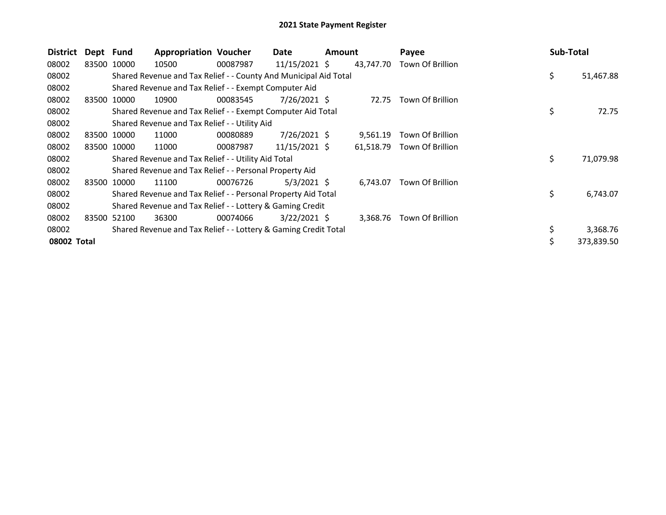| <b>District</b> | Dept Fund |             | <b>Appropriation Voucher</b>                                     |          | Date           | <b>Amount</b> |           | Payee            | <b>Sub-Total</b> |
|-----------------|-----------|-------------|------------------------------------------------------------------|----------|----------------|---------------|-----------|------------------|------------------|
| 08002           |           | 83500 10000 | 10500                                                            | 00087987 | 11/15/2021 \$  |               | 43,747.70 | Town Of Brillion |                  |
| 08002           |           |             | Shared Revenue and Tax Relief - - County And Municipal Aid Total |          |                |               |           |                  | \$<br>51,467.88  |
| 08002           |           |             | Shared Revenue and Tax Relief - - Exempt Computer Aid            |          |                |               |           |                  |                  |
| 08002           |           | 83500 10000 | 10900                                                            | 00083545 | 7/26/2021 \$   |               | 72.75     | Town Of Brillion |                  |
| 08002           |           |             | Shared Revenue and Tax Relief - - Exempt Computer Aid Total      |          |                |               |           |                  | \$<br>72.75      |
| 08002           |           |             | Shared Revenue and Tax Relief - - Utility Aid                    |          |                |               |           |                  |                  |
| 08002           |           | 83500 10000 | 11000                                                            | 00080889 | $7/26/2021$ \$ |               | 9,561.19  | Town Of Brillion |                  |
| 08002           |           | 83500 10000 | 11000                                                            | 00087987 | 11/15/2021 \$  |               | 61,518.79 | Town Of Brillion |                  |
| 08002           |           |             | Shared Revenue and Tax Relief - - Utility Aid Total              |          |                |               |           |                  | \$<br>71,079.98  |
| 08002           |           |             | Shared Revenue and Tax Relief - - Personal Property Aid          |          |                |               |           |                  |                  |
| 08002           |           | 83500 10000 | 11100                                                            | 00076726 | $5/3/2021$ \$  |               | 6,743.07  | Town Of Brillion |                  |
| 08002           |           |             | Shared Revenue and Tax Relief - - Personal Property Aid Total    |          |                |               |           |                  | \$<br>6,743.07   |
| 08002           |           |             | Shared Revenue and Tax Relief - - Lottery & Gaming Credit        |          |                |               |           |                  |                  |
| 08002           | 83500     | 52100       | 36300                                                            | 00074066 | $3/22/2021$ \$ |               | 3,368.76  | Town Of Brillion |                  |
| 08002           |           |             | Shared Revenue and Tax Relief - - Lottery & Gaming Credit Total  |          |                |               |           |                  | \$<br>3,368.76   |
| 08002 Total     |           |             |                                                                  |          |                |               |           |                  | 373,839.50       |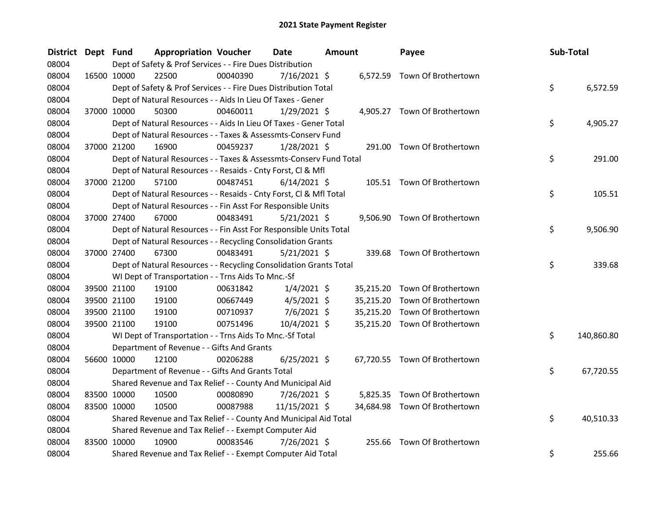| <b>District</b> | Dept Fund | <b>Appropriation Voucher</b>                                       |          | <b>Date</b>    | Amount | Payee                         |     | Sub-Total  |
|-----------------|-----------|--------------------------------------------------------------------|----------|----------------|--------|-------------------------------|-----|------------|
| 08004           |           | Dept of Safety & Prof Services - - Fire Dues Distribution          |          |                |        |                               |     |            |
| 08004           |           | 16500 10000<br>22500                                               | 00040390 | $7/16/2021$ \$ |        | 6,572.59 Town Of Brothertown  |     |            |
| 08004           |           | Dept of Safety & Prof Services - - Fire Dues Distribution Total    |          |                |        |                               | \$  | 6,572.59   |
| 08004           |           | Dept of Natural Resources - - Aids In Lieu Of Taxes - Gener        |          |                |        |                               |     |            |
| 08004           |           | 37000 10000<br>50300                                               | 00460011 | $1/29/2021$ \$ |        | 4,905.27 Town Of Brothertown  |     |            |
| 08004           |           | Dept of Natural Resources - - Aids In Lieu Of Taxes - Gener Total  |          |                |        |                               | \$  | 4,905.27   |
| 08004           |           | Dept of Natural Resources - - Taxes & Assessmts-Conserv Fund       |          |                |        |                               |     |            |
| 08004           |           | 37000 21200<br>16900                                               | 00459237 | $1/28/2021$ \$ |        | 291.00 Town Of Brothertown    |     |            |
| 08004           |           | Dept of Natural Resources - - Taxes & Assessmts-Conserv Fund Total |          |                |        |                               | \$  | 291.00     |
| 08004           |           | Dept of Natural Resources - - Resaids - Cnty Forst, Cl & Mfl       |          |                |        |                               |     |            |
| 08004           |           | 37000 21200<br>57100                                               | 00487451 | $6/14/2021$ \$ |        | 105.51 Town Of Brothertown    |     |            |
| 08004           |           | Dept of Natural Resources - - Resaids - Cnty Forst, Cl & Mfl Total |          |                |        |                               | \$  | 105.51     |
| 08004           |           | Dept of Natural Resources - - Fin Asst For Responsible Units       |          |                |        |                               |     |            |
| 08004           |           | 37000 27400<br>67000                                               | 00483491 | $5/21/2021$ \$ |        | 9,506.90 Town Of Brothertown  |     |            |
| 08004           |           | Dept of Natural Resources - - Fin Asst For Responsible Units Total |          |                |        |                               | \$  | 9,506.90   |
| 08004           |           | Dept of Natural Resources - - Recycling Consolidation Grants       |          |                |        |                               |     |            |
| 08004           |           | 37000 27400<br>67300                                               | 00483491 | $5/21/2021$ \$ |        | 339.68 Town Of Brothertown    |     |            |
| 08004           |           | Dept of Natural Resources - - Recycling Consolidation Grants Total |          |                |        |                               | \$  | 339.68     |
| 08004           |           | WI Dept of Transportation - - Trns Aids To Mnc.-Sf                 |          |                |        |                               |     |            |
| 08004           |           | 39500 21100<br>19100                                               | 00631842 | $1/4/2021$ \$  |        | 35,215.20 Town Of Brothertown |     |            |
| 08004           |           | 39500 21100<br>19100                                               | 00667449 | $4/5/2021$ \$  |        | 35,215.20 Town Of Brothertown |     |            |
| 08004           |           | 39500 21100<br>19100                                               | 00710937 | $7/6/2021$ \$  |        | 35,215.20 Town Of Brothertown |     |            |
| 08004           |           | 39500 21100<br>19100                                               | 00751496 | 10/4/2021 \$   |        | 35,215.20 Town Of Brothertown |     |            |
| 08004           |           | WI Dept of Transportation - - Trns Aids To Mnc.-Sf Total           |          |                |        |                               | \$  | 140,860.80 |
| 08004           |           | Department of Revenue - - Gifts And Grants                         |          |                |        |                               |     |            |
| 08004           |           | 56600 10000<br>12100                                               | 00206288 | $6/25/2021$ \$ |        | 67,720.55 Town Of Brothertown |     |            |
| 08004           |           | Department of Revenue - - Gifts And Grants Total                   |          |                |        |                               | \$. | 67,720.55  |
| 08004           |           | Shared Revenue and Tax Relief - - County And Municipal Aid         |          |                |        |                               |     |            |
| 08004           |           | 83500 10000<br>10500                                               | 00080890 | 7/26/2021 \$   |        | 5,825.35 Town Of Brothertown  |     |            |
| 08004           |           | 83500 10000<br>10500                                               | 00087988 | 11/15/2021 \$  |        | 34,684.98 Town Of Brothertown |     |            |
| 08004           |           | Shared Revenue and Tax Relief - - County And Municipal Aid Total   |          |                |        |                               | \$  | 40,510.33  |
| 08004           |           | Shared Revenue and Tax Relief - - Exempt Computer Aid              |          |                |        |                               |     |            |
| 08004           |           | 83500 10000<br>10900                                               | 00083546 | 7/26/2021 \$   | 255.66 | Town Of Brothertown           |     |            |
| 08004           |           | Shared Revenue and Tax Relief - - Exempt Computer Aid Total        |          |                |        |                               | \$  | 255.66     |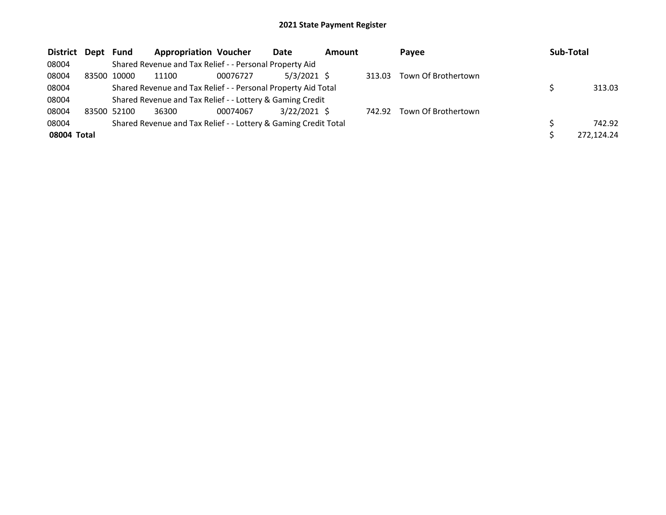| District    | Dept  | Fund        | <b>Appropriation Voucher</b>                                    |          | Date           | <b>Amount</b> |        | <b>Pavee</b>        | Sub-Total |            |
|-------------|-------|-------------|-----------------------------------------------------------------|----------|----------------|---------------|--------|---------------------|-----------|------------|
| 08004       |       |             | Shared Revenue and Tax Relief - - Personal Property Aid         |          |                |               |        |                     |           |            |
| 08004       | 83500 | 10000       | 11100                                                           | 00076727 | $5/3/2021$ \$  |               | 313.03 | Town Of Brothertown |           |            |
| 08004       |       |             | Shared Revenue and Tax Relief - - Personal Property Aid Total   |          |                |               |        |                     |           | 313.03     |
| 08004       |       |             | Shared Revenue and Tax Relief - - Lottery & Gaming Credit       |          |                |               |        |                     |           |            |
| 08004       |       | 83500 52100 | 36300                                                           | 00074067 | $3/22/2021$ \$ |               | 742.92 | Town Of Brothertown |           |            |
| 08004       |       |             | Shared Revenue and Tax Relief - - Lottery & Gaming Credit Total |          |                |               |        |                     |           | 742.92     |
| 08004 Total |       |             |                                                                 |          |                |               |        |                     |           | 272,124.24 |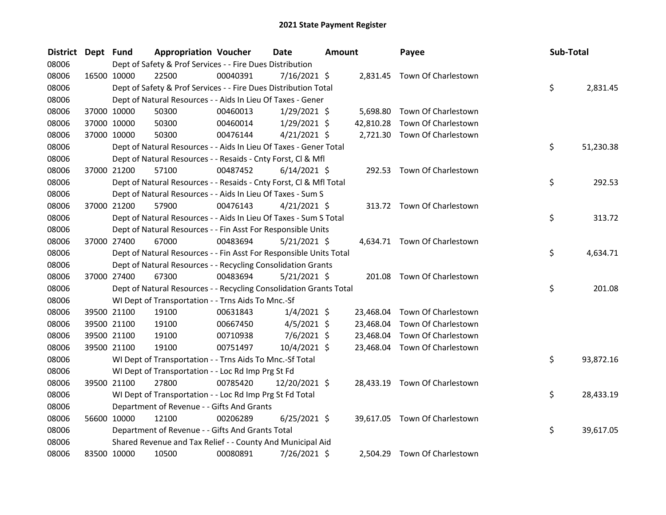| <b>District</b> | Dept Fund |             | <b>Appropriation Voucher</b>                                       |          | Date           | <b>Amount</b> |           | Payee                         | Sub-Total |           |
|-----------------|-----------|-------------|--------------------------------------------------------------------|----------|----------------|---------------|-----------|-------------------------------|-----------|-----------|
| 08006           |           |             | Dept of Safety & Prof Services - - Fire Dues Distribution          |          |                |               |           |                               |           |           |
| 08006           |           | 16500 10000 | 22500                                                              | 00040391 | $7/16/2021$ \$ |               |           | 2,831.45 Town Of Charlestown  |           |           |
| 08006           |           |             | Dept of Safety & Prof Services - - Fire Dues Distribution Total    |          |                |               |           |                               | \$        | 2,831.45  |
| 08006           |           |             | Dept of Natural Resources - - Aids In Lieu Of Taxes - Gener        |          |                |               |           |                               |           |           |
| 08006           |           | 37000 10000 | 50300                                                              | 00460013 | $1/29/2021$ \$ |               | 5,698.80  | Town Of Charlestown           |           |           |
| 08006           |           | 37000 10000 | 50300                                                              | 00460014 | $1/29/2021$ \$ |               | 42,810.28 | Town Of Charlestown           |           |           |
| 08006           |           | 37000 10000 | 50300                                                              | 00476144 | $4/21/2021$ \$ |               |           | 2,721.30 Town Of Charlestown  |           |           |
| 08006           |           |             | Dept of Natural Resources - - Aids In Lieu Of Taxes - Gener Total  |          |                |               |           |                               | \$        | 51,230.38 |
| 08006           |           |             | Dept of Natural Resources - - Resaids - Cnty Forst, Cl & Mfl       |          |                |               |           |                               |           |           |
| 08006           |           | 37000 21200 | 57100                                                              | 00487452 | $6/14/2021$ \$ |               | 292.53    | Town Of Charlestown           |           |           |
| 08006           |           |             | Dept of Natural Resources - - Resaids - Cnty Forst, CI & Mfl Total |          |                |               |           |                               | \$        | 292.53    |
| 08006           |           |             | Dept of Natural Resources - - Aids In Lieu Of Taxes - Sum S        |          |                |               |           |                               |           |           |
| 08006           |           | 37000 21200 | 57900                                                              | 00476143 | $4/21/2021$ \$ |               |           | 313.72 Town Of Charlestown    |           |           |
| 08006           |           |             | Dept of Natural Resources - - Aids In Lieu Of Taxes - Sum S Total  |          |                |               |           |                               | \$        | 313.72    |
| 08006           |           |             | Dept of Natural Resources - - Fin Asst For Responsible Units       |          |                |               |           |                               |           |           |
| 08006           |           | 37000 27400 | 67000                                                              | 00483694 | $5/21/2021$ \$ |               |           | 4,634.71 Town Of Charlestown  |           |           |
| 08006           |           |             | Dept of Natural Resources - - Fin Asst For Responsible Units Total |          |                |               |           |                               | \$        | 4,634.71  |
| 08006           |           |             | Dept of Natural Resources - - Recycling Consolidation Grants       |          |                |               |           |                               |           |           |
| 08006           |           | 37000 27400 | 67300                                                              | 00483694 | $5/21/2021$ \$ |               |           | 201.08 Town Of Charlestown    |           |           |
| 08006           |           |             | Dept of Natural Resources - - Recycling Consolidation Grants Total |          |                |               |           |                               | \$        | 201.08    |
| 08006           |           |             | WI Dept of Transportation - - Trns Aids To Mnc.-Sf                 |          |                |               |           |                               |           |           |
| 08006           |           | 39500 21100 | 19100                                                              | 00631843 | $1/4/2021$ \$  |               | 23,468.04 | Town Of Charlestown           |           |           |
| 08006           |           | 39500 21100 | 19100                                                              | 00667450 | $4/5/2021$ \$  |               | 23,468.04 | Town Of Charlestown           |           |           |
| 08006           |           | 39500 21100 | 19100                                                              | 00710938 | 7/6/2021 \$    |               | 23,468.04 | Town Of Charlestown           |           |           |
| 08006           |           | 39500 21100 | 19100                                                              | 00751497 | 10/4/2021 \$   |               | 23,468.04 | Town Of Charlestown           |           |           |
| 08006           |           |             | WI Dept of Transportation - - Trns Aids To Mnc.-Sf Total           |          |                |               |           |                               | \$        | 93,872.16 |
| 08006           |           |             | WI Dept of Transportation - - Loc Rd Imp Prg St Fd                 |          |                |               |           |                               |           |           |
| 08006           |           | 39500 21100 | 27800                                                              | 00785420 | 12/20/2021 \$  |               |           | 28,433.19 Town Of Charlestown |           |           |
| 08006           |           |             | WI Dept of Transportation - - Loc Rd Imp Prg St Fd Total           |          |                |               |           |                               | \$        | 28,433.19 |
| 08006           |           |             | Department of Revenue - - Gifts And Grants                         |          |                |               |           |                               |           |           |
| 08006           |           | 56600 10000 | 12100                                                              | 00206289 | $6/25/2021$ \$ |               |           | 39,617.05 Town Of Charlestown |           |           |
| 08006           |           |             | Department of Revenue - - Gifts And Grants Total                   |          |                |               |           |                               | \$        | 39,617.05 |
| 08006           |           |             | Shared Revenue and Tax Relief - - County And Municipal Aid         |          |                |               |           |                               |           |           |
| 08006           |           | 83500 10000 | 10500                                                              | 00080891 | 7/26/2021 \$   |               |           | 2,504.29 Town Of Charlestown  |           |           |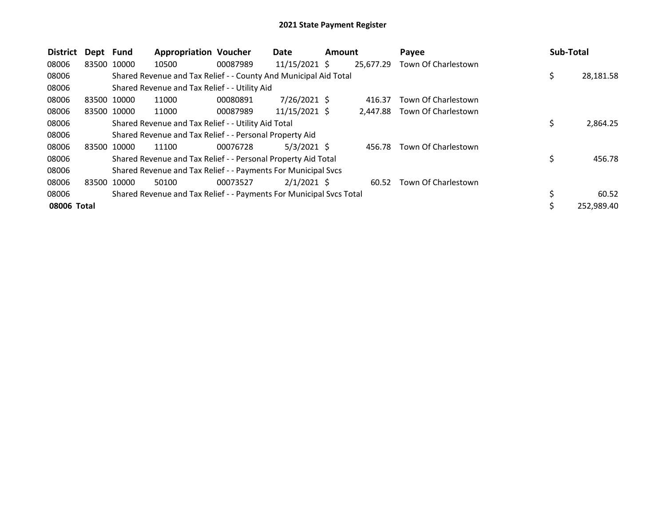| <b>District</b> | Dept Fund   |             | <b>Appropriation Voucher</b>                                        |          | Date            | <b>Amount</b> |           | Payee               | <b>Sub-Total</b> |            |
|-----------------|-------------|-------------|---------------------------------------------------------------------|----------|-----------------|---------------|-----------|---------------------|------------------|------------|
| 08006           | 83500 10000 |             | 10500                                                               | 00087989 | $11/15/2021$ \$ |               | 25,677.29 | Town Of Charlestown |                  |            |
| 08006           |             |             | Shared Revenue and Tax Relief - - County And Municipal Aid Total    |          |                 |               |           |                     | \$               | 28,181.58  |
| 08006           |             |             | Shared Revenue and Tax Relief - - Utility Aid                       |          |                 |               |           |                     |                  |            |
| 08006           | 83500 10000 |             | 11000                                                               | 00080891 | $7/26/2021$ \$  |               | 416.37    | Town Of Charlestown |                  |            |
| 08006           |             | 83500 10000 | 11000                                                               | 00087989 | 11/15/2021 \$   |               | 2.447.88  | Town Of Charlestown |                  |            |
| 08006           |             |             | Shared Revenue and Tax Relief - - Utility Aid Total                 |          |                 |               |           |                     | \$               | 2,864.25   |
| 08006           |             |             | Shared Revenue and Tax Relief - - Personal Property Aid             |          |                 |               |           |                     |                  |            |
| 08006           | 83500       | 10000       | 11100                                                               | 00076728 | $5/3/2021$ \$   |               | 456.78    | Town Of Charlestown |                  |            |
| 08006           |             |             | Shared Revenue and Tax Relief - - Personal Property Aid Total       |          |                 |               |           |                     | \$               | 456.78     |
| 08006           |             |             | Shared Revenue and Tax Relief - - Payments For Municipal Svcs       |          |                 |               |           |                     |                  |            |
| 08006           | 83500       | 10000       | 50100                                                               | 00073527 | $2/1/2021$ \$   |               | 60.52     | Town Of Charlestown |                  |            |
| 08006           |             |             | Shared Revenue and Tax Relief - - Payments For Municipal Svcs Total |          |                 |               |           |                     | \$               | 60.52      |
| 08006 Total     |             |             |                                                                     |          |                 |               |           |                     | Ś                | 252,989.40 |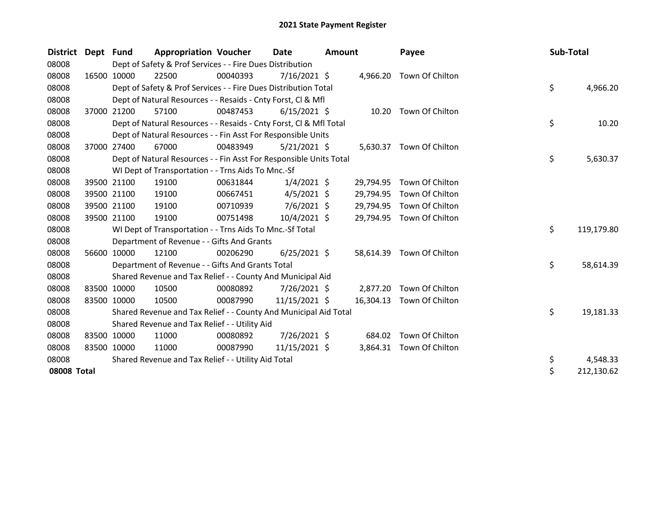| <b>District</b> | Dept  | Fund        | <b>Appropriation Voucher</b>                                       |          | <b>Date</b>    | Amount |           | Payee                     | Sub-Total |            |
|-----------------|-------|-------------|--------------------------------------------------------------------|----------|----------------|--------|-----------|---------------------------|-----------|------------|
| 08008           |       |             | Dept of Safety & Prof Services - - Fire Dues Distribution          |          |                |        |           |                           |           |            |
| 08008           |       | 16500 10000 | 22500                                                              | 00040393 | 7/16/2021 \$   |        | 4,966.20  | Town Of Chilton           |           |            |
| 08008           |       |             | Dept of Safety & Prof Services - - Fire Dues Distribution Total    |          |                |        |           |                           | \$        | 4,966.20   |
| 08008           |       |             | Dept of Natural Resources - - Resaids - Cnty Forst, CI & Mfl       |          |                |        |           |                           |           |            |
| 08008           | 37000 | 21200       | 57100                                                              | 00487453 | $6/15/2021$ \$ |        | 10.20     | Town Of Chilton           |           |            |
| 08008           |       |             | Dept of Natural Resources - - Resaids - Cnty Forst, CI & Mfl Total |          |                |        |           |                           | \$        | 10.20      |
| 08008           |       |             | Dept of Natural Resources - - Fin Asst For Responsible Units       |          |                |        |           |                           |           |            |
| 08008           | 37000 | 27400       | 67000                                                              | 00483949 | $5/21/2021$ \$ |        |           | 5,630.37 Town Of Chilton  |           |            |
| 08008           |       |             | Dept of Natural Resources - - Fin Asst For Responsible Units Total |          |                |        |           |                           | \$        | 5,630.37   |
| 08008           |       |             | WI Dept of Transportation - - Trns Aids To Mnc.-Sf                 |          |                |        |           |                           |           |            |
| 08008           |       | 39500 21100 | 19100                                                              | 00631844 | $1/4/2021$ \$  |        | 29,794.95 | Town Of Chilton           |           |            |
| 08008           |       | 39500 21100 | 19100                                                              | 00667451 | $4/5/2021$ \$  |        | 29,794.95 | Town Of Chilton           |           |            |
| 08008           |       | 39500 21100 | 19100                                                              | 00710939 | $7/6/2021$ \$  |        | 29,794.95 | Town Of Chilton           |           |            |
| 08008           |       | 39500 21100 | 19100                                                              | 00751498 | 10/4/2021 \$   |        |           | 29,794.95 Town Of Chilton |           |            |
| 08008           |       |             | WI Dept of Transportation - - Trns Aids To Mnc.-Sf Total           |          |                |        |           |                           | \$        | 119,179.80 |
| 08008           |       |             | Department of Revenue - - Gifts And Grants                         |          |                |        |           |                           |           |            |
| 08008           |       | 56600 10000 | 12100                                                              | 00206290 | $6/25/2021$ \$ |        | 58,614.39 | Town Of Chilton           |           |            |
| 08008           |       |             | Department of Revenue - - Gifts And Grants Total                   |          |                |        |           |                           | \$        | 58,614.39  |
| 08008           |       |             | Shared Revenue and Tax Relief - - County And Municipal Aid         |          |                |        |           |                           |           |            |
| 08008           |       | 83500 10000 | 10500                                                              | 00080892 | 7/26/2021 \$   |        | 2,877.20  | Town Of Chilton           |           |            |
| 08008           |       | 83500 10000 | 10500                                                              | 00087990 | 11/15/2021 \$  |        | 16,304.13 | Town Of Chilton           |           |            |
| 08008           |       |             | Shared Revenue and Tax Relief - - County And Municipal Aid Total   |          |                |        |           |                           | \$        | 19,181.33  |
| 08008           |       |             | Shared Revenue and Tax Relief - - Utility Aid                      |          |                |        |           |                           |           |            |
| 08008           |       | 83500 10000 | 11000                                                              | 00080892 | 7/26/2021 \$   |        | 684.02    | Town Of Chilton           |           |            |
| 08008           |       | 83500 10000 | 11000                                                              | 00087990 | 11/15/2021 \$  |        | 3,864.31  | Town Of Chilton           |           |            |
| 08008           |       |             | Shared Revenue and Tax Relief - - Utility Aid Total                |          |                |        |           |                           | \$        | 4,548.33   |
| 08008 Total     |       |             |                                                                    |          |                |        |           |                           | \$        | 212,130.62 |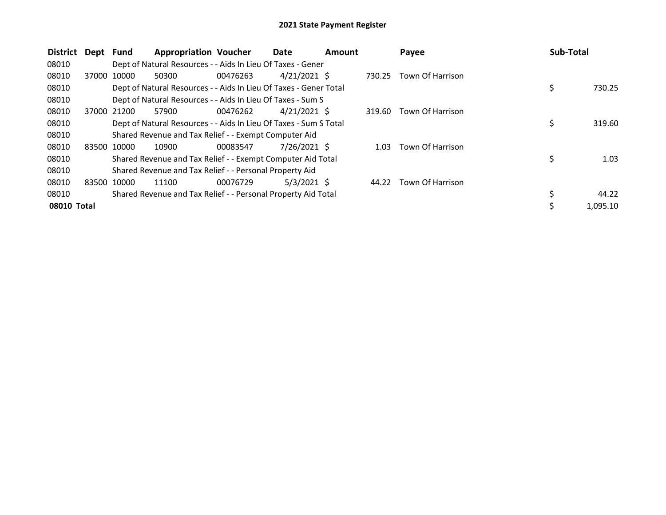| <b>District</b> | Dept        | <b>Fund</b> | <b>Appropriation Voucher</b>                                      |          | Date           | <b>Amount</b> |        | Payee            | Sub-Total |          |
|-----------------|-------------|-------------|-------------------------------------------------------------------|----------|----------------|---------------|--------|------------------|-----------|----------|
| 08010           |             |             | Dept of Natural Resources - - Aids In Lieu Of Taxes - Gener       |          |                |               |        |                  |           |          |
| 08010           |             | 37000 10000 | 50300                                                             | 00476263 | $4/21/2021$ \$ |               | 730.25 | Town Of Harrison |           |          |
| 08010           |             |             | Dept of Natural Resources - - Aids In Lieu Of Taxes - Gener Total |          |                |               |        |                  | \$        | 730.25   |
| 08010           |             |             | Dept of Natural Resources - - Aids In Lieu Of Taxes - Sum S       |          |                |               |        |                  |           |          |
| 08010           |             | 37000 21200 | 57900                                                             | 00476262 | 4/21/2021 \$   |               | 319.60 | Town Of Harrison |           |          |
| 08010           |             |             | Dept of Natural Resources - - Aids In Lieu Of Taxes - Sum S Total |          |                |               |        |                  | \$        | 319.60   |
| 08010           |             |             | Shared Revenue and Tax Relief - - Exempt Computer Aid             |          |                |               |        |                  |           |          |
| 08010           |             | 83500 10000 | 10900                                                             | 00083547 | $7/26/2021$ \$ |               | 1.03   | Town Of Harrison |           |          |
| 08010           |             |             | Shared Revenue and Tax Relief - - Exempt Computer Aid Total       |          |                |               |        |                  | \$        | 1.03     |
| 08010           |             |             | Shared Revenue and Tax Relief - - Personal Property Aid           |          |                |               |        |                  |           |          |
| 08010           | 83500 10000 |             | 11100                                                             | 00076729 | $5/3/2021$ \$  |               | 44.22  | Town Of Harrison |           |          |
| 08010           |             |             | Shared Revenue and Tax Relief - - Personal Property Aid Total     |          |                |               |        |                  | \$        | 44.22    |
| 08010 Total     |             |             |                                                                   |          |                |               |        |                  |           | 1,095.10 |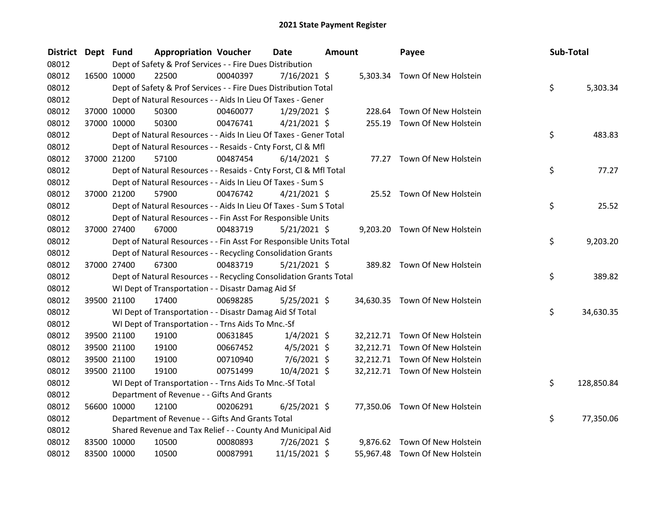| <b>District</b> | Dept Fund |             | <b>Appropriation Voucher</b>                                       |          | <b>Date</b>    | <b>Amount</b> |           | Payee                          | Sub-Total |            |
|-----------------|-----------|-------------|--------------------------------------------------------------------|----------|----------------|---------------|-----------|--------------------------------|-----------|------------|
| 08012           |           |             | Dept of Safety & Prof Services - - Fire Dues Distribution          |          |                |               |           |                                |           |            |
| 08012           |           | 16500 10000 | 22500                                                              | 00040397 | 7/16/2021 \$   |               |           | 5,303.34 Town Of New Holstein  |           |            |
| 08012           |           |             | Dept of Safety & Prof Services - - Fire Dues Distribution Total    |          |                |               |           |                                | \$        | 5,303.34   |
| 08012           |           |             | Dept of Natural Resources - - Aids In Lieu Of Taxes - Gener        |          |                |               |           |                                |           |            |
| 08012           |           | 37000 10000 | 50300                                                              | 00460077 | $1/29/2021$ \$ |               | 228.64    | Town Of New Holstein           |           |            |
| 08012           |           | 37000 10000 | 50300                                                              | 00476741 | $4/21/2021$ \$ |               |           | 255.19 Town Of New Holstein    |           |            |
| 08012           |           |             | Dept of Natural Resources - - Aids In Lieu Of Taxes - Gener Total  |          |                |               |           |                                | \$        | 483.83     |
| 08012           |           |             | Dept of Natural Resources - - Resaids - Cnty Forst, Cl & Mfl       |          |                |               |           |                                |           |            |
| 08012           |           | 37000 21200 | 57100                                                              | 00487454 | $6/14/2021$ \$ |               |           | 77.27 Town Of New Holstein     |           |            |
| 08012           |           |             | Dept of Natural Resources - - Resaids - Cnty Forst, Cl & Mfl Total |          |                |               |           |                                | \$        | 77.27      |
| 08012           |           |             | Dept of Natural Resources - - Aids In Lieu Of Taxes - Sum S        |          |                |               |           |                                |           |            |
| 08012           |           | 37000 21200 | 57900                                                              | 00476742 | $4/21/2021$ \$ |               |           | 25.52 Town Of New Holstein     |           |            |
| 08012           |           |             | Dept of Natural Resources - - Aids In Lieu Of Taxes - Sum S Total  |          |                |               |           |                                | \$        | 25.52      |
| 08012           |           |             | Dept of Natural Resources - - Fin Asst For Responsible Units       |          |                |               |           |                                |           |            |
| 08012           |           | 37000 27400 | 67000                                                              | 00483719 | $5/21/2021$ \$ |               |           | 9,203.20 Town Of New Holstein  |           |            |
| 08012           |           |             | Dept of Natural Resources - - Fin Asst For Responsible Units Total |          |                |               |           |                                | \$        | 9,203.20   |
| 08012           |           |             | Dept of Natural Resources - - Recycling Consolidation Grants       |          |                |               |           |                                |           |            |
| 08012           |           | 37000 27400 | 67300                                                              | 00483719 | $5/21/2021$ \$ |               |           | 389.82 Town Of New Holstein    |           |            |
| 08012           |           |             | Dept of Natural Resources - - Recycling Consolidation Grants Total |          |                |               |           |                                | \$        | 389.82     |
| 08012           |           |             | WI Dept of Transportation - - Disastr Damag Aid Sf                 |          |                |               |           |                                |           |            |
| 08012           |           | 39500 21100 | 17400                                                              | 00698285 | $5/25/2021$ \$ |               |           | 34,630.35 Town Of New Holstein |           |            |
| 08012           |           |             | WI Dept of Transportation - - Disastr Damag Aid Sf Total           |          |                |               |           |                                | \$        | 34,630.35  |
| 08012           |           |             | WI Dept of Transportation - - Trns Aids To Mnc.-Sf                 |          |                |               |           |                                |           |            |
| 08012           |           | 39500 21100 | 19100                                                              | 00631845 | $1/4/2021$ \$  |               |           | 32,212.71 Town Of New Holstein |           |            |
| 08012           |           | 39500 21100 | 19100                                                              | 00667452 | $4/5/2021$ \$  |               |           | 32,212.71 Town Of New Holstein |           |            |
| 08012           |           | 39500 21100 | 19100                                                              | 00710940 | $7/6/2021$ \$  |               | 32,212.71 | Town Of New Holstein           |           |            |
| 08012           |           | 39500 21100 | 19100                                                              | 00751499 | 10/4/2021 \$   |               |           | 32,212.71 Town Of New Holstein |           |            |
| 08012           |           |             | WI Dept of Transportation - - Trns Aids To Mnc.-Sf Total           |          |                |               |           |                                | \$.       | 128,850.84 |
| 08012           |           |             | Department of Revenue - - Gifts And Grants                         |          |                |               |           |                                |           |            |
| 08012           |           | 56600 10000 | 12100                                                              | 00206291 | $6/25/2021$ \$ |               |           | 77,350.06 Town Of New Holstein |           |            |
| 08012           |           |             | Department of Revenue - - Gifts And Grants Total                   |          |                |               |           |                                | \$        | 77,350.06  |
| 08012           |           |             | Shared Revenue and Tax Relief - - County And Municipal Aid         |          |                |               |           |                                |           |            |
| 08012           |           | 83500 10000 | 10500                                                              | 00080893 | 7/26/2021 \$   |               | 9,876.62  | Town Of New Holstein           |           |            |
| 08012           |           | 83500 10000 | 10500                                                              | 00087991 | 11/15/2021 \$  |               |           | 55,967.48 Town Of New Holstein |           |            |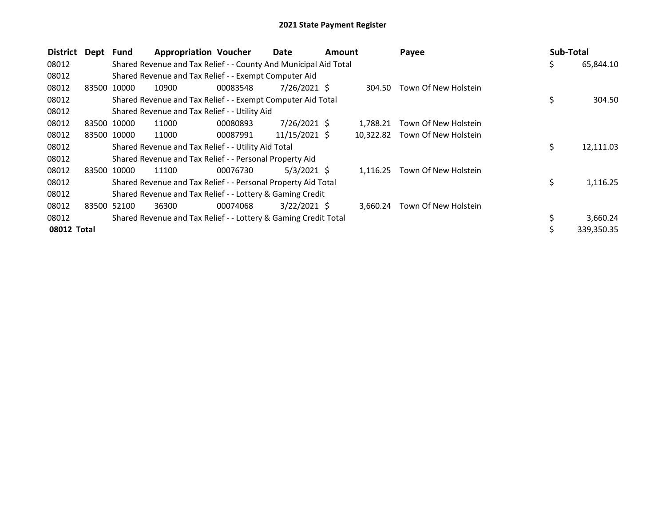| <b>District</b> | Dept Fund |             | <b>Appropriation Voucher</b>                                     |          | Date           | Amount |           | Payee                | Sub-Total |            |
|-----------------|-----------|-------------|------------------------------------------------------------------|----------|----------------|--------|-----------|----------------------|-----------|------------|
| 08012           |           |             | Shared Revenue and Tax Relief - - County And Municipal Aid Total |          |                |        |           |                      | \$        | 65,844.10  |
| 08012           |           |             | Shared Revenue and Tax Relief - - Exempt Computer Aid            |          |                |        |           |                      |           |            |
| 08012           | 83500     | 10000       | 10900                                                            | 00083548 | $7/26/2021$ \$ |        | 304.50    | Town Of New Holstein |           |            |
| 08012           |           |             | Shared Revenue and Tax Relief - - Exempt Computer Aid Total      |          |                |        |           |                      | \$        | 304.50     |
| 08012           |           |             | Shared Revenue and Tax Relief - - Utility Aid                    |          |                |        |           |                      |           |            |
| 08012           |           | 83500 10000 | 11000                                                            | 00080893 | $7/26/2021$ \$ |        | 1.788.21  | Town Of New Holstein |           |            |
| 08012           |           | 83500 10000 | 11000                                                            | 00087991 | 11/15/2021 \$  |        | 10.322.82 | Town Of New Holstein |           |            |
| 08012           |           |             | Shared Revenue and Tax Relief - - Utility Aid Total              |          |                |        |           |                      | \$        | 12,111.03  |
| 08012           |           |             | Shared Revenue and Tax Relief - - Personal Property Aid          |          |                |        |           |                      |           |            |
| 08012           |           | 83500 10000 | 11100                                                            | 00076730 | $5/3/2021$ \$  |        | 1,116.25  | Town Of New Holstein |           |            |
| 08012           |           |             | Shared Revenue and Tax Relief - - Personal Property Aid Total    |          |                |        |           |                      | \$        | 1,116.25   |
| 08012           |           |             | Shared Revenue and Tax Relief - - Lottery & Gaming Credit        |          |                |        |           |                      |           |            |
| 08012           |           | 83500 52100 | 36300                                                            | 00074068 | $3/22/2021$ \$ |        | 3,660.24  | Town Of New Holstein |           |            |
| 08012           |           |             | Shared Revenue and Tax Relief - - Lottery & Gaming Credit Total  |          |                |        |           |                      |           | 3,660.24   |
| 08012 Total     |           |             |                                                                  |          |                |        |           |                      | Ś         | 339,350.35 |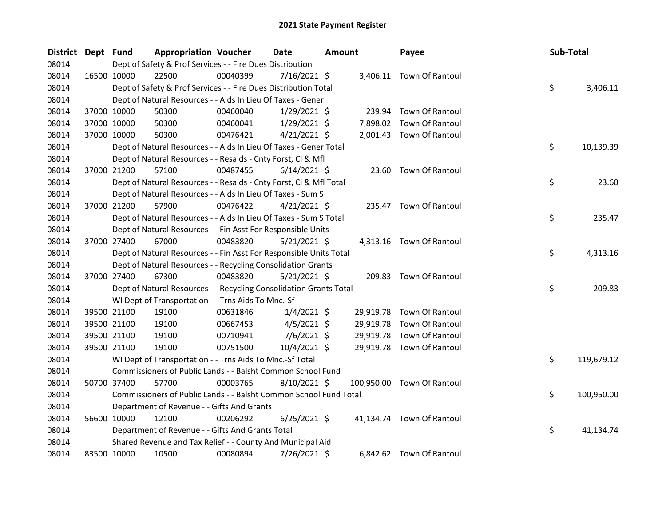| District Dept Fund |             |             | <b>Appropriation Voucher</b>                                       |          | <b>Date</b>    | <b>Amount</b> |           | Payee                      | Sub-Total |            |
|--------------------|-------------|-------------|--------------------------------------------------------------------|----------|----------------|---------------|-----------|----------------------------|-----------|------------|
| 08014              |             |             | Dept of Safety & Prof Services - - Fire Dues Distribution          |          |                |               |           |                            |           |            |
| 08014              |             | 16500 10000 | 22500                                                              | 00040399 | 7/16/2021 \$   |               |           | 3,406.11 Town Of Rantoul   |           |            |
| 08014              |             |             | Dept of Safety & Prof Services - - Fire Dues Distribution Total    |          |                |               |           |                            | \$        | 3,406.11   |
| 08014              |             |             | Dept of Natural Resources - - Aids In Lieu Of Taxes - Gener        |          |                |               |           |                            |           |            |
| 08014              |             | 37000 10000 | 50300                                                              | 00460040 | $1/29/2021$ \$ |               | 239.94    | Town Of Rantoul            |           |            |
| 08014              |             | 37000 10000 | 50300                                                              | 00460041 | $1/29/2021$ \$ |               | 7,898.02  | Town Of Rantoul            |           |            |
| 08014              |             | 37000 10000 | 50300                                                              | 00476421 | $4/21/2021$ \$ |               |           | 2,001.43 Town Of Rantoul   |           |            |
| 08014              |             |             | Dept of Natural Resources - - Aids In Lieu Of Taxes - Gener Total  |          |                |               |           |                            | \$        | 10,139.39  |
| 08014              |             |             | Dept of Natural Resources - - Resaids - Cnty Forst, Cl & Mfl       |          |                |               |           |                            |           |            |
| 08014              |             | 37000 21200 | 57100                                                              | 00487455 | $6/14/2021$ \$ |               |           | 23.60 Town Of Rantoul      |           |            |
| 08014              |             |             | Dept of Natural Resources - - Resaids - Cnty Forst, CI & Mfl Total |          |                |               |           |                            | \$        | 23.60      |
| 08014              |             |             | Dept of Natural Resources - - Aids In Lieu Of Taxes - Sum S        |          |                |               |           |                            |           |            |
| 08014              |             | 37000 21200 | 57900                                                              | 00476422 | $4/21/2021$ \$ |               |           | 235.47 Town Of Rantoul     |           |            |
| 08014              |             |             | Dept of Natural Resources - - Aids In Lieu Of Taxes - Sum S Total  |          |                |               |           |                            | \$        | 235.47     |
| 08014              |             |             | Dept of Natural Resources - - Fin Asst For Responsible Units       |          |                |               |           |                            |           |            |
| 08014              |             | 37000 27400 | 67000                                                              | 00483820 | $5/21/2021$ \$ |               |           | 4,313.16 Town Of Rantoul   |           |            |
| 08014              |             |             | Dept of Natural Resources - - Fin Asst For Responsible Units Total |          |                |               |           |                            | \$        | 4,313.16   |
| 08014              |             |             | Dept of Natural Resources - - Recycling Consolidation Grants       |          |                |               |           |                            |           |            |
| 08014              |             | 37000 27400 | 67300                                                              | 00483820 | $5/21/2021$ \$ |               |           | 209.83 Town Of Rantoul     |           |            |
| 08014              |             |             | Dept of Natural Resources - - Recycling Consolidation Grants Total |          |                |               |           |                            | \$        | 209.83     |
| 08014              |             |             | WI Dept of Transportation - - Trns Aids To Mnc.-Sf                 |          |                |               |           |                            |           |            |
| 08014              |             | 39500 21100 | 19100                                                              | 00631846 | $1/4/2021$ \$  |               | 29,919.78 | Town Of Rantoul            |           |            |
| 08014              |             | 39500 21100 | 19100                                                              | 00667453 | $4/5/2021$ \$  |               |           | 29,919.78 Town Of Rantoul  |           |            |
| 08014              |             | 39500 21100 | 19100                                                              | 00710941 | $7/6/2021$ \$  |               | 29,919.78 | Town Of Rantoul            |           |            |
| 08014              |             | 39500 21100 | 19100                                                              | 00751500 | 10/4/2021 \$   |               |           | 29,919.78 Town Of Rantoul  |           |            |
| 08014              |             |             | WI Dept of Transportation - - Trns Aids To Mnc.-Sf Total           |          |                |               |           |                            | \$        | 119,679.12 |
| 08014              |             |             | Commissioners of Public Lands - - Balsht Common School Fund        |          |                |               |           |                            |           |            |
| 08014              |             | 50700 37400 | 57700                                                              | 00003765 | 8/10/2021 \$   |               |           | 100,950.00 Town Of Rantoul |           |            |
| 08014              |             |             | Commissioners of Public Lands - - Balsht Common School Fund Total  |          |                |               |           |                            | \$        | 100,950.00 |
| 08014              |             |             | Department of Revenue - - Gifts And Grants                         |          |                |               |           |                            |           |            |
| 08014              |             | 56600 10000 | 12100                                                              | 00206292 | $6/25/2021$ \$ |               |           | 41,134.74 Town Of Rantoul  |           |            |
| 08014              |             |             | Department of Revenue - - Gifts And Grants Total                   |          |                |               |           |                            | \$        | 41,134.74  |
| 08014              |             |             | Shared Revenue and Tax Relief - - County And Municipal Aid         |          |                |               |           |                            |           |            |
| 08014              | 83500 10000 |             | 10500                                                              | 00080894 | 7/26/2021 \$   |               |           | 6,842.62 Town Of Rantoul   |           |            |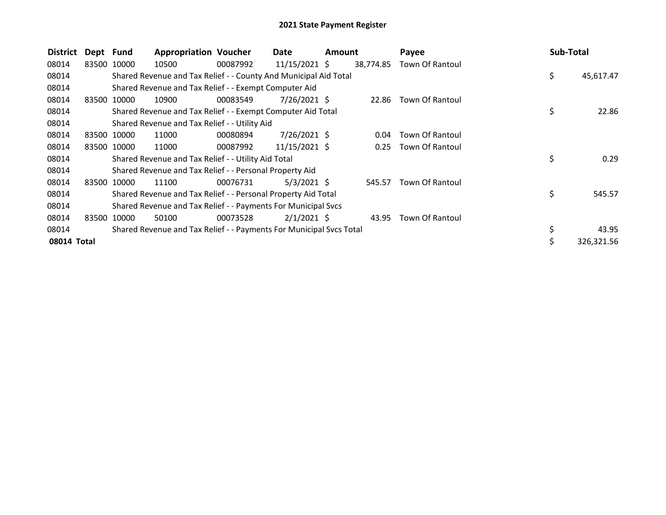| <b>District</b> | Dept Fund |             | <b>Appropriation Voucher</b>                                        |          | Date            | Amount |           | Payee                  | Sub-Total       |  |
|-----------------|-----------|-------------|---------------------------------------------------------------------|----------|-----------------|--------|-----------|------------------------|-----------------|--|
| 08014           |           | 83500 10000 | 10500                                                               | 00087992 | 11/15/2021 \$   |        | 38,774.85 | Town Of Rantoul        |                 |  |
| 08014           |           |             | Shared Revenue and Tax Relief - - County And Municipal Aid Total    |          |                 |        |           |                        | \$<br>45,617.47 |  |
| 08014           |           |             | Shared Revenue and Tax Relief - - Exempt Computer Aid               |          |                 |        |           |                        |                 |  |
| 08014           |           | 83500 10000 | 10900                                                               | 00083549 | 7/26/2021 \$    |        | 22.86     | Town Of Rantoul        |                 |  |
| 08014           |           |             | Shared Revenue and Tax Relief - - Exempt Computer Aid Total         |          |                 |        |           |                        | \$<br>22.86     |  |
| 08014           |           |             | Shared Revenue and Tax Relief - - Utility Aid                       |          |                 |        |           |                        |                 |  |
| 08014           |           | 83500 10000 | 11000                                                               | 00080894 | 7/26/2021 \$    |        | 0.04      | Town Of Rantoul        |                 |  |
| 08014           |           | 83500 10000 | 11000                                                               | 00087992 | $11/15/2021$ \$ |        | 0.25      | Town Of Rantoul        |                 |  |
| 08014           |           |             | Shared Revenue and Tax Relief - - Utility Aid Total                 |          |                 |        |           |                        | \$<br>0.29      |  |
| 08014           |           |             | Shared Revenue and Tax Relief - - Personal Property Aid             |          |                 |        |           |                        |                 |  |
| 08014           |           | 83500 10000 | 11100                                                               | 00076731 | $5/3/2021$ \$   |        | 545.57    | Town Of Rantoul        |                 |  |
| 08014           |           |             | Shared Revenue and Tax Relief - - Personal Property Aid Total       |          |                 |        |           |                        | \$<br>545.57    |  |
| 08014           |           |             | Shared Revenue and Tax Relief - - Payments For Municipal Svcs       |          |                 |        |           |                        |                 |  |
| 08014           | 83500     | 10000       | 50100                                                               | 00073528 | $2/1/2021$ \$   |        | 43.95     | <b>Town Of Rantoul</b> |                 |  |
| 08014           |           |             | Shared Revenue and Tax Relief - - Payments For Municipal Svcs Total |          |                 |        |           |                        | \$<br>43.95     |  |
| 08014 Total     |           |             |                                                                     |          |                 |        |           |                        | 326,321.56      |  |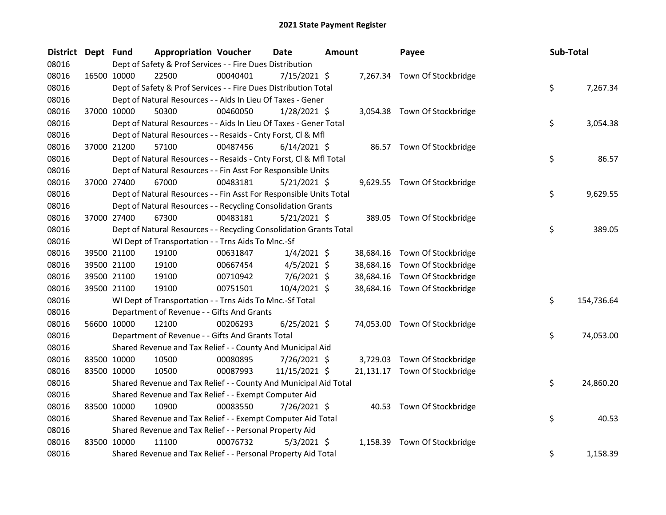| <b>District</b> | Dept Fund |             | <b>Appropriation Voucher</b>                                       |          | <b>Date</b>    | <b>Amount</b> |           | Payee                         | Sub-Total |            |
|-----------------|-----------|-------------|--------------------------------------------------------------------|----------|----------------|---------------|-----------|-------------------------------|-----------|------------|
| 08016           |           |             | Dept of Safety & Prof Services - - Fire Dues Distribution          |          |                |               |           |                               |           |            |
| 08016           |           | 16500 10000 | 22500                                                              | 00040401 | 7/15/2021 \$   |               |           | 7,267.34 Town Of Stockbridge  |           |            |
| 08016           |           |             | Dept of Safety & Prof Services - - Fire Dues Distribution Total    |          |                |               |           |                               | \$        | 7,267.34   |
| 08016           |           |             | Dept of Natural Resources - - Aids In Lieu Of Taxes - Gener        |          |                |               |           |                               |           |            |
| 08016           |           | 37000 10000 | 50300                                                              | 00460050 | $1/28/2021$ \$ |               |           | 3,054.38 Town Of Stockbridge  |           |            |
| 08016           |           |             | Dept of Natural Resources - - Aids In Lieu Of Taxes - Gener Total  |          |                |               |           |                               | \$        | 3,054.38   |
| 08016           |           |             | Dept of Natural Resources - - Resaids - Cnty Forst, Cl & Mfl       |          |                |               |           |                               |           |            |
| 08016           |           | 37000 21200 | 57100                                                              | 00487456 | $6/14/2021$ \$ |               |           | 86.57 Town Of Stockbridge     |           |            |
| 08016           |           |             | Dept of Natural Resources - - Resaids - Cnty Forst, CI & Mfl Total |          |                |               |           |                               | \$        | 86.57      |
| 08016           |           |             | Dept of Natural Resources - - Fin Asst For Responsible Units       |          |                |               |           |                               |           |            |
| 08016           |           | 37000 27400 | 67000                                                              | 00483181 | 5/21/2021 \$   |               |           | 9,629.55 Town Of Stockbridge  |           |            |
| 08016           |           |             | Dept of Natural Resources - - Fin Asst For Responsible Units Total |          |                |               |           |                               | \$        | 9,629.55   |
| 08016           |           |             | Dept of Natural Resources - - Recycling Consolidation Grants       |          |                |               |           |                               |           |            |
| 08016           |           | 37000 27400 | 67300                                                              | 00483181 | $5/21/2021$ \$ |               |           | 389.05 Town Of Stockbridge    |           |            |
| 08016           |           |             | Dept of Natural Resources - - Recycling Consolidation Grants Total |          |                |               |           |                               | \$        | 389.05     |
| 08016           |           |             | WI Dept of Transportation - - Trns Aids To Mnc.-Sf                 |          |                |               |           |                               |           |            |
| 08016           |           | 39500 21100 | 19100                                                              | 00631847 | $1/4/2021$ \$  |               |           | 38,684.16 Town Of Stockbridge |           |            |
| 08016           |           | 39500 21100 | 19100                                                              | 00667454 | $4/5/2021$ \$  |               | 38,684.16 | Town Of Stockbridge           |           |            |
| 08016           |           | 39500 21100 | 19100                                                              | 00710942 | $7/6/2021$ \$  |               | 38,684.16 | Town Of Stockbridge           |           |            |
| 08016           |           | 39500 21100 | 19100                                                              | 00751501 | 10/4/2021 \$   |               |           | 38,684.16 Town Of Stockbridge |           |            |
| 08016           |           |             | WI Dept of Transportation - - Trns Aids To Mnc.-Sf Total           |          |                |               |           |                               | \$        | 154,736.64 |
| 08016           |           |             | Department of Revenue - - Gifts And Grants                         |          |                |               |           |                               |           |            |
| 08016           |           | 56600 10000 | 12100                                                              | 00206293 | $6/25/2021$ \$ |               |           | 74,053.00 Town Of Stockbridge |           |            |
| 08016           |           |             | Department of Revenue - - Gifts And Grants Total                   |          |                |               |           |                               | \$        | 74,053.00  |
| 08016           |           |             | Shared Revenue and Tax Relief - - County And Municipal Aid         |          |                |               |           |                               |           |            |
| 08016           |           | 83500 10000 | 10500                                                              | 00080895 | 7/26/2021 \$   |               | 3,729.03  | Town Of Stockbridge           |           |            |
| 08016           |           | 83500 10000 | 10500                                                              | 00087993 | 11/15/2021 \$  |               |           | 21,131.17 Town Of Stockbridge |           |            |
| 08016           |           |             | Shared Revenue and Tax Relief - - County And Municipal Aid Total   |          |                |               |           |                               | \$        | 24,860.20  |
| 08016           |           |             | Shared Revenue and Tax Relief - - Exempt Computer Aid              |          |                |               |           |                               |           |            |
| 08016           |           | 83500 10000 | 10900                                                              | 00083550 | 7/26/2021 \$   |               |           | 40.53 Town Of Stockbridge     |           |            |
| 08016           |           |             | Shared Revenue and Tax Relief - - Exempt Computer Aid Total        |          |                |               |           |                               | \$        | 40.53      |
| 08016           |           |             | Shared Revenue and Tax Relief - - Personal Property Aid            |          |                |               |           |                               |           |            |
| 08016           |           | 83500 10000 | 11100                                                              | 00076732 | $5/3/2021$ \$  |               |           | 1,158.39 Town Of Stockbridge  |           |            |
| 08016           |           |             | Shared Revenue and Tax Relief - - Personal Property Aid Total      |          |                |               |           |                               | \$        | 1,158.39   |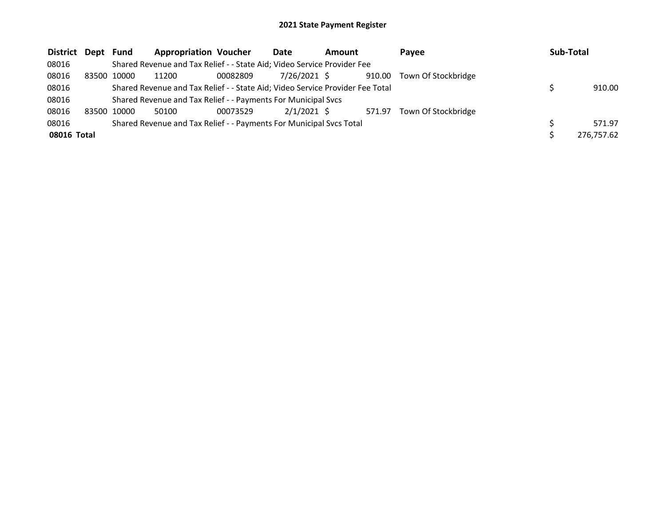| District    | Dept        | Fund  | <b>Appropriation Voucher</b>                                            |          | Date         | <b>Amount</b>                                                                 | <b>Pavee</b>               | Sub-Total |            |
|-------------|-------------|-------|-------------------------------------------------------------------------|----------|--------------|-------------------------------------------------------------------------------|----------------------------|-----------|------------|
| 08016       |             |       | Shared Revenue and Tax Relief - - State Aid; Video Service Provider Fee |          |              |                                                                               |                            |           |            |
| 08016       | 83500 10000 |       | 11200                                                                   | 00082809 | 7/26/2021 \$ |                                                                               | 910.00 Town Of Stockbridge |           |            |
| 08016       |             |       |                                                                         |          |              | Shared Revenue and Tax Relief - - State Aid; Video Service Provider Fee Total |                            |           | 910.00     |
| 08016       |             |       | Shared Revenue and Tax Relief - - Payments For Municipal Svcs           |          |              |                                                                               |                            |           |            |
| 08016       | 83500       | 10000 | 50100                                                                   | 00073529 | 2/1/2021 \$  | 571.97                                                                        | Town Of Stockbridge        |           |            |
| 08016       |             |       | Shared Revenue and Tax Relief - - Payments For Municipal Svcs Total     |          |              |                                                                               |                            |           | 571.97     |
| 08016 Total |             |       |                                                                         |          |              |                                                                               |                            |           | 276,757.62 |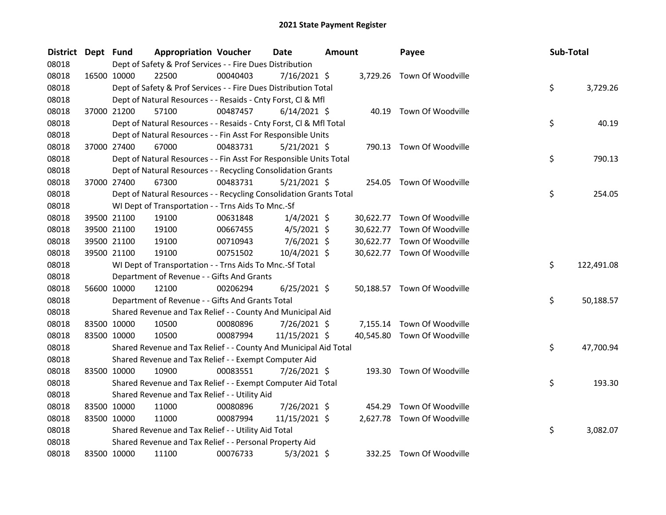| <b>District</b> | Dept Fund |             | <b>Appropriation Voucher</b>                                       |          | Date<br>Amount |  | Payee     | Sub-Total                   |     |            |
|-----------------|-----------|-------------|--------------------------------------------------------------------|----------|----------------|--|-----------|-----------------------------|-----|------------|
| 08018           |           |             | Dept of Safety & Prof Services - - Fire Dues Distribution          |          |                |  |           |                             |     |            |
| 08018           |           | 16500 10000 | 22500                                                              | 00040403 | 7/16/2021 \$   |  |           | 3,729.26 Town Of Woodville  |     |            |
| 08018           |           |             | Dept of Safety & Prof Services - - Fire Dues Distribution Total    |          |                |  |           |                             | \$  | 3,729.26   |
| 08018           |           |             | Dept of Natural Resources - - Resaids - Cnty Forst, Cl & Mfl       |          |                |  |           |                             |     |            |
| 08018           |           | 37000 21200 | 57100                                                              | 00487457 | $6/14/2021$ \$ |  |           | 40.19 Town Of Woodville     |     |            |
| 08018           |           |             | Dept of Natural Resources - - Resaids - Cnty Forst, CI & Mfl Total |          |                |  |           |                             | \$  | 40.19      |
| 08018           |           |             | Dept of Natural Resources - - Fin Asst For Responsible Units       |          |                |  |           |                             |     |            |
| 08018           |           | 37000 27400 | 67000                                                              | 00483731 | $5/21/2021$ \$ |  | 790.13    | Town Of Woodville           |     |            |
| 08018           |           |             | Dept of Natural Resources - - Fin Asst For Responsible Units Total |          |                |  |           |                             | \$  | 790.13     |
| 08018           |           |             | Dept of Natural Resources - - Recycling Consolidation Grants       |          |                |  |           |                             |     |            |
| 08018           |           | 37000 27400 | 67300                                                              | 00483731 | $5/21/2021$ \$ |  | 254.05    | Town Of Woodville           |     |            |
| 08018           |           |             | Dept of Natural Resources - - Recycling Consolidation Grants Total |          |                |  |           |                             | \$  | 254.05     |
| 08018           |           |             | WI Dept of Transportation - - Trns Aids To Mnc.-Sf                 |          |                |  |           |                             |     |            |
| 08018           |           | 39500 21100 | 19100                                                              | 00631848 | $1/4/2021$ \$  |  | 30,622.77 | Town Of Woodville           |     |            |
| 08018           |           | 39500 21100 | 19100                                                              | 00667455 | $4/5/2021$ \$  |  | 30,622.77 | Town Of Woodville           |     |            |
| 08018           |           | 39500 21100 | 19100                                                              | 00710943 | $7/6/2021$ \$  |  |           | 30,622.77 Town Of Woodville |     |            |
| 08018           |           | 39500 21100 | 19100                                                              | 00751502 | 10/4/2021 \$   |  |           | 30,622.77 Town Of Woodville |     |            |
| 08018           |           |             | WI Dept of Transportation - - Trns Aids To Mnc.-Sf Total           |          |                |  |           |                             | \$  | 122,491.08 |
| 08018           |           |             | Department of Revenue - - Gifts And Grants                         |          |                |  |           |                             |     |            |
| 08018           |           | 56600 10000 | 12100                                                              | 00206294 | $6/25/2021$ \$ |  |           | 50,188.57 Town Of Woodville |     |            |
| 08018           |           |             | Department of Revenue - - Gifts And Grants Total                   |          |                |  |           |                             | \$. | 50,188.57  |
| 08018           |           |             | Shared Revenue and Tax Relief - - County And Municipal Aid         |          |                |  |           |                             |     |            |
| 08018           |           | 83500 10000 | 10500                                                              | 00080896 | 7/26/2021 \$   |  |           | 7,155.14 Town Of Woodville  |     |            |
| 08018           |           | 83500 10000 | 10500                                                              | 00087994 | 11/15/2021 \$  |  | 40,545.80 | Town Of Woodville           |     |            |
| 08018           |           |             | Shared Revenue and Tax Relief - - County And Municipal Aid Total   |          |                |  |           |                             | \$  | 47,700.94  |
| 08018           |           |             | Shared Revenue and Tax Relief - - Exempt Computer Aid              |          |                |  |           |                             |     |            |
| 08018           |           | 83500 10000 | 10900                                                              | 00083551 | 7/26/2021 \$   |  |           | 193.30 Town Of Woodville    |     |            |
| 08018           |           |             | Shared Revenue and Tax Relief - - Exempt Computer Aid Total        |          |                |  |           |                             | \$  | 193.30     |
| 08018           |           |             | Shared Revenue and Tax Relief - - Utility Aid                      |          |                |  |           |                             |     |            |
| 08018           |           | 83500 10000 | 11000                                                              | 00080896 | 7/26/2021 \$   |  | 454.29    | Town Of Woodville           |     |            |
| 08018           |           | 83500 10000 | 11000                                                              | 00087994 | 11/15/2021 \$  |  |           | 2,627.78 Town Of Woodville  |     |            |
| 08018           |           |             | Shared Revenue and Tax Relief - - Utility Aid Total                |          |                |  |           |                             | \$  | 3,082.07   |
| 08018           |           |             | Shared Revenue and Tax Relief - - Personal Property Aid            |          |                |  |           |                             |     |            |
| 08018           |           | 83500 10000 | 11100                                                              | 00076733 | $5/3/2021$ \$  |  |           | 332.25 Town Of Woodville    |     |            |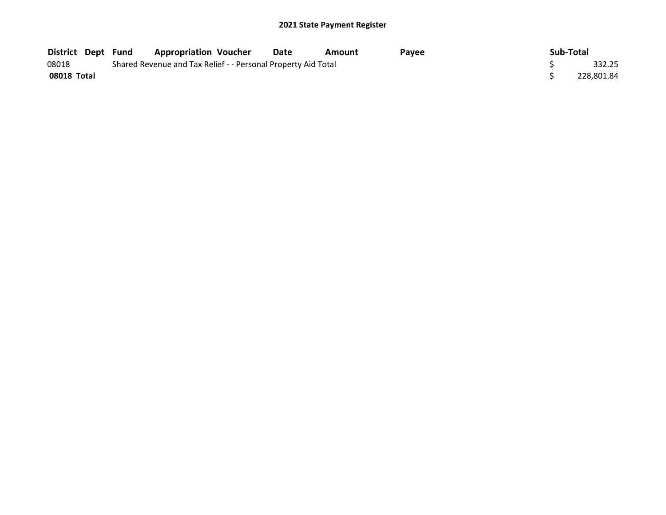| <b>District Dept Fund</b> |  | <b>Appropriation Voucher</b>                                  | Date | Amount | <b>Pavee</b> | Sub-Total |            |
|---------------------------|--|---------------------------------------------------------------|------|--------|--------------|-----------|------------|
| 08018                     |  | Shared Revenue and Tax Relief - - Personal Property Aid Total |      |        |              |           | 332.25     |
| 08018 Total               |  |                                                               |      |        |              |           | 228.801.84 |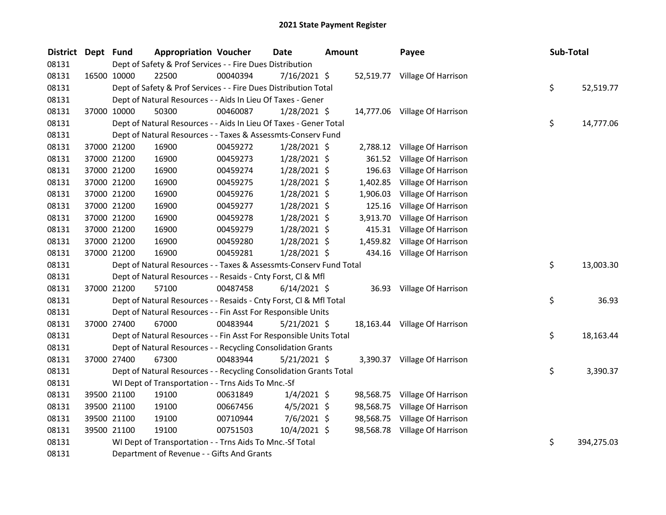| District Dept Fund |             | <b>Appropriation Voucher</b>                                       |          | Date<br><b>Amount</b> |  | Sub-Total<br>Payee |                               |  |    |            |
|--------------------|-------------|--------------------------------------------------------------------|----------|-----------------------|--|--------------------|-------------------------------|--|----|------------|
| 08131              |             | Dept of Safety & Prof Services - - Fire Dues Distribution          |          |                       |  |                    |                               |  |    |            |
| 08131              | 16500 10000 | 22500                                                              | 00040394 | 7/16/2021 \$          |  |                    | 52,519.77 Village Of Harrison |  |    |            |
| 08131              |             | Dept of Safety & Prof Services - - Fire Dues Distribution Total    |          |                       |  |                    |                               |  | \$ | 52,519.77  |
| 08131              |             | Dept of Natural Resources - - Aids In Lieu Of Taxes - Gener        |          |                       |  |                    |                               |  |    |            |
| 08131              | 37000 10000 | 50300                                                              | 00460087 | $1/28/2021$ \$        |  |                    | 14,777.06 Village Of Harrison |  |    |            |
| 08131              |             | Dept of Natural Resources - - Aids In Lieu Of Taxes - Gener Total  |          |                       |  |                    |                               |  | \$ | 14,777.06  |
| 08131              |             | Dept of Natural Resources - - Taxes & Assessmts-Conserv Fund       |          |                       |  |                    |                               |  |    |            |
| 08131              | 37000 21200 | 16900                                                              | 00459272 | 1/28/2021 \$          |  | 2,788.12           | Village Of Harrison           |  |    |            |
| 08131              | 37000 21200 | 16900                                                              | 00459273 | $1/28/2021$ \$        |  | 361.52             | Village Of Harrison           |  |    |            |
| 08131              | 37000 21200 | 16900                                                              | 00459274 | 1/28/2021 \$          |  | 196.63             | Village Of Harrison           |  |    |            |
| 08131              | 37000 21200 | 16900                                                              | 00459275 | 1/28/2021 \$          |  | 1,402.85           | Village Of Harrison           |  |    |            |
| 08131              | 37000 21200 | 16900                                                              | 00459276 | 1/28/2021 \$          |  | 1,906.03           | Village Of Harrison           |  |    |            |
| 08131              | 37000 21200 | 16900                                                              | 00459277 | 1/28/2021 \$          |  | 125.16             | Village Of Harrison           |  |    |            |
| 08131              | 37000 21200 | 16900                                                              | 00459278 | 1/28/2021 \$          |  | 3,913.70           | Village Of Harrison           |  |    |            |
| 08131              | 37000 21200 | 16900                                                              | 00459279 | 1/28/2021 \$          |  | 415.31             | Village Of Harrison           |  |    |            |
| 08131              | 37000 21200 | 16900                                                              | 00459280 | $1/28/2021$ \$        |  | 1,459.82           | Village Of Harrison           |  |    |            |
| 08131              | 37000 21200 | 16900                                                              | 00459281 | $1/28/2021$ \$        |  | 434.16             | Village Of Harrison           |  |    |            |
| 08131              |             | Dept of Natural Resources - - Taxes & Assessmts-Conserv Fund Total |          |                       |  |                    |                               |  | \$ | 13,003.30  |
| 08131              |             | Dept of Natural Resources - - Resaids - Cnty Forst, Cl & Mfl       |          |                       |  |                    |                               |  |    |            |
| 08131              | 37000 21200 | 57100                                                              | 00487458 | $6/14/2021$ \$        |  |                    | 36.93 Village Of Harrison     |  |    |            |
| 08131              |             | Dept of Natural Resources - - Resaids - Cnty Forst, Cl & Mfl Total |          |                       |  |                    |                               |  | \$ | 36.93      |
| 08131              |             | Dept of Natural Resources - - Fin Asst For Responsible Units       |          |                       |  |                    |                               |  |    |            |
| 08131              | 37000 27400 | 67000                                                              | 00483944 | $5/21/2021$ \$        |  |                    | 18,163.44 Village Of Harrison |  |    |            |
| 08131              |             | Dept of Natural Resources - - Fin Asst For Responsible Units Total |          |                       |  |                    |                               |  | \$ | 18,163.44  |
| 08131              |             | Dept of Natural Resources - - Recycling Consolidation Grants       |          |                       |  |                    |                               |  |    |            |
| 08131              | 37000 27400 | 67300                                                              | 00483944 | $5/21/2021$ \$        |  |                    | 3,390.37 Village Of Harrison  |  |    |            |
| 08131              |             | Dept of Natural Resources - - Recycling Consolidation Grants Total |          |                       |  |                    |                               |  | \$ | 3,390.37   |
| 08131              |             | WI Dept of Transportation - - Trns Aids To Mnc.-Sf                 |          |                       |  |                    |                               |  |    |            |
| 08131              | 39500 21100 | 19100                                                              | 00631849 | $1/4/2021$ \$         |  | 98,568.75          | Village Of Harrison           |  |    |            |
| 08131              | 39500 21100 | 19100                                                              | 00667456 | $4/5/2021$ \$         |  | 98,568.75          | Village Of Harrison           |  |    |            |
| 08131              | 39500 21100 | 19100                                                              | 00710944 | $7/6/2021$ \$         |  | 98,568.75          | Village Of Harrison           |  |    |            |
| 08131              | 39500 21100 | 19100                                                              | 00751503 | 10/4/2021 \$          |  |                    | 98,568.78 Village Of Harrison |  |    |            |
| 08131              |             | WI Dept of Transportation - - Trns Aids To Mnc.-Sf Total           |          |                       |  |                    |                               |  | \$ | 394,275.03 |
| 08131              |             | Department of Revenue - - Gifts And Grants                         |          |                       |  |                    |                               |  |    |            |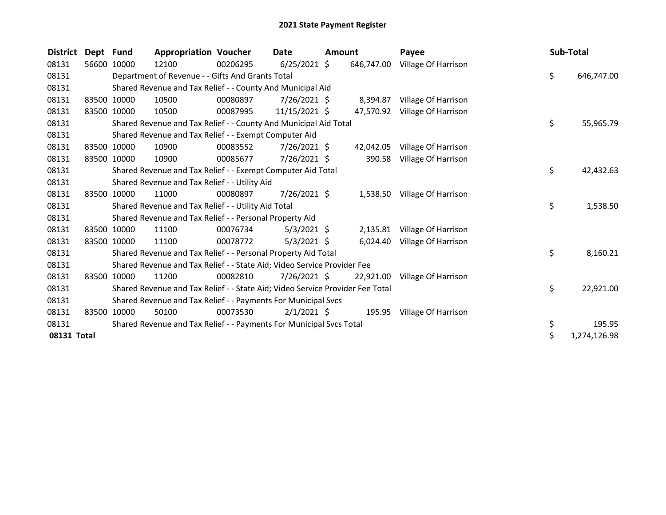| <b>District</b> | Dept Fund   |             | <b>Appropriation Voucher</b>                                                  |          | Date           | Amount |            | Payee                        | Sub-Total |              |
|-----------------|-------------|-------------|-------------------------------------------------------------------------------|----------|----------------|--------|------------|------------------------------|-----------|--------------|
| 08131           | 56600       | 10000       | 12100                                                                         | 00206295 | $6/25/2021$ \$ |        | 646,747.00 | Village Of Harrison          |           |              |
| 08131           |             |             | Department of Revenue - - Gifts And Grants Total                              |          |                |        |            |                              | \$        | 646,747.00   |
| 08131           |             |             | Shared Revenue and Tax Relief - - County And Municipal Aid                    |          |                |        |            |                              |           |              |
| 08131           |             | 83500 10000 | 10500                                                                         | 00080897 | $7/26/2021$ \$ |        | 8,394.87   | Village Of Harrison          |           |              |
| 08131           | 83500       | 10000       | 10500                                                                         | 00087995 | 11/15/2021 \$  |        | 47,570.92  | Village Of Harrison          |           |              |
| 08131           |             |             | Shared Revenue and Tax Relief - - County And Municipal Aid Total              |          |                |        |            |                              | \$        | 55,965.79    |
| 08131           |             |             | Shared Revenue and Tax Relief - - Exempt Computer Aid                         |          |                |        |            |                              |           |              |
| 08131           |             | 83500 10000 | 10900                                                                         | 00083552 | 7/26/2021 \$   |        | 42,042.05  | Village Of Harrison          |           |              |
| 08131           | 83500       | 10000       | 10900                                                                         | 00085677 | $7/26/2021$ \$ |        | 390.58     | Village Of Harrison          |           |              |
| 08131           |             |             | Shared Revenue and Tax Relief - - Exempt Computer Aid Total                   |          |                |        |            |                              | \$        | 42,432.63    |
| 08131           |             |             | Shared Revenue and Tax Relief - - Utility Aid                                 |          |                |        |            |                              |           |              |
| 08131           |             | 83500 10000 | 11000                                                                         | 00080897 | 7/26/2021 \$   |        |            | 1,538.50 Village Of Harrison |           |              |
| 08131           |             |             | Shared Revenue and Tax Relief - - Utility Aid Total                           |          |                |        |            |                              | \$        | 1,538.50     |
| 08131           |             |             | Shared Revenue and Tax Relief - - Personal Property Aid                       |          |                |        |            |                              |           |              |
| 08131           |             | 83500 10000 | 11100                                                                         | 00076734 | $5/3/2021$ \$  |        | 2,135.81   | Village Of Harrison          |           |              |
| 08131           | 83500 10000 |             | 11100                                                                         | 00078772 | $5/3/2021$ \$  |        | 6,024.40   | Village Of Harrison          |           |              |
| 08131           |             |             | Shared Revenue and Tax Relief - - Personal Property Aid Total                 |          |                |        |            |                              | \$        | 8,160.21     |
| 08131           |             |             | Shared Revenue and Tax Relief - - State Aid; Video Service Provider Fee       |          |                |        |            |                              |           |              |
| 08131           | 83500       | 10000       | 11200                                                                         | 00082810 | $7/26/2021$ \$ |        | 22,921.00  | Village Of Harrison          |           |              |
| 08131           |             |             | Shared Revenue and Tax Relief - - State Aid; Video Service Provider Fee Total |          |                |        |            |                              | \$        | 22,921.00    |
| 08131           |             |             | Shared Revenue and Tax Relief - - Payments For Municipal Svcs                 |          |                |        |            |                              |           |              |
| 08131           | 83500       | 10000       | 50100                                                                         | 00073530 | $2/1/2021$ \$  |        |            | 195.95 Village Of Harrison   |           |              |
| 08131           |             |             | Shared Revenue and Tax Relief - - Payments For Municipal Svcs Total           |          |                |        |            |                              | \$        | 195.95       |
| 08131 Total     |             |             |                                                                               |          |                |        |            |                              | \$        | 1,274,126.98 |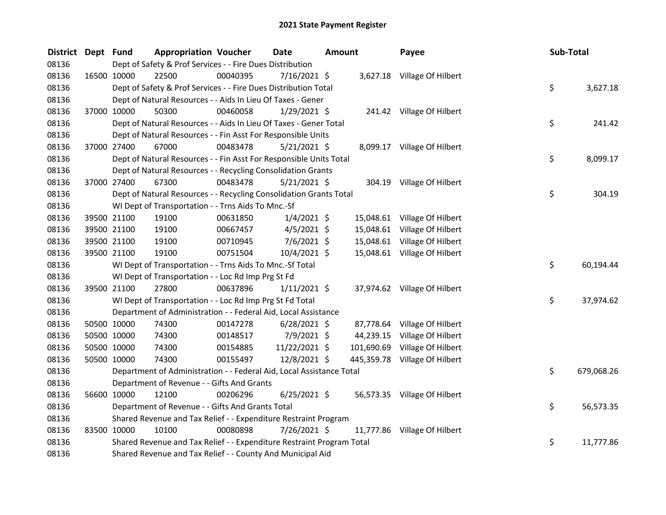| <b>District</b> | Dept Fund |             | <b>Appropriation Voucher</b>                                          |          | Date<br><b>Amount</b> |  | Payee      | Sub-Total                     |     |            |
|-----------------|-----------|-------------|-----------------------------------------------------------------------|----------|-----------------------|--|------------|-------------------------------|-----|------------|
| 08136           |           |             | Dept of Safety & Prof Services - - Fire Dues Distribution             |          |                       |  |            |                               |     |            |
| 08136           |           | 16500 10000 | 22500                                                                 | 00040395 | 7/16/2021 \$          |  |            | 3,627.18 Village Of Hilbert   |     |            |
| 08136           |           |             | Dept of Safety & Prof Services - - Fire Dues Distribution Total       |          |                       |  |            |                               | \$  | 3,627.18   |
| 08136           |           |             | Dept of Natural Resources - - Aids In Lieu Of Taxes - Gener           |          |                       |  |            |                               |     |            |
| 08136           |           | 37000 10000 | 50300                                                                 | 00460058 | $1/29/2021$ \$        |  |            | 241.42 Village Of Hilbert     |     |            |
| 08136           |           |             | Dept of Natural Resources - - Aids In Lieu Of Taxes - Gener Total     |          |                       |  |            |                               | \$  | 241.42     |
| 08136           |           |             | Dept of Natural Resources - - Fin Asst For Responsible Units          |          |                       |  |            |                               |     |            |
| 08136           |           | 37000 27400 | 67000                                                                 | 00483478 | 5/21/2021 \$          |  |            | 8,099.17 Village Of Hilbert   |     |            |
| 08136           |           |             | Dept of Natural Resources - - Fin Asst For Responsible Units Total    |          |                       |  |            |                               | \$  | 8,099.17   |
| 08136           |           |             | Dept of Natural Resources - - Recycling Consolidation Grants          |          |                       |  |            |                               |     |            |
| 08136           |           | 37000 27400 | 67300                                                                 | 00483478 | $5/21/2021$ \$        |  |            | 304.19 Village Of Hilbert     |     |            |
| 08136           |           |             | Dept of Natural Resources - - Recycling Consolidation Grants Total    |          |                       |  |            |                               | \$  | 304.19     |
| 08136           |           |             | WI Dept of Transportation - - Trns Aids To Mnc.-Sf                    |          |                       |  |            |                               |     |            |
| 08136           |           | 39500 21100 | 19100                                                                 | 00631850 | $1/4/2021$ \$         |  |            | 15,048.61 Village Of Hilbert  |     |            |
| 08136           |           | 39500 21100 | 19100                                                                 | 00667457 | $4/5/2021$ \$         |  |            | 15,048.61 Village Of Hilbert  |     |            |
| 08136           |           | 39500 21100 | 19100                                                                 | 00710945 | $7/6/2021$ \$         |  |            | 15,048.61 Village Of Hilbert  |     |            |
| 08136           |           | 39500 21100 | 19100                                                                 | 00751504 | 10/4/2021 \$          |  |            | 15,048.61 Village Of Hilbert  |     |            |
| 08136           |           |             | WI Dept of Transportation - - Trns Aids To Mnc.-Sf Total              |          |                       |  |            |                               | \$. | 60,194.44  |
| 08136           |           |             | WI Dept of Transportation - - Loc Rd Imp Prg St Fd                    |          |                       |  |            |                               |     |            |
| 08136           |           | 39500 21100 | 27800                                                                 | 00637896 | $1/11/2021$ \$        |  |            | 37,974.62 Village Of Hilbert  |     |            |
| 08136           |           |             | WI Dept of Transportation - - Loc Rd Imp Prg St Fd Total              |          |                       |  |            |                               | \$  | 37,974.62  |
| 08136           |           |             | Department of Administration - - Federal Aid, Local Assistance        |          |                       |  |            |                               |     |            |
| 08136           |           | 50500 10000 | 74300                                                                 | 00147278 | $6/28/2021$ \$        |  |            | 87,778.64 Village Of Hilbert  |     |            |
| 08136           |           | 50500 10000 | 74300                                                                 | 00148517 | 7/9/2021 \$           |  | 44,239.15  | Village Of Hilbert            |     |            |
| 08136           |           | 50500 10000 | 74300                                                                 | 00154885 | 11/22/2021 \$         |  | 101,690.69 | Village Of Hilbert            |     |            |
| 08136           |           | 50500 10000 | 74300                                                                 | 00155497 | 12/8/2021 \$          |  |            | 445,359.78 Village Of Hilbert |     |            |
| 08136           |           |             | Department of Administration - - Federal Aid, Local Assistance Total  |          |                       |  |            |                               | \$  | 679,068.26 |
| 08136           |           |             | Department of Revenue - - Gifts And Grants                            |          |                       |  |            |                               |     |            |
| 08136           |           | 56600 10000 | 12100                                                                 | 00206296 | $6/25/2021$ \$        |  |            | 56,573.35 Village Of Hilbert  |     |            |
| 08136           |           |             | Department of Revenue - - Gifts And Grants Total                      |          |                       |  |            |                               | \$. | 56,573.35  |
| 08136           |           |             | Shared Revenue and Tax Relief - - Expenditure Restraint Program       |          |                       |  |            |                               |     |            |
| 08136           |           | 83500 10000 | 10100                                                                 | 00080898 | 7/26/2021 \$          |  |            | 11,777.86 Village Of Hilbert  |     |            |
| 08136           |           |             | Shared Revenue and Tax Relief - - Expenditure Restraint Program Total |          |                       |  |            |                               | \$  | 11,777.86  |
| 08136           |           |             | Shared Revenue and Tax Relief - - County And Municipal Aid            |          |                       |  |            |                               |     |            |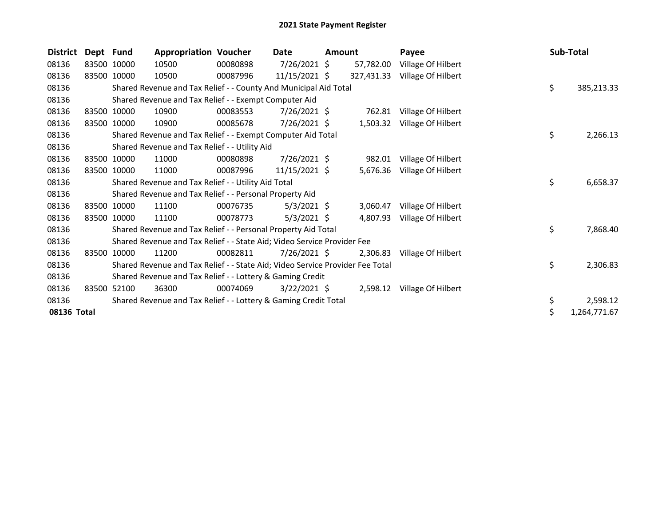| <b>District</b> | Dept Fund |             | <b>Appropriation Voucher</b>                                                  |          | Date            | <b>Amount</b> |            | Payee                       | Sub-Total |              |
|-----------------|-----------|-------------|-------------------------------------------------------------------------------|----------|-----------------|---------------|------------|-----------------------------|-----------|--------------|
| 08136           |           | 83500 10000 | 10500                                                                         | 00080898 | $7/26/2021$ \$  |               | 57,782.00  | Village Of Hilbert          |           |              |
| 08136           | 83500     | 10000       | 10500                                                                         | 00087996 | $11/15/2021$ \$ |               | 327,431.33 | Village Of Hilbert          |           |              |
| 08136           |           |             | Shared Revenue and Tax Relief - - County And Municipal Aid Total              |          |                 |               |            |                             | \$        | 385,213.33   |
| 08136           |           |             | Shared Revenue and Tax Relief - - Exempt Computer Aid                         |          |                 |               |            |                             |           |              |
| 08136           |           | 83500 10000 | 10900                                                                         | 00083553 | $7/26/2021$ \$  |               | 762.81     | Village Of Hilbert          |           |              |
| 08136           |           | 83500 10000 | 10900                                                                         | 00085678 | 7/26/2021 \$    |               | 1,503.32   | Village Of Hilbert          |           |              |
| 08136           |           |             | Shared Revenue and Tax Relief - - Exempt Computer Aid Total                   |          |                 |               |            |                             | \$        | 2,266.13     |
| 08136           |           |             | Shared Revenue and Tax Relief - - Utility Aid                                 |          |                 |               |            |                             |           |              |
| 08136           |           | 83500 10000 | 11000                                                                         | 00080898 | $7/26/2021$ \$  |               | 982.01     | Village Of Hilbert          |           |              |
| 08136           | 83500     | 10000       | 11000                                                                         | 00087996 | $11/15/2021$ \$ |               | 5,676.36   | Village Of Hilbert          |           |              |
| 08136           |           |             | Shared Revenue and Tax Relief - - Utility Aid Total                           |          |                 |               |            |                             | \$        | 6,658.37     |
| 08136           |           |             | Shared Revenue and Tax Relief - - Personal Property Aid                       |          |                 |               |            |                             |           |              |
| 08136           |           | 83500 10000 | 11100                                                                         | 00076735 | $5/3/2021$ \$   |               | 3,060.47   | Village Of Hilbert          |           |              |
| 08136           |           | 83500 10000 | 11100                                                                         | 00078773 | $5/3/2021$ \$   |               | 4,807.93   | Village Of Hilbert          |           |              |
| 08136           |           |             | Shared Revenue and Tax Relief - - Personal Property Aid Total                 |          |                 |               |            |                             | \$        | 7,868.40     |
| 08136           |           |             | Shared Revenue and Tax Relief - - State Aid; Video Service Provider Fee       |          |                 |               |            |                             |           |              |
| 08136           | 83500     | 10000       | 11200                                                                         | 00082811 | $7/26/2021$ \$  |               | 2,306.83   | Village Of Hilbert          |           |              |
| 08136           |           |             | Shared Revenue and Tax Relief - - State Aid; Video Service Provider Fee Total |          |                 |               |            |                             | \$        | 2,306.83     |
| 08136           |           |             | Shared Revenue and Tax Relief - - Lottery & Gaming Credit                     |          |                 |               |            |                             |           |              |
| 08136           | 83500     | 52100       | 36300                                                                         | 00074069 | $3/22/2021$ \$  |               |            | 2,598.12 Village Of Hilbert |           |              |
| 08136           |           |             | Shared Revenue and Tax Relief - - Lottery & Gaming Credit Total               |          |                 |               |            |                             | \$        | 2,598.12     |
| 08136 Total     |           |             |                                                                               |          |                 |               |            |                             | \$        | 1,264,771.67 |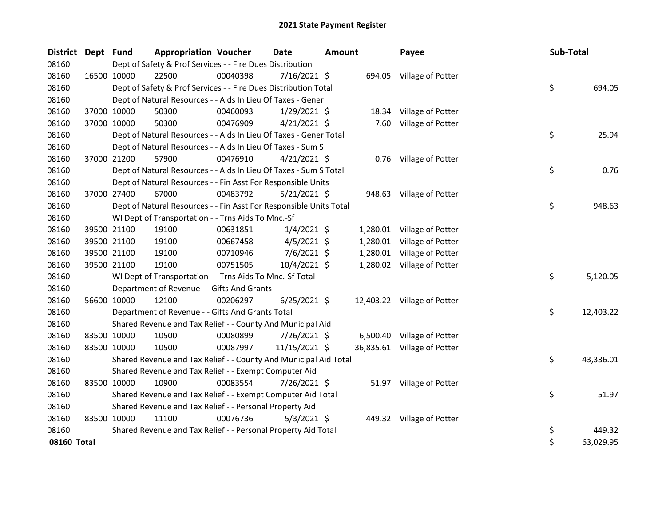| <b>District</b> | Dept Fund   |             | <b>Appropriation Voucher</b>                                       |          | <b>Date</b>    | <b>Amount</b> |          | Payee                       | Sub-Total |           |
|-----------------|-------------|-------------|--------------------------------------------------------------------|----------|----------------|---------------|----------|-----------------------------|-----------|-----------|
| 08160           |             |             | Dept of Safety & Prof Services - - Fire Dues Distribution          |          |                |               |          |                             |           |           |
| 08160           | 16500 10000 |             | 22500                                                              | 00040398 | 7/16/2021 \$   |               |          | 694.05 Village of Potter    |           |           |
| 08160           |             |             | Dept of Safety & Prof Services - - Fire Dues Distribution Total    |          |                |               |          |                             | \$        | 694.05    |
| 08160           |             |             | Dept of Natural Resources - - Aids In Lieu Of Taxes - Gener        |          |                |               |          |                             |           |           |
| 08160           |             | 37000 10000 | 50300                                                              | 00460093 | $1/29/2021$ \$ |               | 18.34    | Village of Potter           |           |           |
| 08160           |             | 37000 10000 | 50300                                                              | 00476909 | $4/21/2021$ \$ |               | 7.60     | Village of Potter           |           |           |
| 08160           |             |             | Dept of Natural Resources - - Aids In Lieu Of Taxes - Gener Total  |          |                |               |          |                             | \$        | 25.94     |
| 08160           |             |             | Dept of Natural Resources - - Aids In Lieu Of Taxes - Sum S        |          |                |               |          |                             |           |           |
| 08160           | 37000 21200 |             | 57900                                                              | 00476910 | $4/21/2021$ \$ |               |          | 0.76 Village of Potter      |           |           |
| 08160           |             |             | Dept of Natural Resources - - Aids In Lieu Of Taxes - Sum S Total  |          |                |               |          |                             | \$        | 0.76      |
| 08160           |             |             | Dept of Natural Resources - - Fin Asst For Responsible Units       |          |                |               |          |                             |           |           |
| 08160           |             | 37000 27400 | 67000                                                              | 00483792 | 5/21/2021 \$   |               |          | 948.63 Village of Potter    |           |           |
| 08160           |             |             | Dept of Natural Resources - - Fin Asst For Responsible Units Total |          |                |               |          |                             | \$        | 948.63    |
| 08160           |             |             | WI Dept of Transportation - - Trns Aids To Mnc.-Sf                 |          |                |               |          |                             |           |           |
| 08160           |             | 39500 21100 | 19100                                                              | 00631851 | $1/4/2021$ \$  |               |          | 1,280.01 Village of Potter  |           |           |
| 08160           |             | 39500 21100 | 19100                                                              | 00667458 | $4/5/2021$ \$  |               | 1,280.01 | Village of Potter           |           |           |
| 08160           |             | 39500 21100 | 19100                                                              | 00710946 | $7/6/2021$ \$  |               |          | 1,280.01 Village of Potter  |           |           |
| 08160           |             | 39500 21100 | 19100                                                              | 00751505 | 10/4/2021 \$   |               |          | 1,280.02 Village of Potter  |           |           |
| 08160           |             |             | WI Dept of Transportation - - Trns Aids To Mnc.-Sf Total           |          |                |               |          |                             | \$        | 5,120.05  |
| 08160           |             |             | Department of Revenue - - Gifts And Grants                         |          |                |               |          |                             |           |           |
| 08160           |             | 56600 10000 | 12100                                                              | 00206297 | $6/25/2021$ \$ |               |          | 12,403.22 Village of Potter |           |           |
| 08160           |             |             | Department of Revenue - - Gifts And Grants Total                   |          |                |               |          |                             | \$        | 12,403.22 |
| 08160           |             |             | Shared Revenue and Tax Relief - - County And Municipal Aid         |          |                |               |          |                             |           |           |
| 08160           | 83500 10000 |             | 10500                                                              | 00080899 | 7/26/2021 \$   |               |          | 6,500.40 Village of Potter  |           |           |
| 08160           |             | 83500 10000 | 10500                                                              | 00087997 | 11/15/2021 \$  |               |          | 36,835.61 Village of Potter |           |           |
| 08160           |             |             | Shared Revenue and Tax Relief - - County And Municipal Aid Total   |          |                |               |          |                             | \$        | 43,336.01 |
| 08160           |             |             | Shared Revenue and Tax Relief - - Exempt Computer Aid              |          |                |               |          |                             |           |           |
| 08160           |             | 83500 10000 | 10900                                                              | 00083554 | 7/26/2021 \$   |               |          | 51.97 Village of Potter     |           |           |
| 08160           |             |             | Shared Revenue and Tax Relief - - Exempt Computer Aid Total        |          |                |               |          |                             | \$        | 51.97     |
| 08160           |             |             | Shared Revenue and Tax Relief - - Personal Property Aid            |          |                |               |          |                             |           |           |
| 08160           | 83500 10000 |             | 11100                                                              | 00076736 | $5/3/2021$ \$  |               |          | 449.32 Village of Potter    |           |           |
| 08160           |             |             | Shared Revenue and Tax Relief - - Personal Property Aid Total      |          |                |               |          |                             | \$        | 449.32    |
| 08160 Total     |             |             |                                                                    |          |                |               |          |                             | \$        | 63,029.95 |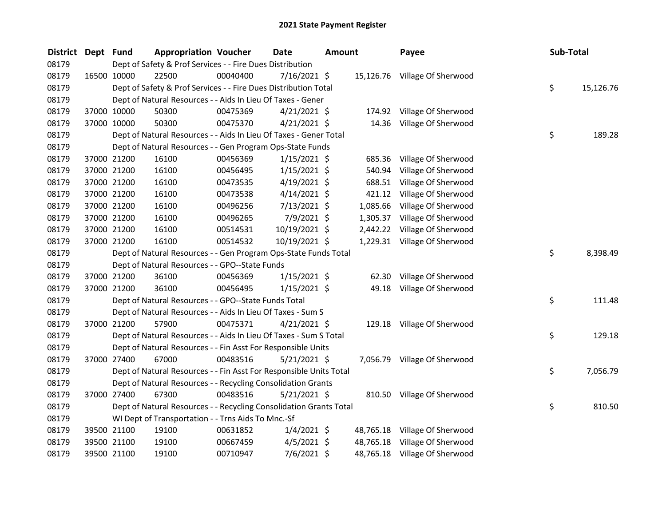| District Dept Fund |             | <b>Appropriation Voucher</b>                                       |          | <b>Date</b><br><b>Amount</b> |  |           | Payee                         | Sub-Total |           |
|--------------------|-------------|--------------------------------------------------------------------|----------|------------------------------|--|-----------|-------------------------------|-----------|-----------|
| 08179              |             | Dept of Safety & Prof Services - - Fire Dues Distribution          |          |                              |  |           |                               |           |           |
| 08179              | 16500 10000 | 22500                                                              | 00040400 | $7/16/2021$ \$               |  |           | 15,126.76 Village Of Sherwood |           |           |
| 08179              |             | Dept of Safety & Prof Services - - Fire Dues Distribution Total    |          |                              |  |           |                               | \$        | 15,126.76 |
| 08179              |             | Dept of Natural Resources - - Aids In Lieu Of Taxes - Gener        |          |                              |  |           |                               |           |           |
| 08179              | 37000 10000 | 50300                                                              | 00475369 | $4/21/2021$ \$               |  |           | 174.92 Village Of Sherwood    |           |           |
| 08179              | 37000 10000 | 50300                                                              | 00475370 | $4/21/2021$ \$               |  |           | 14.36 Village Of Sherwood     |           |           |
| 08179              |             | Dept of Natural Resources - - Aids In Lieu Of Taxes - Gener Total  |          |                              |  |           |                               | \$        | 189.28    |
| 08179              |             | Dept of Natural Resources - - Gen Program Ops-State Funds          |          |                              |  |           |                               |           |           |
| 08179              | 37000 21200 | 16100                                                              | 00456369 | $1/15/2021$ \$               |  | 685.36    | Village Of Sherwood           |           |           |
| 08179              | 37000 21200 | 16100                                                              | 00456495 | $1/15/2021$ \$               |  | 540.94    | Village Of Sherwood           |           |           |
| 08179              | 37000 21200 | 16100                                                              | 00473535 | $4/19/2021$ \$               |  | 688.51    | Village Of Sherwood           |           |           |
| 08179              | 37000 21200 | 16100                                                              | 00473538 | $4/14/2021$ \$               |  | 421.12    | Village Of Sherwood           |           |           |
| 08179              | 37000 21200 | 16100                                                              | 00496256 | 7/13/2021 \$                 |  | 1,085.66  | Village Of Sherwood           |           |           |
| 08179              | 37000 21200 | 16100                                                              | 00496265 | 7/9/2021 \$                  |  | 1,305.37  | Village Of Sherwood           |           |           |
| 08179              | 37000 21200 | 16100                                                              | 00514531 | 10/19/2021 \$                |  | 2,442.22  | Village Of Sherwood           |           |           |
| 08179              | 37000 21200 | 16100                                                              | 00514532 | 10/19/2021 \$                |  |           | 1,229.31 Village Of Sherwood  |           |           |
| 08179              |             | Dept of Natural Resources - - Gen Program Ops-State Funds Total    |          |                              |  |           |                               | \$        | 8,398.49  |
| 08179              |             | Dept of Natural Resources - - GPO--State Funds                     |          |                              |  |           |                               |           |           |
| 08179              | 37000 21200 | 36100                                                              | 00456369 | 1/15/2021 \$                 |  |           | 62.30 Village Of Sherwood     |           |           |
| 08179              | 37000 21200 | 36100                                                              | 00456495 | $1/15/2021$ \$               |  |           | 49.18 Village Of Sherwood     |           |           |
| 08179              |             | Dept of Natural Resources - - GPO--State Funds Total               |          |                              |  |           |                               | \$        | 111.48    |
| 08179              |             | Dept of Natural Resources - - Aids In Lieu Of Taxes - Sum S        |          |                              |  |           |                               |           |           |
| 08179              | 37000 21200 | 57900                                                              | 00475371 | $4/21/2021$ \$               |  |           | 129.18 Village Of Sherwood    |           |           |
| 08179              |             | Dept of Natural Resources - - Aids In Lieu Of Taxes - Sum S Total  |          |                              |  |           |                               | \$        | 129.18    |
| 08179              |             | Dept of Natural Resources - - Fin Asst For Responsible Units       |          |                              |  |           |                               |           |           |
| 08179              | 37000 27400 | 67000                                                              | 00483516 | $5/21/2021$ \$               |  |           | 7,056.79 Village Of Sherwood  |           |           |
| 08179              |             | Dept of Natural Resources - - Fin Asst For Responsible Units Total |          |                              |  |           |                               | \$        | 7,056.79  |
| 08179              |             | Dept of Natural Resources - - Recycling Consolidation Grants       |          |                              |  |           |                               |           |           |
| 08179              | 37000 27400 | 67300                                                              | 00483516 | $5/21/2021$ \$               |  |           | 810.50 Village Of Sherwood    |           |           |
| 08179              |             | Dept of Natural Resources - - Recycling Consolidation Grants Total |          |                              |  |           |                               | \$        | 810.50    |
| 08179              |             | WI Dept of Transportation - - Trns Aids To Mnc.-Sf                 |          |                              |  |           |                               |           |           |
| 08179              | 39500 21100 | 19100                                                              | 00631852 | $1/4/2021$ \$                |  |           | 48,765.18 Village Of Sherwood |           |           |
| 08179              | 39500 21100 | 19100                                                              | 00667459 | $4/5/2021$ \$                |  | 48,765.18 | Village Of Sherwood           |           |           |
| 08179              | 39500 21100 | 19100                                                              | 00710947 | 7/6/2021 \$                  |  |           | 48,765.18 Village Of Sherwood |           |           |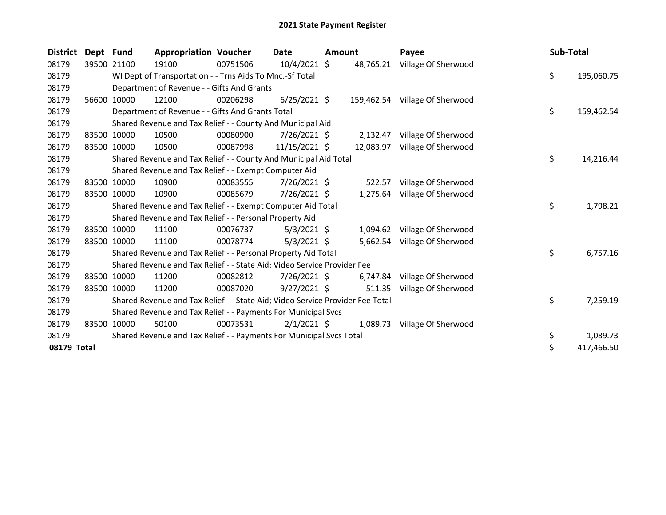| <b>District</b> | Dept Fund   |             | <b>Appropriation Voucher</b>                                                  |          | Date           | <b>Amount</b> |           | Payee                          | Sub-Total |            |
|-----------------|-------------|-------------|-------------------------------------------------------------------------------|----------|----------------|---------------|-----------|--------------------------------|-----------|------------|
| 08179           | 39500 21100 |             | 19100                                                                         | 00751506 | 10/4/2021 \$   |               | 48,765.21 | Village Of Sherwood            |           |            |
| 08179           |             |             | WI Dept of Transportation - - Trns Aids To Mnc.-Sf Total                      |          |                |               |           |                                | \$        | 195,060.75 |
| 08179           |             |             | Department of Revenue - - Gifts And Grants                                    |          |                |               |           |                                |           |            |
| 08179           | 56600 10000 |             | 12100                                                                         | 00206298 | $6/25/2021$ \$ |               |           | 159,462.54 Village Of Sherwood |           |            |
| 08179           |             |             | Department of Revenue - - Gifts And Grants Total                              |          |                |               |           |                                | \$        | 159,462.54 |
| 08179           |             |             | Shared Revenue and Tax Relief - - County And Municipal Aid                    |          |                |               |           |                                |           |            |
| 08179           |             | 83500 10000 | 10500                                                                         | 00080900 | $7/26/2021$ \$ |               | 2,132.47  | Village Of Sherwood            |           |            |
| 08179           | 83500       | 10000       | 10500                                                                         | 00087998 | 11/15/2021 \$  |               | 12,083.97 | Village Of Sherwood            |           |            |
| 08179           |             |             | Shared Revenue and Tax Relief - - County And Municipal Aid Total              |          |                |               |           |                                | \$        | 14,216.44  |
| 08179           |             |             | Shared Revenue and Tax Relief - - Exempt Computer Aid                         |          |                |               |           |                                |           |            |
| 08179           | 83500 10000 |             | 10900                                                                         | 00083555 | $7/26/2021$ \$ |               | 522.57    | Village Of Sherwood            |           |            |
| 08179           | 83500 10000 |             | 10900                                                                         | 00085679 | 7/26/2021 \$   |               | 1,275.64  | Village Of Sherwood            |           |            |
| 08179           |             |             | Shared Revenue and Tax Relief - - Exempt Computer Aid Total                   |          |                |               |           |                                | \$        | 1,798.21   |
| 08179           |             |             | Shared Revenue and Tax Relief - - Personal Property Aid                       |          |                |               |           |                                |           |            |
| 08179           | 83500       | 10000       | 11100                                                                         | 00076737 | $5/3/2021$ \$  |               | 1,094.62  | Village Of Sherwood            |           |            |
| 08179           |             | 83500 10000 | 11100                                                                         | 00078774 | $5/3/2021$ \$  |               | 5,662.54  | Village Of Sherwood            |           |            |
| 08179           |             |             | Shared Revenue and Tax Relief - - Personal Property Aid Total                 |          |                |               |           |                                | \$        | 6,757.16   |
| 08179           |             |             | Shared Revenue and Tax Relief - - State Aid; Video Service Provider Fee       |          |                |               |           |                                |           |            |
| 08179           | 83500 10000 |             | 11200                                                                         | 00082812 | $7/26/2021$ \$ |               | 6,747.84  | Village Of Sherwood            |           |            |
| 08179           | 83500 10000 |             | 11200                                                                         | 00087020 | $9/27/2021$ \$ |               | 511.35    | Village Of Sherwood            |           |            |
| 08179           |             |             | Shared Revenue and Tax Relief - - State Aid; Video Service Provider Fee Total |          |                |               |           |                                | \$        | 7,259.19   |
| 08179           |             |             | Shared Revenue and Tax Relief - - Payments For Municipal Svcs                 |          |                |               |           |                                |           |            |
| 08179           | 83500       | 10000       | 50100                                                                         | 00073531 | $2/1/2021$ \$  |               |           | 1,089.73 Village Of Sherwood   |           |            |
| 08179           |             |             | Shared Revenue and Tax Relief - - Payments For Municipal Svcs Total           |          |                |               |           |                                | \$        | 1,089.73   |
| 08179 Total     |             |             |                                                                               |          |                |               |           |                                | \$        | 417,466.50 |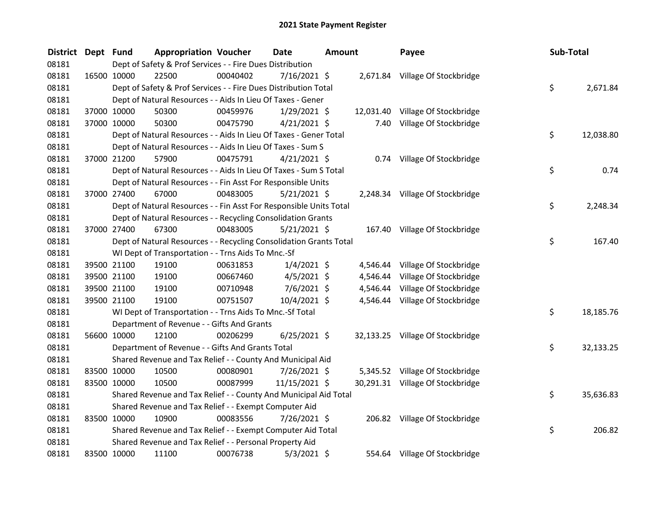| <b>District</b> | Dept Fund |             | <b>Appropriation Voucher</b>                                       |          | <b>Date</b>    | <b>Amount</b> |          | Payee                            | Sub-Total |           |
|-----------------|-----------|-------------|--------------------------------------------------------------------|----------|----------------|---------------|----------|----------------------------------|-----------|-----------|
| 08181           |           |             | Dept of Safety & Prof Services - - Fire Dues Distribution          |          |                |               |          |                                  |           |           |
| 08181           |           | 16500 10000 | 22500                                                              | 00040402 | 7/16/2021 \$   |               |          | 2,671.84 Village Of Stockbridge  |           |           |
| 08181           |           |             | Dept of Safety & Prof Services - - Fire Dues Distribution Total    |          |                |               |          |                                  | \$        | 2,671.84  |
| 08181           |           |             | Dept of Natural Resources - - Aids In Lieu Of Taxes - Gener        |          |                |               |          |                                  |           |           |
| 08181           |           | 37000 10000 | 50300                                                              | 00459976 | $1/29/2021$ \$ |               |          | 12,031.40 Village Of Stockbridge |           |           |
| 08181           |           | 37000 10000 | 50300                                                              | 00475790 | $4/21/2021$ \$ |               |          | 7.40 Village Of Stockbridge      |           |           |
| 08181           |           |             | Dept of Natural Resources - - Aids In Lieu Of Taxes - Gener Total  |          |                |               |          |                                  | \$        | 12,038.80 |
| 08181           |           |             | Dept of Natural Resources - - Aids In Lieu Of Taxes - Sum S        |          |                |               |          |                                  |           |           |
| 08181           |           | 37000 21200 | 57900                                                              | 00475791 | $4/21/2021$ \$ |               |          | 0.74 Village Of Stockbridge      |           |           |
| 08181           |           |             | Dept of Natural Resources - - Aids In Lieu Of Taxes - Sum S Total  |          |                |               |          |                                  | \$        | 0.74      |
| 08181           |           |             | Dept of Natural Resources - - Fin Asst For Responsible Units       |          |                |               |          |                                  |           |           |
| 08181           |           | 37000 27400 | 67000                                                              | 00483005 | $5/21/2021$ \$ |               |          | 2,248.34 Village Of Stockbridge  |           |           |
| 08181           |           |             | Dept of Natural Resources - - Fin Asst For Responsible Units Total |          |                |               |          |                                  | \$        | 2,248.34  |
| 08181           |           |             | Dept of Natural Resources - - Recycling Consolidation Grants       |          |                |               |          |                                  |           |           |
| 08181           |           | 37000 27400 | 67300                                                              | 00483005 | $5/21/2021$ \$ |               |          | 167.40 Village Of Stockbridge    |           |           |
| 08181           |           |             | Dept of Natural Resources - - Recycling Consolidation Grants Total |          |                |               |          |                                  | \$        | 167.40    |
| 08181           |           |             | WI Dept of Transportation - - Trns Aids To Mnc.-Sf                 |          |                |               |          |                                  |           |           |
| 08181           |           | 39500 21100 | 19100                                                              | 00631853 | $1/4/2021$ \$  |               |          | 4,546.44 Village Of Stockbridge  |           |           |
| 08181           |           | 39500 21100 | 19100                                                              | 00667460 | $4/5/2021$ \$  |               | 4,546.44 | Village Of Stockbridge           |           |           |
| 08181           |           | 39500 21100 | 19100                                                              | 00710948 | $7/6/2021$ \$  |               | 4,546.44 | Village Of Stockbridge           |           |           |
| 08181           |           | 39500 21100 | 19100                                                              | 00751507 | 10/4/2021 \$   |               |          | 4,546.44 Village Of Stockbridge  |           |           |
| 08181           |           |             | WI Dept of Transportation - - Trns Aids To Mnc.-Sf Total           |          |                |               |          |                                  | \$        | 18,185.76 |
| 08181           |           |             | Department of Revenue - - Gifts And Grants                         |          |                |               |          |                                  |           |           |
| 08181           |           | 56600 10000 | 12100                                                              | 00206299 | $6/25/2021$ \$ |               |          | 32,133.25 Village Of Stockbridge |           |           |
| 08181           |           |             | Department of Revenue - - Gifts And Grants Total                   |          |                |               |          |                                  | \$.       | 32,133.25 |
| 08181           |           |             | Shared Revenue and Tax Relief - - County And Municipal Aid         |          |                |               |          |                                  |           |           |
| 08181           |           | 83500 10000 | 10500                                                              | 00080901 | $7/26/2021$ \$ |               |          | 5,345.52 Village Of Stockbridge  |           |           |
| 08181           |           | 83500 10000 | 10500                                                              | 00087999 | 11/15/2021 \$  |               |          | 30,291.31 Village Of Stockbridge |           |           |
| 08181           |           |             | Shared Revenue and Tax Relief - - County And Municipal Aid Total   |          |                |               |          |                                  | \$        | 35,636.83 |
| 08181           |           |             | Shared Revenue and Tax Relief - - Exempt Computer Aid              |          |                |               |          |                                  |           |           |
| 08181           |           | 83500 10000 | 10900                                                              | 00083556 | 7/26/2021 \$   |               |          | 206.82 Village Of Stockbridge    |           |           |
| 08181           |           |             | Shared Revenue and Tax Relief - - Exempt Computer Aid Total        |          |                |               |          |                                  | \$        | 206.82    |
| 08181           |           |             | Shared Revenue and Tax Relief - - Personal Property Aid            |          |                |               |          |                                  |           |           |
| 08181           |           | 83500 10000 | 11100                                                              | 00076738 | $5/3/2021$ \$  |               |          | 554.64 Village Of Stockbridge    |           |           |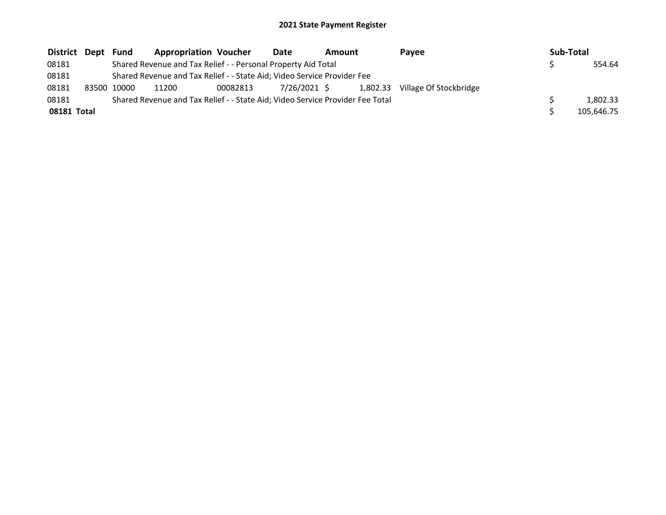| District Dept | Fund        | <b>Appropriation Voucher</b>                                                  |          | Date         | <b>Amount</b> |          | Pavee                  | Sub-Total |            |
|---------------|-------------|-------------------------------------------------------------------------------|----------|--------------|---------------|----------|------------------------|-----------|------------|
| 08181         |             | Shared Revenue and Tax Relief - - Personal Property Aid Total                 |          |              |               |          |                        |           | 554.64     |
| 08181         |             | Shared Revenue and Tax Relief - - State Aid; Video Service Provider Fee       |          |              |               |          |                        |           |            |
| 08181         | 83500 10000 | 11200                                                                         | 00082813 | 7/26/2021 \$ |               | 1.802.33 | Village Of Stockbridge |           |            |
| 08181         |             | Shared Revenue and Tax Relief - - State Aid; Video Service Provider Fee Total |          |              |               |          |                        |           | 1.802.33   |
| 08181 Total   |             |                                                                               |          |              |               |          |                        |           | 105,646.75 |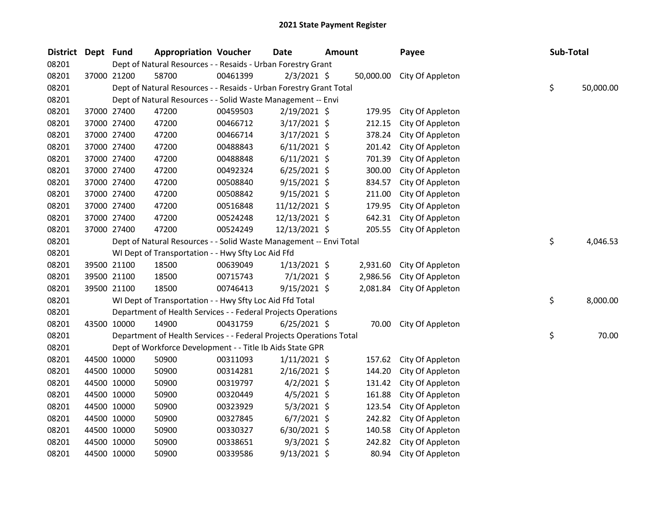| <b>District</b> | Dept Fund |             | <b>Appropriation Voucher</b>                                        |          | <b>Date</b>    | <b>Amount</b> |           | Payee            | Sub-Total |           |
|-----------------|-----------|-------------|---------------------------------------------------------------------|----------|----------------|---------------|-----------|------------------|-----------|-----------|
| 08201           |           |             | Dept of Natural Resources - - Resaids - Urban Forestry Grant        |          |                |               |           |                  |           |           |
| 08201           |           | 37000 21200 | 58700                                                               | 00461399 | $2/3/2021$ \$  |               | 50,000.00 | City Of Appleton |           |           |
| 08201           |           |             | Dept of Natural Resources - - Resaids - Urban Forestry Grant Total  |          |                |               |           |                  | \$        | 50,000.00 |
| 08201           |           |             | Dept of Natural Resources - - Solid Waste Management -- Envi        |          |                |               |           |                  |           |           |
| 08201           |           | 37000 27400 | 47200                                                               | 00459503 | $2/19/2021$ \$ |               | 179.95    | City Of Appleton |           |           |
| 08201           |           | 37000 27400 | 47200                                                               | 00466712 | 3/17/2021 \$   |               | 212.15    | City Of Appleton |           |           |
| 08201           |           | 37000 27400 | 47200                                                               | 00466714 | $3/17/2021$ \$ |               | 378.24    | City Of Appleton |           |           |
| 08201           |           | 37000 27400 | 47200                                                               | 00488843 | $6/11/2021$ \$ |               | 201.42    | City Of Appleton |           |           |
| 08201           |           | 37000 27400 | 47200                                                               | 00488848 | $6/11/2021$ \$ |               | 701.39    | City Of Appleton |           |           |
| 08201           |           | 37000 27400 | 47200                                                               | 00492324 | $6/25/2021$ \$ |               | 300.00    | City Of Appleton |           |           |
| 08201           |           | 37000 27400 | 47200                                                               | 00508840 | $9/15/2021$ \$ |               | 834.57    | City Of Appleton |           |           |
| 08201           |           | 37000 27400 | 47200                                                               | 00508842 | $9/15/2021$ \$ |               | 211.00    | City Of Appleton |           |           |
| 08201           |           | 37000 27400 | 47200                                                               | 00516848 | 11/12/2021 \$  |               | 179.95    | City Of Appleton |           |           |
| 08201           |           | 37000 27400 | 47200                                                               | 00524248 | 12/13/2021 \$  |               | 642.31    | City Of Appleton |           |           |
| 08201           |           | 37000 27400 | 47200                                                               | 00524249 | 12/13/2021 \$  |               | 205.55    | City Of Appleton |           |           |
| 08201           |           |             | Dept of Natural Resources - - Solid Waste Management -- Envi Total  |          |                |               |           |                  | \$        | 4,046.53  |
| 08201           |           |             | WI Dept of Transportation - - Hwy Sfty Loc Aid Ffd                  |          |                |               |           |                  |           |           |
| 08201           |           | 39500 21100 | 18500                                                               | 00639049 | $1/13/2021$ \$ |               | 2,931.60  | City Of Appleton |           |           |
| 08201           |           | 39500 21100 | 18500                                                               | 00715743 | $7/1/2021$ \$  |               | 2,986.56  | City Of Appleton |           |           |
| 08201           |           | 39500 21100 | 18500                                                               | 00746413 | $9/15/2021$ \$ |               | 2,081.84  | City Of Appleton |           |           |
| 08201           |           |             | WI Dept of Transportation - - Hwy Sfty Loc Aid Ffd Total            |          |                |               |           |                  | \$        | 8,000.00  |
| 08201           |           |             | Department of Health Services - - Federal Projects Operations       |          |                |               |           |                  |           |           |
| 08201           |           | 43500 10000 | 14900                                                               | 00431759 | $6/25/2021$ \$ |               | 70.00     | City Of Appleton |           |           |
| 08201           |           |             | Department of Health Services - - Federal Projects Operations Total |          |                |               |           |                  | \$        | 70.00     |
| 08201           |           |             | Dept of Workforce Development - - Title Ib Aids State GPR           |          |                |               |           |                  |           |           |
| 08201           |           | 44500 10000 | 50900                                                               | 00311093 | $1/11/2021$ \$ |               | 157.62    | City Of Appleton |           |           |
| 08201           |           | 44500 10000 | 50900                                                               | 00314281 | $2/16/2021$ \$ |               | 144.20    | City Of Appleton |           |           |
| 08201           |           | 44500 10000 | 50900                                                               | 00319797 | $4/2/2021$ \$  |               | 131.42    | City Of Appleton |           |           |
| 08201           |           | 44500 10000 | 50900                                                               | 00320449 | $4/5/2021$ \$  |               | 161.88    | City Of Appleton |           |           |
| 08201           |           | 44500 10000 | 50900                                                               | 00323929 | $5/3/2021$ \$  |               | 123.54    | City Of Appleton |           |           |
| 08201           |           | 44500 10000 | 50900                                                               | 00327845 | $6/7/2021$ \$  |               | 242.82    | City Of Appleton |           |           |
| 08201           |           | 44500 10000 | 50900                                                               | 00330327 | $6/30/2021$ \$ |               | 140.58    | City Of Appleton |           |           |
| 08201           |           | 44500 10000 | 50900                                                               | 00338651 | $9/3/2021$ \$  |               | 242.82    | City Of Appleton |           |           |
| 08201           |           | 44500 10000 | 50900                                                               | 00339586 | 9/13/2021 \$   |               | 80.94     | City Of Appleton |           |           |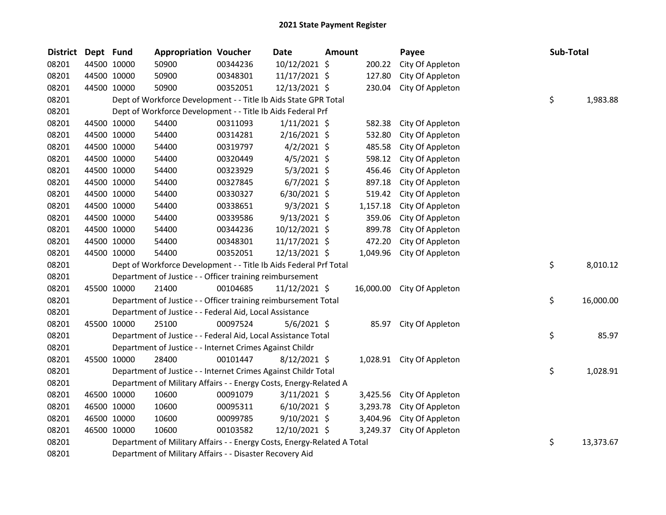| <b>District</b> | Dept Fund   |             | <b>Appropriation Voucher</b>                                            |          | Date           | <b>Amount</b> |          | Payee                      | Sub-Total |           |
|-----------------|-------------|-------------|-------------------------------------------------------------------------|----------|----------------|---------------|----------|----------------------------|-----------|-----------|
| 08201           |             | 44500 10000 | 50900                                                                   | 00344236 | 10/12/2021 \$  |               | 200.22   | City Of Appleton           |           |           |
| 08201           | 44500 10000 |             | 50900                                                                   | 00348301 | 11/17/2021 \$  |               | 127.80   | City Of Appleton           |           |           |
| 08201           | 44500 10000 |             | 50900                                                                   | 00352051 | 12/13/2021 \$  |               | 230.04   | City Of Appleton           |           |           |
| 08201           |             |             | Dept of Workforce Development - - Title Ib Aids State GPR Total         |          |                |               |          |                            | \$        | 1,983.88  |
| 08201           |             |             | Dept of Workforce Development - - Title Ib Aids Federal Prf             |          |                |               |          |                            |           |           |
| 08201           | 44500 10000 |             | 54400                                                                   | 00311093 | $1/11/2021$ \$ |               | 582.38   | City Of Appleton           |           |           |
| 08201           | 44500 10000 |             | 54400                                                                   | 00314281 | $2/16/2021$ \$ |               | 532.80   | City Of Appleton           |           |           |
| 08201           | 44500 10000 |             | 54400                                                                   | 00319797 | $4/2/2021$ \$  |               | 485.58   | City Of Appleton           |           |           |
| 08201           | 44500 10000 |             | 54400                                                                   | 00320449 | $4/5/2021$ \$  |               | 598.12   | City Of Appleton           |           |           |
| 08201           | 44500 10000 |             | 54400                                                                   | 00323929 | $5/3/2021$ \$  |               | 456.46   | City Of Appleton           |           |           |
| 08201           | 44500 10000 |             | 54400                                                                   | 00327845 | $6/7/2021$ \$  |               | 897.18   | City Of Appleton           |           |           |
| 08201           | 44500 10000 |             | 54400                                                                   | 00330327 | $6/30/2021$ \$ |               | 519.42   | City Of Appleton           |           |           |
| 08201           | 44500 10000 |             | 54400                                                                   | 00338651 | $9/3/2021$ \$  |               | 1,157.18 | City Of Appleton           |           |           |
| 08201           | 44500 10000 |             | 54400                                                                   | 00339586 | $9/13/2021$ \$ |               | 359.06   | City Of Appleton           |           |           |
| 08201           | 44500 10000 |             | 54400                                                                   | 00344236 | 10/12/2021 \$  |               | 899.78   | City Of Appleton           |           |           |
| 08201           | 44500 10000 |             | 54400                                                                   | 00348301 | 11/17/2021 \$  |               | 472.20   | City Of Appleton           |           |           |
| 08201           | 44500 10000 |             | 54400                                                                   | 00352051 | 12/13/2021 \$  |               | 1,049.96 | City Of Appleton           |           |           |
| 08201           |             |             | Dept of Workforce Development - - Title Ib Aids Federal Prf Total       |          |                |               |          |                            | \$        | 8,010.12  |
| 08201           |             |             | Department of Justice - - Officer training reimbursement                |          |                |               |          |                            |           |           |
| 08201           | 45500 10000 |             | 21400                                                                   | 00104685 | 11/12/2021 \$  |               |          | 16,000.00 City Of Appleton |           |           |
| 08201           |             |             | Department of Justice - - Officer training reimbursement Total          |          |                |               |          |                            | \$        | 16,000.00 |
| 08201           |             |             | Department of Justice - - Federal Aid, Local Assistance                 |          |                |               |          |                            |           |           |
| 08201           | 45500 10000 |             | 25100                                                                   | 00097524 | $5/6/2021$ \$  |               | 85.97    | City Of Appleton           |           |           |
| 08201           |             |             | Department of Justice - - Federal Aid, Local Assistance Total           |          |                |               |          |                            | \$        | 85.97     |
| 08201           |             |             | Department of Justice - - Internet Crimes Against Childr                |          |                |               |          |                            |           |           |
| 08201           | 45500 10000 |             | 28400                                                                   | 00101447 | 8/12/2021 \$   |               | 1,028.91 | City Of Appleton           |           |           |
| 08201           |             |             | Department of Justice - - Internet Crimes Against Childr Total          |          |                |               |          |                            | \$        | 1,028.91  |
| 08201           |             |             | Department of Military Affairs - - Energy Costs, Energy-Related A       |          |                |               |          |                            |           |           |
| 08201           | 46500 10000 |             | 10600                                                                   | 00091079 | $3/11/2021$ \$ |               | 3,425.56 | City Of Appleton           |           |           |
| 08201           |             | 46500 10000 | 10600                                                                   | 00095311 | $6/10/2021$ \$ |               | 3,293.78 | City Of Appleton           |           |           |
| 08201           | 46500 10000 |             | 10600                                                                   | 00099785 | $9/10/2021$ \$ |               | 3,404.96 | City Of Appleton           |           |           |
| 08201           | 46500 10000 |             | 10600                                                                   | 00103582 | 12/10/2021 \$  |               | 3,249.37 | City Of Appleton           |           |           |
| 08201           |             |             | Department of Military Affairs - - Energy Costs, Energy-Related A Total |          |                |               |          |                            | \$        | 13,373.67 |
| 08201           |             |             | Department of Military Affairs - - Disaster Recovery Aid                |          |                |               |          |                            |           |           |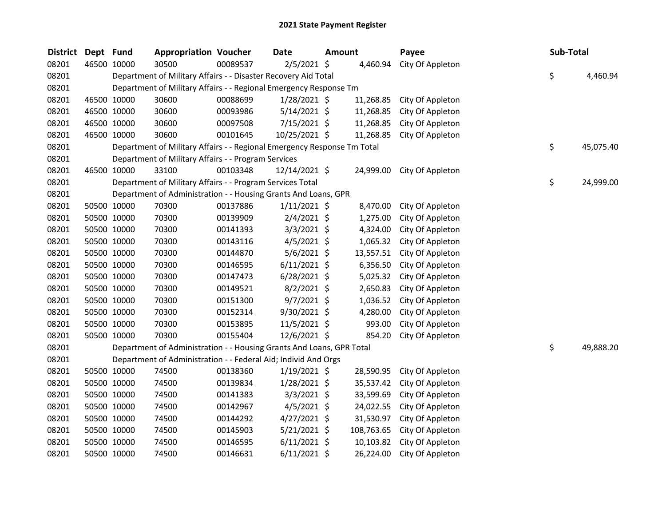| District Dept Fund |             | <b>Appropriation Voucher</b>                                            |          | <b>Date</b>    | <b>Amount</b> |            | Payee            | Sub-Total |           |
|--------------------|-------------|-------------------------------------------------------------------------|----------|----------------|---------------|------------|------------------|-----------|-----------|
| 08201              | 46500 10000 | 30500                                                                   | 00089537 | $2/5/2021$ \$  |               | 4,460.94   | City Of Appleton |           |           |
| 08201              |             | Department of Military Affairs - - Disaster Recovery Aid Total          |          |                |               |            |                  | \$        | 4,460.94  |
| 08201              |             | Department of Military Affairs - - Regional Emergency Response Tm       |          |                |               |            |                  |           |           |
| 08201              | 46500 10000 | 30600                                                                   | 00088699 | $1/28/2021$ \$ |               | 11,268.85  | City Of Appleton |           |           |
| 08201              | 46500 10000 | 30600                                                                   | 00093986 | $5/14/2021$ \$ |               | 11,268.85  | City Of Appleton |           |           |
| 08201              | 46500 10000 | 30600                                                                   | 00097508 | $7/15/2021$ \$ |               | 11,268.85  | City Of Appleton |           |           |
| 08201              | 46500 10000 | 30600                                                                   | 00101645 | 10/25/2021 \$  |               | 11,268.85  | City Of Appleton |           |           |
| 08201              |             | Department of Military Affairs - - Regional Emergency Response Tm Total |          |                |               |            |                  | \$        | 45,075.40 |
| 08201              |             | Department of Military Affairs - - Program Services                     |          |                |               |            |                  |           |           |
| 08201              | 46500 10000 | 33100                                                                   | 00103348 | 12/14/2021 \$  |               | 24,999.00  | City Of Appleton |           |           |
| 08201              |             | Department of Military Affairs - - Program Services Total               |          |                |               |            |                  | \$        | 24,999.00 |
| 08201              |             | Department of Administration - - Housing Grants And Loans, GPR          |          |                |               |            |                  |           |           |
| 08201              | 50500 10000 | 70300                                                                   | 00137886 | $1/11/2021$ \$ |               | 8,470.00   | City Of Appleton |           |           |
| 08201              | 50500 10000 | 70300                                                                   | 00139909 | $2/4/2021$ \$  |               | 1,275.00   | City Of Appleton |           |           |
| 08201              | 50500 10000 | 70300                                                                   | 00141393 | $3/3/2021$ \$  |               | 4,324.00   | City Of Appleton |           |           |
| 08201              | 50500 10000 | 70300                                                                   | 00143116 | $4/5/2021$ \$  |               | 1,065.32   | City Of Appleton |           |           |
| 08201              | 50500 10000 | 70300                                                                   | 00144870 | $5/6/2021$ \$  |               | 13,557.51  | City Of Appleton |           |           |
| 08201              | 50500 10000 | 70300                                                                   | 00146595 | $6/11/2021$ \$ |               | 6,356.50   | City Of Appleton |           |           |
| 08201              | 50500 10000 | 70300                                                                   | 00147473 | $6/28/2021$ \$ |               | 5,025.32   | City Of Appleton |           |           |
| 08201              | 50500 10000 | 70300                                                                   | 00149521 | $8/2/2021$ \$  |               | 2,650.83   | City Of Appleton |           |           |
| 08201              | 50500 10000 | 70300                                                                   | 00151300 | $9/7/2021$ \$  |               | 1,036.52   | City Of Appleton |           |           |
| 08201              | 50500 10000 | 70300                                                                   | 00152314 | 9/30/2021 \$   |               | 4,280.00   | City Of Appleton |           |           |
| 08201              | 50500 10000 | 70300                                                                   | 00153895 | $11/5/2021$ \$ |               | 993.00     | City Of Appleton |           |           |
| 08201              | 50500 10000 | 70300                                                                   | 00155404 | 12/6/2021 \$   |               | 854.20     | City Of Appleton |           |           |
| 08201              |             | Department of Administration - - Housing Grants And Loans, GPR Total    |          |                |               |            |                  | \$        | 49,888.20 |
| 08201              |             | Department of Administration - - Federal Aid; Individ And Orgs          |          |                |               |            |                  |           |           |
| 08201              | 50500 10000 | 74500                                                                   | 00138360 | 1/19/2021 \$   |               | 28,590.95  | City Of Appleton |           |           |
| 08201              | 50500 10000 | 74500                                                                   | 00139834 | $1/28/2021$ \$ |               | 35,537.42  | City Of Appleton |           |           |
| 08201              | 50500 10000 | 74500                                                                   | 00141383 | $3/3/2021$ \$  |               | 33,599.69  | City Of Appleton |           |           |
| 08201              | 50500 10000 | 74500                                                                   | 00142967 | $4/5/2021$ \$  |               | 24,022.55  | City Of Appleton |           |           |
| 08201              | 50500 10000 | 74500                                                                   | 00144292 | $4/27/2021$ \$ |               | 31,530.97  | City Of Appleton |           |           |
| 08201              | 50500 10000 | 74500                                                                   | 00145903 | $5/21/2021$ \$ |               | 108,763.65 | City Of Appleton |           |           |
| 08201              | 50500 10000 | 74500                                                                   | 00146595 | $6/11/2021$ \$ |               | 10,103.82  | City Of Appleton |           |           |
| 08201              | 50500 10000 | 74500                                                                   | 00146631 | $6/11/2021$ \$ |               | 26,224.00  | City Of Appleton |           |           |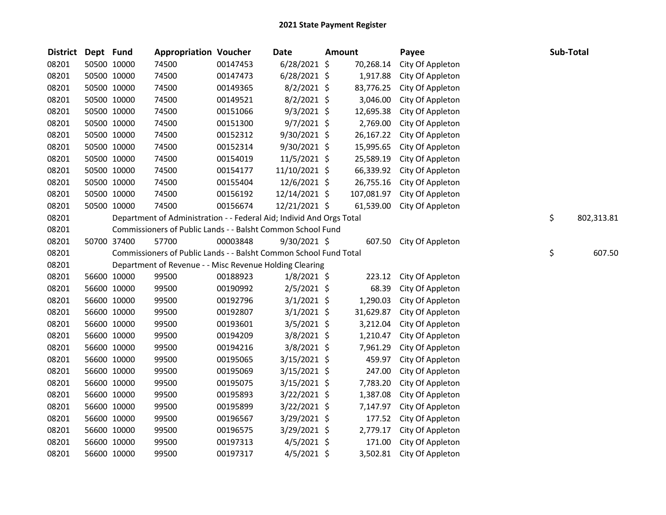| <b>District</b> | Dept Fund |             | <b>Appropriation Voucher</b>                                         |          | <b>Date</b>    | <b>Amount</b> |            | Payee            | Sub-Total        |
|-----------------|-----------|-------------|----------------------------------------------------------------------|----------|----------------|---------------|------------|------------------|------------------|
| 08201           |           | 50500 10000 | 74500                                                                | 00147453 | $6/28/2021$ \$ |               | 70,268.14  | City Of Appleton |                  |
| 08201           |           | 50500 10000 | 74500                                                                | 00147473 | $6/28/2021$ \$ |               | 1,917.88   | City Of Appleton |                  |
| 08201           |           | 50500 10000 | 74500                                                                | 00149365 | $8/2/2021$ \$  |               | 83,776.25  | City Of Appleton |                  |
| 08201           |           | 50500 10000 | 74500                                                                | 00149521 | $8/2/2021$ \$  |               | 3,046.00   | City Of Appleton |                  |
| 08201           |           | 50500 10000 | 74500                                                                | 00151066 | $9/3/2021$ \$  |               | 12,695.38  | City Of Appleton |                  |
| 08201           |           | 50500 10000 | 74500                                                                | 00151300 | $9/7/2021$ \$  |               | 2,769.00   | City Of Appleton |                  |
| 08201           |           | 50500 10000 | 74500                                                                | 00152312 | $9/30/2021$ \$ |               | 26,167.22  | City Of Appleton |                  |
| 08201           |           | 50500 10000 | 74500                                                                | 00152314 | $9/30/2021$ \$ |               | 15,995.65  | City Of Appleton |                  |
| 08201           |           | 50500 10000 | 74500                                                                | 00154019 | 11/5/2021 \$   |               | 25,589.19  | City Of Appleton |                  |
| 08201           |           | 50500 10000 | 74500                                                                | 00154177 | 11/10/2021 \$  |               | 66,339.92  | City Of Appleton |                  |
| 08201           |           | 50500 10000 | 74500                                                                | 00155404 | 12/6/2021 \$   |               | 26,755.16  | City Of Appleton |                  |
| 08201           |           | 50500 10000 | 74500                                                                | 00156192 | 12/14/2021 \$  |               | 107,081.97 | City Of Appleton |                  |
| 08201           |           | 50500 10000 | 74500                                                                | 00156674 | 12/21/2021 \$  |               | 61,539.00  | City Of Appleton |                  |
| 08201           |           |             | Department of Administration - - Federal Aid; Individ And Orgs Total |          |                |               |            |                  | \$<br>802,313.81 |
| 08201           |           |             | Commissioners of Public Lands - - Balsht Common School Fund          |          |                |               |            |                  |                  |
| 08201           |           | 50700 37400 | 57700                                                                | 00003848 | 9/30/2021 \$   |               | 607.50     | City Of Appleton |                  |
| 08201           |           |             | Commissioners of Public Lands - - Balsht Common School Fund Total    |          |                |               |            |                  | \$<br>607.50     |
| 08201           |           |             | Department of Revenue - - Misc Revenue Holding Clearing              |          |                |               |            |                  |                  |
| 08201           |           | 56600 10000 | 99500                                                                | 00188923 | $1/8/2021$ \$  |               | 223.12     | City Of Appleton |                  |
| 08201           |           | 56600 10000 | 99500                                                                | 00190992 | $2/5/2021$ \$  |               | 68.39      | City Of Appleton |                  |
| 08201           |           | 56600 10000 | 99500                                                                | 00192796 | $3/1/2021$ \$  |               | 1,290.03   | City Of Appleton |                  |
| 08201           |           | 56600 10000 | 99500                                                                | 00192807 | $3/1/2021$ \$  |               | 31,629.87  | City Of Appleton |                  |
| 08201           |           | 56600 10000 | 99500                                                                | 00193601 | 3/5/2021 \$    |               | 3,212.04   | City Of Appleton |                  |
| 08201           |           | 56600 10000 | 99500                                                                | 00194209 | 3/8/2021 \$    |               | 1,210.47   | City Of Appleton |                  |
| 08201           |           | 56600 10000 | 99500                                                                | 00194216 | 3/8/2021 \$    |               | 7,961.29   | City Of Appleton |                  |
| 08201           |           | 56600 10000 | 99500                                                                | 00195065 | 3/15/2021 \$   |               | 459.97     | City Of Appleton |                  |
| 08201           |           | 56600 10000 | 99500                                                                | 00195069 | 3/15/2021 \$   |               | 247.00     | City Of Appleton |                  |
| 08201           |           | 56600 10000 | 99500                                                                | 00195075 | 3/15/2021 \$   |               | 7,783.20   | City Of Appleton |                  |
| 08201           |           | 56600 10000 | 99500                                                                | 00195893 | 3/22/2021 \$   |               | 1,387.08   | City Of Appleton |                  |
| 08201           |           | 56600 10000 | 99500                                                                | 00195899 | 3/22/2021 \$   |               | 7,147.97   | City Of Appleton |                  |
| 08201           |           | 56600 10000 | 99500                                                                | 00196567 | 3/29/2021 \$   |               | 177.52     | City Of Appleton |                  |
| 08201           |           | 56600 10000 | 99500                                                                | 00196575 | 3/29/2021 \$   |               | 2,779.17   | City Of Appleton |                  |
| 08201           |           | 56600 10000 | 99500                                                                | 00197313 | $4/5/2021$ \$  |               | 171.00     | City Of Appleton |                  |
| 08201           |           | 56600 10000 | 99500                                                                | 00197317 | 4/5/2021 \$    |               | 3,502.81   | City Of Appleton |                  |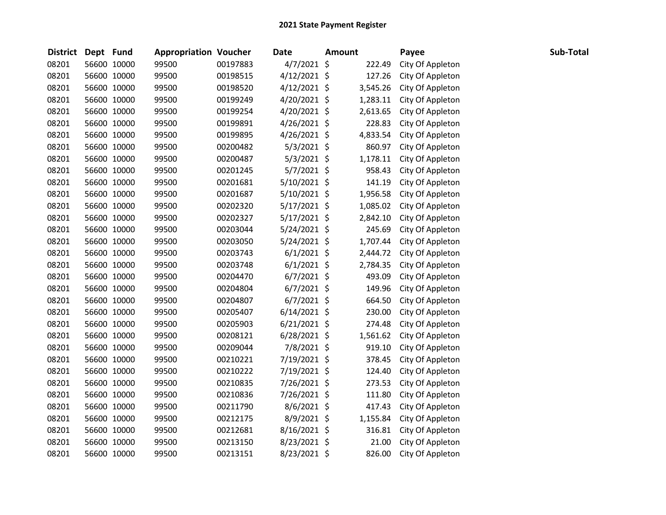| <b>District</b> | Dept Fund |             | <b>Appropriation Voucher</b> |          | <b>Date</b>    | <b>Amount</b> |          | Payee            | Sub-Total |
|-----------------|-----------|-------------|------------------------------|----------|----------------|---------------|----------|------------------|-----------|
| 08201           |           | 56600 10000 | 99500                        | 00197883 | 4/7/2021 \$    |               | 222.49   | City Of Appleton |           |
| 08201           |           | 56600 10000 | 99500                        | 00198515 | $4/12/2021$ \$ |               | 127.26   | City Of Appleton |           |
| 08201           |           | 56600 10000 | 99500                        | 00198520 | $4/12/2021$ \$ |               | 3,545.26 | City Of Appleton |           |
| 08201           |           | 56600 10000 | 99500                        | 00199249 | 4/20/2021 \$   |               | 1,283.11 | City Of Appleton |           |
| 08201           |           | 56600 10000 | 99500                        | 00199254 | 4/20/2021 \$   |               | 2,613.65 | City Of Appleton |           |
| 08201           |           | 56600 10000 | 99500                        | 00199891 | 4/26/2021 \$   |               | 228.83   | City Of Appleton |           |
| 08201           |           | 56600 10000 | 99500                        | 00199895 | $4/26/2021$ \$ |               | 4,833.54 | City Of Appleton |           |
| 08201           |           | 56600 10000 | 99500                        | 00200482 | $5/3/2021$ \$  |               | 860.97   | City Of Appleton |           |
| 08201           |           | 56600 10000 | 99500                        | 00200487 | $5/3/2021$ \$  |               | 1,178.11 | City Of Appleton |           |
| 08201           |           | 56600 10000 | 99500                        | 00201245 | 5/7/2021 \$    |               | 958.43   | City Of Appleton |           |
| 08201           |           | 56600 10000 | 99500                        | 00201681 | 5/10/2021 \$   |               | 141.19   | City Of Appleton |           |
| 08201           |           | 56600 10000 | 99500                        | 00201687 | 5/10/2021 \$   |               | 1,956.58 | City Of Appleton |           |
| 08201           |           | 56600 10000 | 99500                        | 00202320 | 5/17/2021 \$   |               | 1,085.02 | City Of Appleton |           |
| 08201           |           | 56600 10000 | 99500                        | 00202327 | $5/17/2021$ \$ |               | 2,842.10 | City Of Appleton |           |
| 08201           |           | 56600 10000 | 99500                        | 00203044 | $5/24/2021$ \$ |               | 245.69   | City Of Appleton |           |
| 08201           |           | 56600 10000 | 99500                        | 00203050 | 5/24/2021 \$   |               | 1,707.44 | City Of Appleton |           |
| 08201           |           | 56600 10000 | 99500                        | 00203743 | $6/1/2021$ \$  |               | 2,444.72 | City Of Appleton |           |
| 08201           |           | 56600 10000 | 99500                        | 00203748 | $6/1/2021$ \$  |               | 2,784.35 | City Of Appleton |           |
| 08201           |           | 56600 10000 | 99500                        | 00204470 | $6/7/2021$ \$  |               | 493.09   | City Of Appleton |           |
| 08201           |           | 56600 10000 | 99500                        | 00204804 | $6/7/2021$ \$  |               | 149.96   | City Of Appleton |           |
| 08201           |           | 56600 10000 | 99500                        | 00204807 | $6/7/2021$ \$  |               | 664.50   | City Of Appleton |           |
| 08201           |           | 56600 10000 | 99500                        | 00205407 | $6/14/2021$ \$ |               | 230.00   | City Of Appleton |           |
| 08201           |           | 56600 10000 | 99500                        | 00205903 | $6/21/2021$ \$ |               | 274.48   | City Of Appleton |           |
| 08201           |           | 56600 10000 | 99500                        | 00208121 | $6/28/2021$ \$ |               | 1,561.62 | City Of Appleton |           |
| 08201           |           | 56600 10000 | 99500                        | 00209044 | 7/8/2021 \$    |               | 919.10   | City Of Appleton |           |
| 08201           |           | 56600 10000 | 99500                        | 00210221 | 7/19/2021 \$   |               | 378.45   | City Of Appleton |           |
| 08201           |           | 56600 10000 | 99500                        | 00210222 | 7/19/2021 \$   |               | 124.40   | City Of Appleton |           |
| 08201           |           | 56600 10000 | 99500                        | 00210835 | 7/26/2021 \$   |               | 273.53   | City Of Appleton |           |
| 08201           |           | 56600 10000 | 99500                        | 00210836 | 7/26/2021 \$   |               | 111.80   | City Of Appleton |           |
| 08201           |           | 56600 10000 | 99500                        | 00211790 | 8/6/2021 \$    |               | 417.43   | City Of Appleton |           |
| 08201           |           | 56600 10000 | 99500                        | 00212175 | 8/9/2021 \$    |               | 1,155.84 | City Of Appleton |           |
| 08201           |           | 56600 10000 | 99500                        | 00212681 | 8/16/2021 \$   |               | 316.81   | City Of Appleton |           |
| 08201           |           | 56600 10000 | 99500                        | 00213150 | 8/23/2021 \$   |               | 21.00    | City Of Appleton |           |
| 08201           |           | 56600 10000 | 99500                        | 00213151 | 8/23/2021 \$   |               | 826.00   | City Of Appleton |           |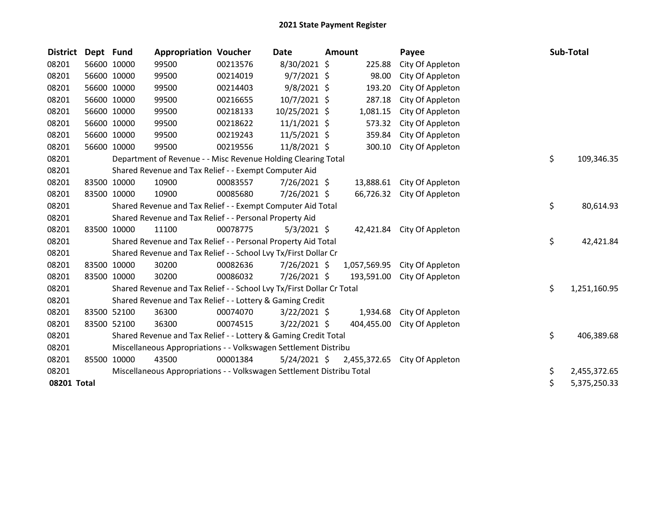| <b>District</b> | Dept Fund |             | <b>Appropriation Voucher</b>                                          |          | Date           | <b>Amount</b> |              | Payee                         | Sub-Total          |
|-----------------|-----------|-------------|-----------------------------------------------------------------------|----------|----------------|---------------|--------------|-------------------------------|--------------------|
| 08201           |           | 56600 10000 | 99500                                                                 | 00213576 | 8/30/2021 \$   |               | 225.88       | City Of Appleton              |                    |
| 08201           |           | 56600 10000 | 99500                                                                 | 00214019 | $9/7/2021$ \$  |               | 98.00        | City Of Appleton              |                    |
| 08201           |           | 56600 10000 | 99500                                                                 | 00214403 | $9/8/2021$ \$  |               | 193.20       | City Of Appleton              |                    |
| 08201           |           | 56600 10000 | 99500                                                                 | 00216655 | 10/7/2021 \$   |               | 287.18       | City Of Appleton              |                    |
| 08201           |           | 56600 10000 | 99500                                                                 | 00218133 | 10/25/2021 \$  |               | 1,081.15     | City Of Appleton              |                    |
| 08201           |           | 56600 10000 | 99500                                                                 | 00218622 | $11/1/2021$ \$ |               | 573.32       | City Of Appleton              |                    |
| 08201           |           | 56600 10000 | 99500                                                                 | 00219243 | 11/5/2021 \$   |               | 359.84       | City Of Appleton              |                    |
| 08201           |           | 56600 10000 | 99500                                                                 | 00219556 | 11/8/2021 \$   |               | 300.10       | City Of Appleton              |                    |
| 08201           |           |             | Department of Revenue - - Misc Revenue Holding Clearing Total         |          |                |               |              |                               | \$<br>109,346.35   |
| 08201           |           |             | Shared Revenue and Tax Relief - - Exempt Computer Aid                 |          |                |               |              |                               |                    |
| 08201           |           | 83500 10000 | 10900                                                                 | 00083557 | 7/26/2021 \$   |               | 13,888.61    | City Of Appleton              |                    |
| 08201           |           | 83500 10000 | 10900                                                                 | 00085680 | 7/26/2021 \$   |               | 66,726.32    | City Of Appleton              |                    |
| 08201           |           |             | Shared Revenue and Tax Relief - - Exempt Computer Aid Total           |          |                |               |              |                               | \$<br>80,614.93    |
| 08201           |           |             | Shared Revenue and Tax Relief - - Personal Property Aid               |          |                |               |              |                               |                    |
| 08201           |           | 83500 10000 | 11100                                                                 | 00078775 | $5/3/2021$ \$  |               | 42,421.84    | City Of Appleton              |                    |
| 08201           |           |             | Shared Revenue and Tax Relief - - Personal Property Aid Total         |          |                |               |              |                               | \$<br>42,421.84    |
| 08201           |           |             | Shared Revenue and Tax Relief - - School Lvy Tx/First Dollar Cr       |          |                |               |              |                               |                    |
| 08201           |           | 83500 10000 | 30200                                                                 | 00082636 | 7/26/2021 \$   |               |              | 1,057,569.95 City Of Appleton |                    |
| 08201           |           | 83500 10000 | 30200                                                                 | 00086032 | 7/26/2021 \$   |               | 193,591.00   | City Of Appleton              |                    |
| 08201           |           |             | Shared Revenue and Tax Relief - - School Lvy Tx/First Dollar Cr Total |          |                |               |              |                               | \$<br>1,251,160.95 |
| 08201           |           |             | Shared Revenue and Tax Relief - - Lottery & Gaming Credit             |          |                |               |              |                               |                    |
| 08201           |           | 83500 52100 | 36300                                                                 | 00074070 | $3/22/2021$ \$ |               | 1,934.68     | City Of Appleton              |                    |
| 08201           |           | 83500 52100 | 36300                                                                 | 00074515 | $3/22/2021$ \$ |               | 404,455.00   | City Of Appleton              |                    |
| 08201           |           |             | Shared Revenue and Tax Relief - - Lottery & Gaming Credit Total       |          |                |               |              |                               | \$<br>406,389.68   |
| 08201           |           |             | Miscellaneous Appropriations - - Volkswagen Settlement Distribu       |          |                |               |              |                               |                    |
| 08201           | 85500     | 10000       | 43500                                                                 | 00001384 | $5/24/2021$ \$ |               | 2,455,372.65 | City Of Appleton              |                    |
| 08201           |           |             | Miscellaneous Appropriations - - Volkswagen Settlement Distribu Total |          |                |               |              |                               | \$<br>2,455,372.65 |
| 08201 Total     |           |             |                                                                       |          |                |               |              |                               | \$<br>5,375,250.33 |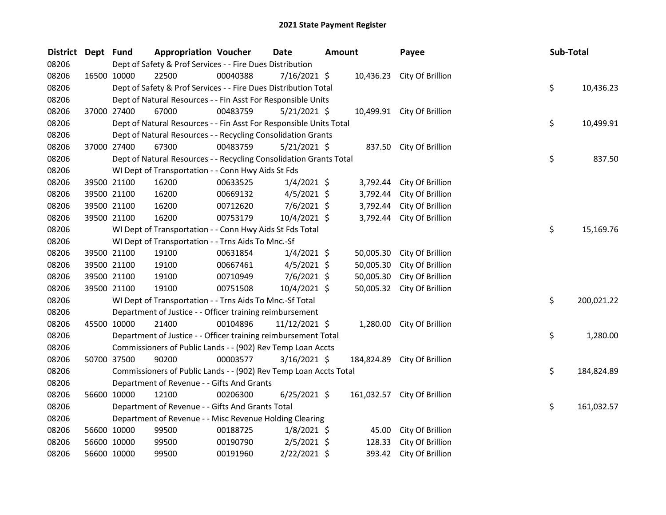| District Dept Fund |             | <b>Appropriation Voucher</b>                                       |          | <b>Date</b>    | Amount |           | Payee                       | Sub-Total |            |
|--------------------|-------------|--------------------------------------------------------------------|----------|----------------|--------|-----------|-----------------------------|-----------|------------|
| 08206              |             | Dept of Safety & Prof Services - - Fire Dues Distribution          |          |                |        |           |                             |           |            |
| 08206              | 16500 10000 | 22500                                                              | 00040388 | $7/16/2021$ \$ |        |           | 10,436.23 City Of Brillion  |           |            |
| 08206              |             | Dept of Safety & Prof Services - - Fire Dues Distribution Total    |          |                |        |           |                             | \$        | 10,436.23  |
| 08206              |             | Dept of Natural Resources - - Fin Asst For Responsible Units       |          |                |        |           |                             |           |            |
| 08206              | 37000 27400 | 67000                                                              | 00483759 | $5/21/2021$ \$ |        |           | 10,499.91 City Of Brillion  |           |            |
| 08206              |             | Dept of Natural Resources - - Fin Asst For Responsible Units Total |          |                |        |           |                             | \$        | 10,499.91  |
| 08206              |             | Dept of Natural Resources - - Recycling Consolidation Grants       |          |                |        |           |                             |           |            |
| 08206              | 37000 27400 | 67300                                                              | 00483759 | $5/21/2021$ \$ |        |           | 837.50 City Of Brillion     |           |            |
| 08206              |             | Dept of Natural Resources - - Recycling Consolidation Grants Total |          |                |        |           |                             | \$        | 837.50     |
| 08206              |             | WI Dept of Transportation - - Conn Hwy Aids St Fds                 |          |                |        |           |                             |           |            |
| 08206              | 39500 21100 | 16200                                                              | 00633525 | $1/4/2021$ \$  |        | 3,792.44  | City Of Brillion            |           |            |
| 08206              | 39500 21100 | 16200                                                              | 00669132 | $4/5/2021$ \$  |        | 3,792.44  | City Of Brillion            |           |            |
| 08206              | 39500 21100 | 16200                                                              | 00712620 | $7/6/2021$ \$  |        | 3,792.44  | City Of Brillion            |           |            |
| 08206              | 39500 21100 | 16200                                                              | 00753179 | 10/4/2021 \$   |        | 3,792.44  | City Of Brillion            |           |            |
| 08206              |             | WI Dept of Transportation - - Conn Hwy Aids St Fds Total           |          |                |        |           |                             | \$        | 15,169.76  |
| 08206              |             | WI Dept of Transportation - - Trns Aids To Mnc.-Sf                 |          |                |        |           |                             |           |            |
| 08206              | 39500 21100 | 19100                                                              | 00631854 | $1/4/2021$ \$  |        | 50,005.30 | City Of Brillion            |           |            |
| 08206              | 39500 21100 | 19100                                                              | 00667461 | $4/5/2021$ \$  |        | 50,005.30 | City Of Brillion            |           |            |
| 08206              | 39500 21100 | 19100                                                              | 00710949 | $7/6/2021$ \$  |        | 50,005.30 | City Of Brillion            |           |            |
| 08206              | 39500 21100 | 19100                                                              | 00751508 | 10/4/2021 \$   |        | 50,005.32 | City Of Brillion            |           |            |
| 08206              |             | WI Dept of Transportation - - Trns Aids To Mnc.-Sf Total           |          |                |        |           |                             | \$        | 200,021.22 |
| 08206              |             | Department of Justice - - Officer training reimbursement           |          |                |        |           |                             |           |            |
| 08206              | 45500 10000 | 21400                                                              | 00104896 | 11/12/2021 \$  |        | 1,280.00  | City Of Brillion            |           |            |
| 08206              |             | Department of Justice - - Officer training reimbursement Total     |          |                |        |           |                             | \$        | 1,280.00   |
| 08206              |             | Commissioners of Public Lands - - (902) Rev Temp Loan Accts        |          |                |        |           |                             |           |            |
| 08206              | 50700 37500 | 90200                                                              | 00003577 | $3/16/2021$ \$ |        |           | 184,824.89 City Of Brillion |           |            |
| 08206              |             | Commissioners of Public Lands - - (902) Rev Temp Loan Accts Total  |          |                |        |           |                             | \$        | 184,824.89 |
| 08206              |             | Department of Revenue - - Gifts And Grants                         |          |                |        |           |                             |           |            |
| 08206              | 56600 10000 | 12100                                                              | 00206300 | $6/25/2021$ \$ |        |           | 161,032.57 City Of Brillion |           |            |
| 08206              |             | Department of Revenue - - Gifts And Grants Total                   |          |                |        |           |                             | \$        | 161,032.57 |
| 08206              |             | Department of Revenue - - Misc Revenue Holding Clearing            |          |                |        |           |                             |           |            |
| 08206              | 56600 10000 | 99500                                                              | 00188725 | $1/8/2021$ \$  |        | 45.00     | City Of Brillion            |           |            |
| 08206              | 56600 10000 | 99500                                                              | 00190790 | $2/5/2021$ \$  |        | 128.33    | City Of Brillion            |           |            |
| 08206              | 56600 10000 | 99500                                                              | 00191960 | 2/22/2021 \$   |        | 393.42    | City Of Brillion            |           |            |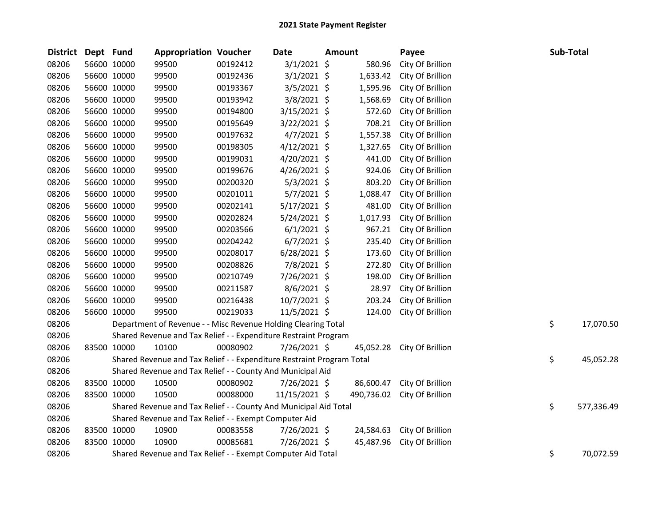| <b>District</b> | Dept Fund   |             | <b>Appropriation Voucher</b>                                          |          | Date           | <b>Amount</b> |            | Payee            | Sub-Total |            |
|-----------------|-------------|-------------|-----------------------------------------------------------------------|----------|----------------|---------------|------------|------------------|-----------|------------|
| 08206           |             | 56600 10000 | 99500                                                                 | 00192412 | $3/1/2021$ \$  |               | 580.96     | City Of Brillion |           |            |
| 08206           |             | 56600 10000 | 99500                                                                 | 00192436 | $3/1/2021$ \$  |               | 1,633.42   | City Of Brillion |           |            |
| 08206           |             | 56600 10000 | 99500                                                                 | 00193367 | $3/5/2021$ \$  |               | 1,595.96   | City Of Brillion |           |            |
| 08206           |             | 56600 10000 | 99500                                                                 | 00193942 | $3/8/2021$ \$  |               | 1,568.69   | City Of Brillion |           |            |
| 08206           |             | 56600 10000 | 99500                                                                 | 00194800 | $3/15/2021$ \$ |               | 572.60     | City Of Brillion |           |            |
| 08206           |             | 56600 10000 | 99500                                                                 | 00195649 | 3/22/2021 \$   |               | 708.21     | City Of Brillion |           |            |
| 08206           |             | 56600 10000 | 99500                                                                 | 00197632 | $4/7/2021$ \$  |               | 1,557.38   | City Of Brillion |           |            |
| 08206           |             | 56600 10000 | 99500                                                                 | 00198305 | $4/12/2021$ \$ |               | 1,327.65   | City Of Brillion |           |            |
| 08206           |             | 56600 10000 | 99500                                                                 | 00199031 | 4/20/2021 \$   |               | 441.00     | City Of Brillion |           |            |
| 08206           |             | 56600 10000 | 99500                                                                 | 00199676 | 4/26/2021 \$   |               | 924.06     | City Of Brillion |           |            |
| 08206           |             | 56600 10000 | 99500                                                                 | 00200320 | $5/3/2021$ \$  |               | 803.20     | City Of Brillion |           |            |
| 08206           |             | 56600 10000 | 99500                                                                 | 00201011 | $5/7/2021$ \$  |               | 1,088.47   | City Of Brillion |           |            |
| 08206           |             | 56600 10000 | 99500                                                                 | 00202141 | $5/17/2021$ \$ |               | 481.00     | City Of Brillion |           |            |
| 08206           |             | 56600 10000 | 99500                                                                 | 00202824 | 5/24/2021 \$   |               | 1,017.93   | City Of Brillion |           |            |
| 08206           |             | 56600 10000 | 99500                                                                 | 00203566 | $6/1/2021$ \$  |               | 967.21     | City Of Brillion |           |            |
| 08206           |             | 56600 10000 | 99500                                                                 | 00204242 | $6/7/2021$ \$  |               | 235.40     | City Of Brillion |           |            |
| 08206           |             | 56600 10000 | 99500                                                                 | 00208017 | $6/28/2021$ \$ |               | 173.60     | City Of Brillion |           |            |
| 08206           |             | 56600 10000 | 99500                                                                 | 00208826 | 7/8/2021 \$    |               | 272.80     | City Of Brillion |           |            |
| 08206           |             | 56600 10000 | 99500                                                                 | 00210749 | 7/26/2021 \$   |               | 198.00     | City Of Brillion |           |            |
| 08206           |             | 56600 10000 | 99500                                                                 | 00211587 | 8/6/2021 \$    |               | 28.97      | City Of Brillion |           |            |
| 08206           |             | 56600 10000 | 99500                                                                 | 00216438 | 10/7/2021 \$   |               | 203.24     | City Of Brillion |           |            |
| 08206           |             | 56600 10000 | 99500                                                                 | 00219033 | $11/5/2021$ \$ |               | 124.00     | City Of Brillion |           |            |
| 08206           |             |             | Department of Revenue - - Misc Revenue Holding Clearing Total         |          |                |               |            |                  | \$        | 17,070.50  |
| 08206           |             |             | Shared Revenue and Tax Relief - - Expenditure Restraint Program       |          |                |               |            |                  |           |            |
| 08206           |             | 83500 10000 | 10100                                                                 | 00080902 | 7/26/2021 \$   |               | 45,052.28  | City Of Brillion |           |            |
| 08206           |             |             | Shared Revenue and Tax Relief - - Expenditure Restraint Program Total |          |                |               |            |                  | \$        | 45,052.28  |
| 08206           |             |             | Shared Revenue and Tax Relief - - County And Municipal Aid            |          |                |               |            |                  |           |            |
| 08206           |             | 83500 10000 | 10500                                                                 | 00080902 | 7/26/2021 \$   |               | 86,600.47  | City Of Brillion |           |            |
| 08206           |             | 83500 10000 | 10500                                                                 | 00088000 | 11/15/2021 \$  |               | 490,736.02 | City Of Brillion |           |            |
| 08206           |             |             | Shared Revenue and Tax Relief - - County And Municipal Aid Total      |          |                |               |            |                  | \$        | 577,336.49 |
| 08206           |             |             | Shared Revenue and Tax Relief - - Exempt Computer Aid                 |          |                |               |            |                  |           |            |
| 08206           | 83500 10000 |             | 10900                                                                 | 00083558 | 7/26/2021 \$   |               | 24,584.63  | City Of Brillion |           |            |
| 08206           |             | 83500 10000 | 10900                                                                 | 00085681 | 7/26/2021 \$   |               | 45,487.96  | City Of Brillion |           |            |
| 08206           |             |             | Shared Revenue and Tax Relief - - Exempt Computer Aid Total           |          |                |               |            |                  | \$        | 70,072.59  |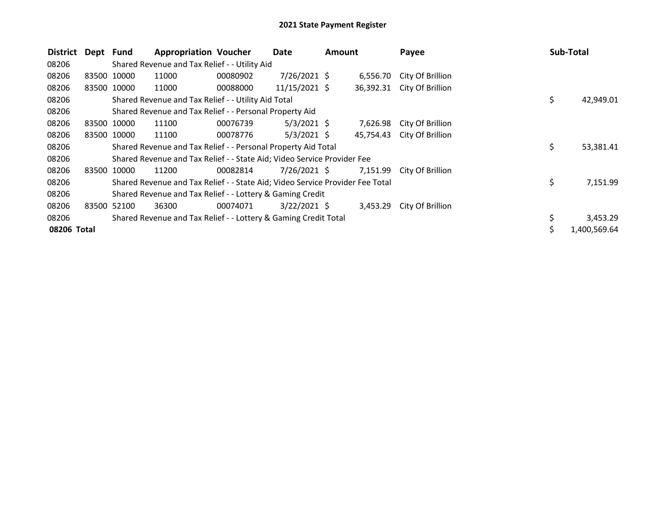| <b>District</b> | Dept Fund |             | <b>Appropriation Voucher</b>                                                  |          | Date            | <b>Amount</b> |           | Payee            |    | Sub-Total    |
|-----------------|-----------|-------------|-------------------------------------------------------------------------------|----------|-----------------|---------------|-----------|------------------|----|--------------|
| 08206           |           |             | Shared Revenue and Tax Relief - - Utility Aid                                 |          |                 |               |           |                  |    |              |
| 08206           |           | 83500 10000 | 11000                                                                         | 00080902 | $7/26/2021$ \$  |               | 6,556.70  | City Of Brillion |    |              |
| 08206           |           | 83500 10000 | 11000                                                                         | 00088000 | $11/15/2021$ \$ |               | 36,392.31 | City Of Brillion |    |              |
| 08206           |           |             | Shared Revenue and Tax Relief - - Utility Aid Total                           |          |                 |               |           |                  | \$ | 42,949.01    |
| 08206           |           |             | Shared Revenue and Tax Relief - - Personal Property Aid                       |          |                 |               |           |                  |    |              |
| 08206           |           | 83500 10000 | 11100                                                                         | 00076739 | $5/3/2021$ \$   |               | 7,626.98  | City Of Brillion |    |              |
| 08206           |           | 83500 10000 | 11100                                                                         | 00078776 | $5/3/2021$ \$   |               | 45,754.43 | City Of Brillion |    |              |
| 08206           |           |             | Shared Revenue and Tax Relief - - Personal Property Aid Total                 |          |                 |               |           |                  | \$ | 53,381.41    |
| 08206           |           |             | Shared Revenue and Tax Relief - - State Aid; Video Service Provider Fee       |          |                 |               |           |                  |    |              |
| 08206           |           | 83500 10000 | 11200                                                                         | 00082814 | $7/26/2021$ \$  |               | 7,151.99  | City Of Brillion |    |              |
| 08206           |           |             | Shared Revenue and Tax Relief - - State Aid; Video Service Provider Fee Total |          |                 |               |           |                  | \$ | 7,151.99     |
| 08206           |           |             | Shared Revenue and Tax Relief - - Lottery & Gaming Credit                     |          |                 |               |           |                  |    |              |
| 08206           |           | 83500 52100 | 36300                                                                         | 00074071 | $3/22/2021$ \$  |               | 3,453.29  | City Of Brillion |    |              |
| 08206           |           |             | Shared Revenue and Tax Relief - - Lottery & Gaming Credit Total               |          |                 |               |           |                  | \$ | 3,453.29     |
| 08206 Total     |           |             |                                                                               |          |                 |               |           |                  | Ś. | 1,400,569.64 |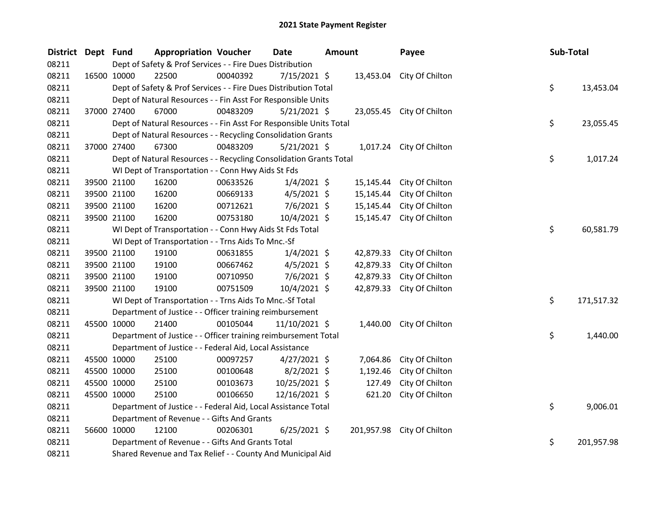| District Dept Fund |             |             | <b>Appropriation Voucher</b>                                       |          | <b>Date</b>    | <b>Amount</b> |            | Payee                     | Sub-Total |            |
|--------------------|-------------|-------------|--------------------------------------------------------------------|----------|----------------|---------------|------------|---------------------------|-----------|------------|
| 08211              |             |             | Dept of Safety & Prof Services - - Fire Dues Distribution          |          |                |               |            |                           |           |            |
| 08211              |             | 16500 10000 | 22500                                                              | 00040392 | 7/15/2021 \$   |               |            | 13,453.04 City Of Chilton |           |            |
| 08211              |             |             | Dept of Safety & Prof Services - - Fire Dues Distribution Total    |          |                |               |            |                           | \$        | 13,453.04  |
| 08211              |             |             | Dept of Natural Resources - - Fin Asst For Responsible Units       |          |                |               |            |                           |           |            |
| 08211              |             | 37000 27400 | 67000                                                              | 00483209 | $5/21/2021$ \$ |               |            | 23,055.45 City Of Chilton |           |            |
| 08211              |             |             | Dept of Natural Resources - - Fin Asst For Responsible Units Total |          |                |               |            |                           | \$        | 23,055.45  |
| 08211              |             |             | Dept of Natural Resources - - Recycling Consolidation Grants       |          |                |               |            |                           |           |            |
| 08211              |             | 37000 27400 | 67300                                                              | 00483209 | $5/21/2021$ \$ |               |            | 1,017.24 City Of Chilton  |           |            |
| 08211              |             |             | Dept of Natural Resources - - Recycling Consolidation Grants Total |          |                |               |            |                           | \$        | 1,017.24   |
| 08211              |             |             | WI Dept of Transportation - - Conn Hwy Aids St Fds                 |          |                |               |            |                           |           |            |
| 08211              | 39500 21100 |             | 16200                                                              | 00633526 | $1/4/2021$ \$  |               | 15,145.44  | City Of Chilton           |           |            |
| 08211              |             | 39500 21100 | 16200                                                              | 00669133 | $4/5/2021$ \$  |               | 15,145.44  | City Of Chilton           |           |            |
| 08211              | 39500 21100 |             | 16200                                                              | 00712621 | $7/6/2021$ \$  |               | 15,145.44  | City Of Chilton           |           |            |
| 08211              |             | 39500 21100 | 16200                                                              | 00753180 | $10/4/2021$ \$ |               | 15,145.47  | City Of Chilton           |           |            |
| 08211              |             |             | WI Dept of Transportation - - Conn Hwy Aids St Fds Total           |          |                |               |            |                           | \$        | 60,581.79  |
| 08211              |             |             | WI Dept of Transportation - - Trns Aids To Mnc.-Sf                 |          |                |               |            |                           |           |            |
| 08211              |             | 39500 21100 | 19100                                                              | 00631855 | $1/4/2021$ \$  |               | 42,879.33  | City Of Chilton           |           |            |
| 08211              |             | 39500 21100 | 19100                                                              | 00667462 | $4/5/2021$ \$  |               | 42,879.33  | City Of Chilton           |           |            |
| 08211              | 39500 21100 |             | 19100                                                              | 00710950 | $7/6/2021$ \$  |               | 42,879.33  | City Of Chilton           |           |            |
| 08211              |             | 39500 21100 | 19100                                                              | 00751509 | $10/4/2021$ \$ |               | 42,879.33  | City Of Chilton           |           |            |
| 08211              |             |             | WI Dept of Transportation - - Trns Aids To Mnc.-Sf Total           |          |                |               |            |                           | \$        | 171,517.32 |
| 08211              |             |             | Department of Justice - - Officer training reimbursement           |          |                |               |            |                           |           |            |
| 08211              | 45500 10000 |             | 21400                                                              | 00105044 | 11/10/2021 \$  |               | 1,440.00   | City Of Chilton           |           |            |
| 08211              |             |             | Department of Justice - - Officer training reimbursement Total     |          |                |               |            |                           | \$        | 1,440.00   |
| 08211              |             |             | Department of Justice - - Federal Aid, Local Assistance            |          |                |               |            |                           |           |            |
| 08211              |             | 45500 10000 | 25100                                                              | 00097257 | $4/27/2021$ \$ |               | 7,064.86   | City Of Chilton           |           |            |
| 08211              |             | 45500 10000 | 25100                                                              | 00100648 | $8/2/2021$ \$  |               | 1,192.46   | City Of Chilton           |           |            |
| 08211              |             | 45500 10000 | 25100                                                              | 00103673 | 10/25/2021 \$  |               | 127.49     | City Of Chilton           |           |            |
| 08211              | 45500 10000 |             | 25100                                                              | 00106650 | 12/16/2021 \$  |               | 621.20     | City Of Chilton           |           |            |
| 08211              |             |             | Department of Justice - - Federal Aid, Local Assistance Total      |          |                |               |            |                           | \$        | 9,006.01   |
| 08211              |             |             | Department of Revenue - - Gifts And Grants                         |          |                |               |            |                           |           |            |
| 08211              | 56600 10000 |             | 12100                                                              | 00206301 | $6/25/2021$ \$ |               | 201,957.98 | City Of Chilton           |           |            |
| 08211              |             |             | Department of Revenue - - Gifts And Grants Total                   |          |                |               |            |                           | \$        | 201,957.98 |
| 08211              |             |             | Shared Revenue and Tax Relief - - County And Municipal Aid         |          |                |               |            |                           |           |            |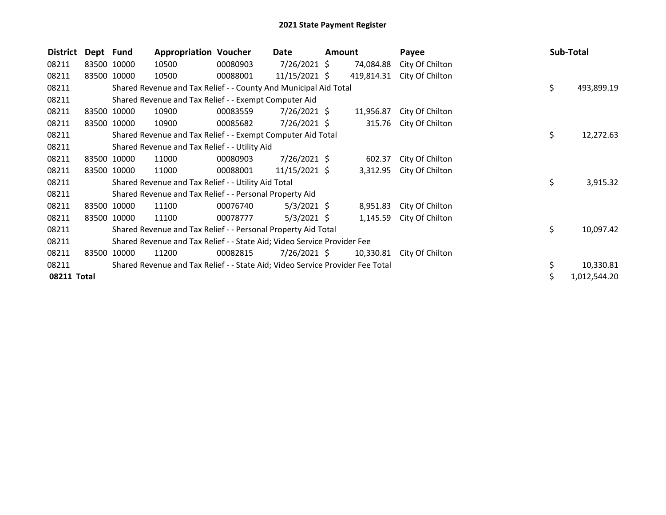| District    | Dept Fund |             | <b>Appropriation Voucher</b>                                                  |          | Date            | <b>Amount</b> |            | Payee           | Sub-Total |              |
|-------------|-----------|-------------|-------------------------------------------------------------------------------|----------|-----------------|---------------|------------|-----------------|-----------|--------------|
| 08211       |           | 83500 10000 | 10500                                                                         | 00080903 | $7/26/2021$ \$  |               | 74,084.88  | City Of Chilton |           |              |
| 08211       |           | 83500 10000 | 10500                                                                         | 00088001 | $11/15/2021$ \$ |               | 419,814.31 | City Of Chilton |           |              |
| 08211       |           |             | Shared Revenue and Tax Relief - - County And Municipal Aid Total              |          |                 |               |            |                 | \$        | 493,899.19   |
| 08211       |           |             | Shared Revenue and Tax Relief - - Exempt Computer Aid                         |          |                 |               |            |                 |           |              |
| 08211       |           | 83500 10000 | 10900                                                                         | 00083559 | $7/26/2021$ \$  |               | 11,956.87  | City Of Chilton |           |              |
| 08211       |           | 83500 10000 | 10900                                                                         | 00085682 | $7/26/2021$ \$  |               | 315.76     | City Of Chilton |           |              |
| 08211       |           |             | Shared Revenue and Tax Relief - - Exempt Computer Aid Total                   |          |                 |               |            |                 | \$        | 12,272.63    |
| 08211       |           |             | Shared Revenue and Tax Relief - - Utility Aid                                 |          |                 |               |            |                 |           |              |
| 08211       |           | 83500 10000 | 11000                                                                         | 00080903 | $7/26/2021$ \$  |               | 602.37     | City Of Chilton |           |              |
| 08211       |           | 83500 10000 | 11000                                                                         | 00088001 | $11/15/2021$ \$ |               | 3,312.95   | City Of Chilton |           |              |
| 08211       |           |             | Shared Revenue and Tax Relief - - Utility Aid Total                           |          |                 |               |            |                 | \$        | 3,915.32     |
| 08211       |           |             | Shared Revenue and Tax Relief - - Personal Property Aid                       |          |                 |               |            |                 |           |              |
| 08211       |           | 83500 10000 | 11100                                                                         | 00076740 | $5/3/2021$ \$   |               | 8,951.83   | City Of Chilton |           |              |
| 08211       |           | 83500 10000 | 11100                                                                         | 00078777 | $5/3/2021$ \$   |               | 1,145.59   | City Of Chilton |           |              |
| 08211       |           |             | Shared Revenue and Tax Relief - - Personal Property Aid Total                 |          |                 |               |            |                 | \$        | 10,097.42    |
| 08211       |           |             | Shared Revenue and Tax Relief - - State Aid; Video Service Provider Fee       |          |                 |               |            |                 |           |              |
| 08211       | 83500     | 10000       | 11200                                                                         | 00082815 | $7/26/2021$ \$  |               | 10,330.81  | City Of Chilton |           |              |
| 08211       |           |             | Shared Revenue and Tax Relief - - State Aid; Video Service Provider Fee Total |          |                 |               |            |                 |           | 10,330.81    |
| 08211 Total |           |             |                                                                               |          |                 |               |            |                 | \$        | 1,012,544.20 |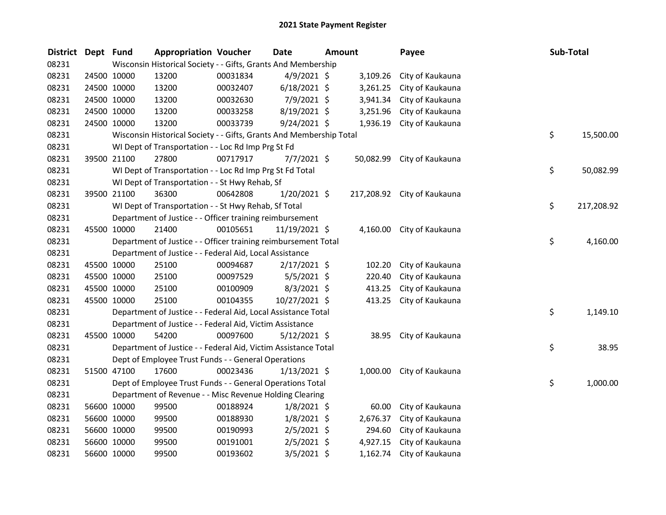| <b>District</b> | Dept Fund |             | <b>Appropriation Voucher</b>                                        |          | <b>Date</b>    | <b>Amount</b> |           | Payee                       | Sub-Total        |
|-----------------|-----------|-------------|---------------------------------------------------------------------|----------|----------------|---------------|-----------|-----------------------------|------------------|
| 08231           |           |             | Wisconsin Historical Society - - Gifts, Grants And Membership       |          |                |               |           |                             |                  |
| 08231           |           | 24500 10000 | 13200                                                               | 00031834 | 4/9/2021 \$    |               | 3,109.26  | City of Kaukauna            |                  |
| 08231           |           | 24500 10000 | 13200                                                               | 00032407 | $6/18/2021$ \$ |               | 3,261.25  | City of Kaukauna            |                  |
| 08231           |           | 24500 10000 | 13200                                                               | 00032630 | 7/9/2021 \$    |               | 3,941.34  | City of Kaukauna            |                  |
| 08231           |           | 24500 10000 | 13200                                                               | 00033258 | 8/19/2021 \$   |               | 3,251.96  | City of Kaukauna            |                  |
| 08231           |           | 24500 10000 | 13200                                                               | 00033739 | $9/24/2021$ \$ |               | 1,936.19  | City of Kaukauna            |                  |
| 08231           |           |             | Wisconsin Historical Society - - Gifts, Grants And Membership Total |          |                |               |           |                             | \$<br>15,500.00  |
| 08231           |           |             | WI Dept of Transportation - - Loc Rd Imp Prg St Fd                  |          |                |               |           |                             |                  |
| 08231           |           | 39500 21100 | 27800                                                               | 00717917 | $7/7/2021$ \$  |               | 50,082.99 | City of Kaukauna            |                  |
| 08231           |           |             | WI Dept of Transportation - - Loc Rd Imp Prg St Fd Total            |          |                |               |           |                             | \$<br>50,082.99  |
| 08231           |           |             | WI Dept of Transportation - - St Hwy Rehab, Sf                      |          |                |               |           |                             |                  |
| 08231           |           | 39500 21100 | 36300                                                               | 00642808 | 1/20/2021 \$   |               |           | 217,208.92 City of Kaukauna |                  |
| 08231           |           |             | WI Dept of Transportation - - St Hwy Rehab, Sf Total                |          |                |               |           |                             | \$<br>217,208.92 |
| 08231           |           |             | Department of Justice - - Officer training reimbursement            |          |                |               |           |                             |                  |
| 08231           |           | 45500 10000 | 21400                                                               | 00105651 | 11/19/2021 \$  |               |           | 4,160.00 City of Kaukauna   |                  |
| 08231           |           |             | Department of Justice - - Officer training reimbursement Total      |          |                |               |           |                             | \$<br>4,160.00   |
| 08231           |           |             | Department of Justice - - Federal Aid, Local Assistance             |          |                |               |           |                             |                  |
| 08231           |           | 45500 10000 | 25100                                                               | 00094687 | $2/17/2021$ \$ |               | 102.20    | City of Kaukauna            |                  |
| 08231           |           | 45500 10000 | 25100                                                               | 00097529 | $5/5/2021$ \$  |               | 220.40    | City of Kaukauna            |                  |
| 08231           |           | 45500 10000 | 25100                                                               | 00100909 | $8/3/2021$ \$  |               | 413.25    | City of Kaukauna            |                  |
| 08231           |           | 45500 10000 | 25100                                                               | 00104355 | 10/27/2021 \$  |               | 413.25    | City of Kaukauna            |                  |
| 08231           |           |             | Department of Justice - - Federal Aid, Local Assistance Total       |          |                |               |           |                             | \$<br>1,149.10   |
| 08231           |           |             | Department of Justice - - Federal Aid, Victim Assistance            |          |                |               |           |                             |                  |
| 08231           |           | 45500 10000 | 54200                                                               | 00097600 | $5/12/2021$ \$ |               | 38.95     | City of Kaukauna            |                  |
| 08231           |           |             | Department of Justice - - Federal Aid, Victim Assistance Total      |          |                |               |           |                             | \$<br>38.95      |
| 08231           |           |             | Dept of Employee Trust Funds - - General Operations                 |          |                |               |           |                             |                  |
| 08231           |           | 51500 47100 | 17600                                                               | 00023436 | $1/13/2021$ \$ |               | 1,000.00  | City of Kaukauna            |                  |
| 08231           |           |             | Dept of Employee Trust Funds - - General Operations Total           |          |                |               |           |                             | \$<br>1,000.00   |
| 08231           |           |             | Department of Revenue - - Misc Revenue Holding Clearing             |          |                |               |           |                             |                  |
| 08231           |           | 56600 10000 | 99500                                                               | 00188924 | $1/8/2021$ \$  |               | 60.00     | City of Kaukauna            |                  |
| 08231           |           | 56600 10000 | 99500                                                               | 00188930 | $1/8/2021$ \$  |               | 2,676.37  | City of Kaukauna            |                  |
| 08231           |           | 56600 10000 | 99500                                                               | 00190993 | $2/5/2021$ \$  |               | 294.60    | City of Kaukauna            |                  |
| 08231           |           | 56600 10000 | 99500                                                               | 00191001 | $2/5/2021$ \$  |               | 4,927.15  | City of Kaukauna            |                  |
| 08231           |           | 56600 10000 | 99500                                                               | 00193602 | 3/5/2021 \$    |               | 1,162.74  | City of Kaukauna            |                  |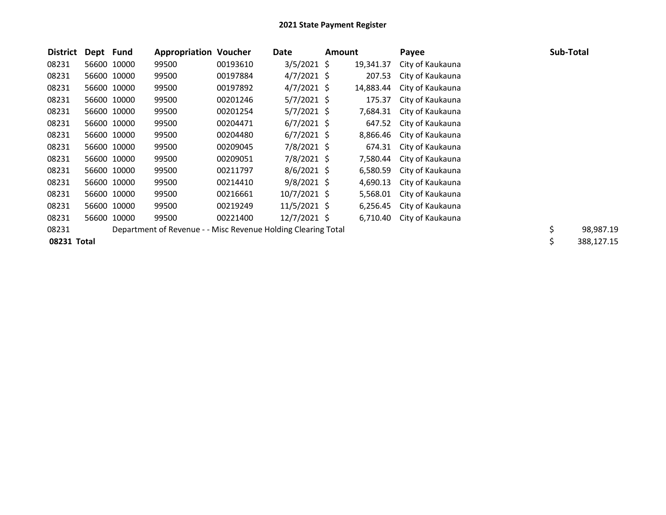| <b>District</b> | Dept Fund |             | <b>Appropriation Voucher</b>                                  |          | Date           | Amount |           | Payee            | Sub-Total       |
|-----------------|-----------|-------------|---------------------------------------------------------------|----------|----------------|--------|-----------|------------------|-----------------|
| 08231           |           | 56600 10000 | 99500                                                         | 00193610 | $3/5/2021$ \$  |        | 19,341.37 | City of Kaukauna |                 |
| 08231           |           | 56600 10000 | 99500                                                         | 00197884 | $4/7/2021$ \$  |        | 207.53    | City of Kaukauna |                 |
| 08231           |           | 56600 10000 | 99500                                                         | 00197892 | $4/7/2021$ \$  |        | 14,883.44 | City of Kaukauna |                 |
| 08231           |           | 56600 10000 | 99500                                                         | 00201246 | $5/7/2021$ \$  |        | 175.37    | City of Kaukauna |                 |
| 08231           |           | 56600 10000 | 99500                                                         | 00201254 | $5/7/2021$ \$  |        | 7,684.31  | City of Kaukauna |                 |
| 08231           |           | 56600 10000 | 99500                                                         | 00204471 | $6/7/2021$ \$  |        | 647.52    | City of Kaukauna |                 |
| 08231           |           | 56600 10000 | 99500                                                         | 00204480 | $6/7/2021$ \$  |        | 8,866.46  | City of Kaukauna |                 |
| 08231           |           | 56600 10000 | 99500                                                         | 00209045 | $7/8/2021$ \$  |        | 674.31    | City of Kaukauna |                 |
| 08231           |           | 56600 10000 | 99500                                                         | 00209051 | $7/8/2021$ \$  |        | 7,580.44  | City of Kaukauna |                 |
| 08231           |           | 56600 10000 | 99500                                                         | 00211797 | $8/6/2021$ \$  |        | 6,580.59  | City of Kaukauna |                 |
| 08231           |           | 56600 10000 | 99500                                                         | 00214410 | $9/8/2021$ \$  |        | 4,690.13  | City of Kaukauna |                 |
| 08231           |           | 56600 10000 | 99500                                                         | 00216661 | $10/7/2021$ \$ |        | 5,568.01  | City of Kaukauna |                 |
| 08231           |           | 56600 10000 | 99500                                                         | 00219249 | $11/5/2021$ \$ |        | 6,256.45  | City of Kaukauna |                 |
| 08231           | 56600     | 10000       | 99500                                                         | 00221400 | $12/7/2021$ \$ |        | 6,710.40  | City of Kaukauna |                 |
| 08231           |           |             | Department of Revenue - - Misc Revenue Holding Clearing Total |          |                |        |           |                  | \$<br>98,987.19 |
| 08231 Total     |           |             |                                                               |          |                |        |           |                  | 388,127.15      |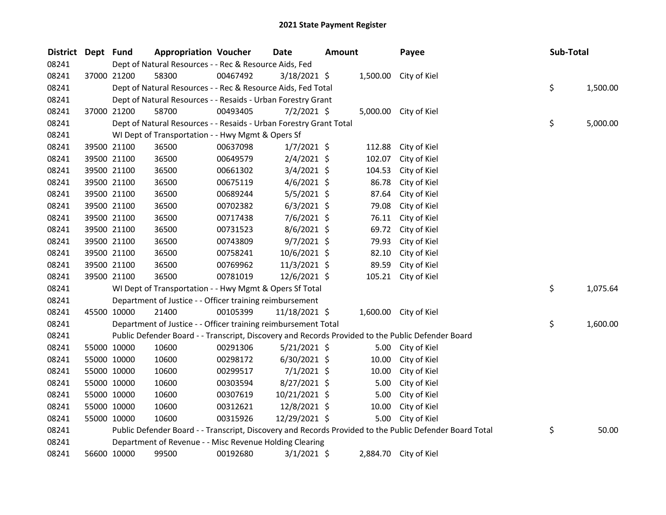| District | Dept Fund |             | <b>Appropriation Voucher</b>                                       |          | Date           | <b>Amount</b> |        | Payee                                                                                                   | Sub-Total |          |
|----------|-----------|-------------|--------------------------------------------------------------------|----------|----------------|---------------|--------|---------------------------------------------------------------------------------------------------------|-----------|----------|
| 08241    |           |             | Dept of Natural Resources - - Rec & Resource Aids, Fed             |          |                |               |        |                                                                                                         |           |          |
| 08241    |           | 37000 21200 | 58300                                                              | 00467492 | $3/18/2021$ \$ |               |        | 1,500.00 City of Kiel                                                                                   |           |          |
| 08241    |           |             | Dept of Natural Resources - - Rec & Resource Aids, Fed Total       |          |                |               |        |                                                                                                         | \$        | 1,500.00 |
| 08241    |           |             | Dept of Natural Resources - - Resaids - Urban Forestry Grant       |          |                |               |        |                                                                                                         |           |          |
| 08241    |           | 37000 21200 | 58700                                                              | 00493405 | $7/2/2021$ \$  |               |        | 5,000.00 City of Kiel                                                                                   |           |          |
| 08241    |           |             | Dept of Natural Resources - - Resaids - Urban Forestry Grant Total |          |                |               |        |                                                                                                         | \$        | 5,000.00 |
| 08241    |           |             | WI Dept of Transportation - - Hwy Mgmt & Opers Sf                  |          |                |               |        |                                                                                                         |           |          |
| 08241    |           | 39500 21100 | 36500                                                              | 00637098 | $1/7/2021$ \$  |               | 112.88 | City of Kiel                                                                                            |           |          |
| 08241    |           | 39500 21100 | 36500                                                              | 00649579 | $2/4/2021$ \$  |               | 102.07 | City of Kiel                                                                                            |           |          |
| 08241    |           | 39500 21100 | 36500                                                              | 00661302 | $3/4/2021$ \$  |               | 104.53 | City of Kiel                                                                                            |           |          |
| 08241    |           | 39500 21100 | 36500                                                              | 00675119 | $4/6/2021$ \$  |               | 86.78  | City of Kiel                                                                                            |           |          |
| 08241    |           | 39500 21100 | 36500                                                              | 00689244 | 5/5/2021 \$    |               | 87.64  | City of Kiel                                                                                            |           |          |
| 08241    |           | 39500 21100 | 36500                                                              | 00702382 | $6/3/2021$ \$  |               | 79.08  | City of Kiel                                                                                            |           |          |
| 08241    |           | 39500 21100 | 36500                                                              | 00717438 | 7/6/2021 \$    |               | 76.11  | City of Kiel                                                                                            |           |          |
| 08241    |           | 39500 21100 | 36500                                                              | 00731523 | $8/6/2021$ \$  |               | 69.72  | City of Kiel                                                                                            |           |          |
| 08241    |           | 39500 21100 | 36500                                                              | 00743809 | $9/7/2021$ \$  |               | 79.93  | City of Kiel                                                                                            |           |          |
| 08241    |           | 39500 21100 | 36500                                                              | 00758241 | 10/6/2021 \$   |               | 82.10  | City of Kiel                                                                                            |           |          |
| 08241    |           | 39500 21100 | 36500                                                              | 00769962 | 11/3/2021 \$   |               | 89.59  | City of Kiel                                                                                            |           |          |
| 08241    |           | 39500 21100 | 36500                                                              | 00781019 | 12/6/2021 \$   |               |        | 105.21 City of Kiel                                                                                     |           |          |
| 08241    |           |             | WI Dept of Transportation - - Hwy Mgmt & Opers Sf Total            |          |                |               |        |                                                                                                         | \$        | 1,075.64 |
| 08241    |           |             | Department of Justice - - Officer training reimbursement           |          |                |               |        |                                                                                                         |           |          |
| 08241    |           | 45500 10000 | 21400                                                              | 00105399 | 11/18/2021 \$  |               |        | 1,600.00 City of Kiel                                                                                   |           |          |
| 08241    |           |             | Department of Justice - - Officer training reimbursement Total     |          |                |               |        |                                                                                                         | \$        | 1,600.00 |
| 08241    |           |             |                                                                    |          |                |               |        | Public Defender Board - - Transcript, Discovery and Records Provided to the Public Defender Board       |           |          |
| 08241    |           | 55000 10000 | 10600                                                              | 00291306 | $5/21/2021$ \$ |               | 5.00   | City of Kiel                                                                                            |           |          |
| 08241    |           | 55000 10000 | 10600                                                              | 00298172 | $6/30/2021$ \$ |               | 10.00  | City of Kiel                                                                                            |           |          |
| 08241    |           | 55000 10000 | 10600                                                              | 00299517 | $7/1/2021$ \$  |               | 10.00  | City of Kiel                                                                                            |           |          |
| 08241    |           | 55000 10000 | 10600                                                              | 00303594 | $8/27/2021$ \$ |               | 5.00   | City of Kiel                                                                                            |           |          |
| 08241    |           | 55000 10000 | 10600                                                              | 00307619 | 10/21/2021 \$  |               | 5.00   | City of Kiel                                                                                            |           |          |
| 08241    |           | 55000 10000 | 10600                                                              | 00312621 | 12/8/2021 \$   |               | 10.00  | City of Kiel                                                                                            |           |          |
| 08241    |           | 55000 10000 | 10600                                                              | 00315926 | 12/29/2021 \$  |               | 5.00   | City of Kiel                                                                                            |           |          |
| 08241    |           |             |                                                                    |          |                |               |        | Public Defender Board - - Transcript, Discovery and Records Provided to the Public Defender Board Total | \$        | 50.00    |
| 08241    |           |             | Department of Revenue - - Misc Revenue Holding Clearing            |          |                |               |        |                                                                                                         |           |          |
| 08241    |           | 56600 10000 | 99500                                                              | 00192680 | $3/1/2021$ \$  |               |        | 2,884.70 City of Kiel                                                                                   |           |          |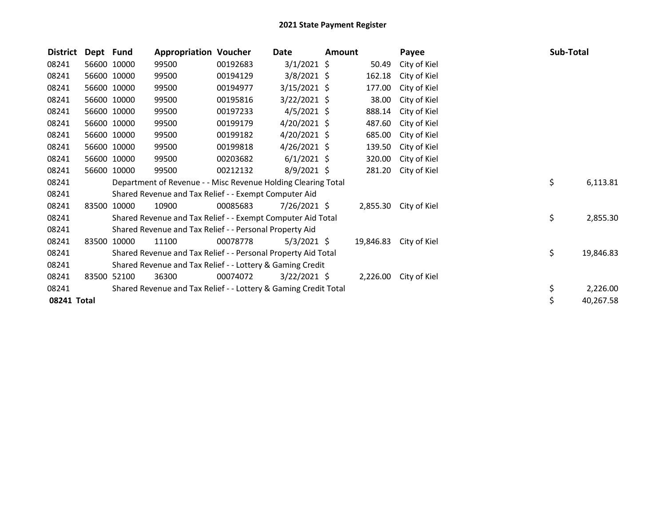| <b>District</b> | Dept Fund |             | <b>Appropriation Voucher</b>                                    |          | Date           | <b>Amount</b> |           | Payee                 | Sub-Total |           |
|-----------------|-----------|-------------|-----------------------------------------------------------------|----------|----------------|---------------|-----------|-----------------------|-----------|-----------|
| 08241           |           | 56600 10000 | 99500                                                           | 00192683 | $3/1/2021$ \$  |               | 50.49     | City of Kiel          |           |           |
| 08241           |           | 56600 10000 | 99500                                                           | 00194129 | $3/8/2021$ \$  |               | 162.18    | City of Kiel          |           |           |
| 08241           |           | 56600 10000 | 99500                                                           | 00194977 | $3/15/2021$ \$ |               | 177.00    | City of Kiel          |           |           |
| 08241           |           | 56600 10000 | 99500                                                           | 00195816 | $3/22/2021$ \$ |               | 38.00     | City of Kiel          |           |           |
| 08241           |           | 56600 10000 | 99500                                                           | 00197233 | $4/5/2021$ \$  |               | 888.14    | City of Kiel          |           |           |
| 08241           |           | 56600 10000 | 99500                                                           | 00199179 | $4/20/2021$ \$ |               | 487.60    | City of Kiel          |           |           |
| 08241           |           | 56600 10000 | 99500                                                           | 00199182 | $4/20/2021$ \$ |               | 685.00    | City of Kiel          |           |           |
| 08241           |           | 56600 10000 | 99500                                                           | 00199818 | $4/26/2021$ \$ |               | 139.50    | City of Kiel          |           |           |
| 08241           |           | 56600 10000 | 99500                                                           | 00203682 | $6/1/2021$ \$  |               | 320.00    | City of Kiel          |           |           |
| 08241           |           | 56600 10000 | 99500                                                           | 00212132 | 8/9/2021 \$    |               | 281.20    | City of Kiel          |           |           |
| 08241           |           |             | Department of Revenue - - Misc Revenue Holding Clearing Total   |          |                |               |           |                       | \$        | 6,113.81  |
| 08241           |           |             | Shared Revenue and Tax Relief - - Exempt Computer Aid           |          |                |               |           |                       |           |           |
| 08241           | 83500     | 10000       | 10900                                                           | 00085683 | $7/26/2021$ \$ |               |           | 2,855.30 City of Kiel |           |           |
| 08241           |           |             | Shared Revenue and Tax Relief - - Exempt Computer Aid Total     |          |                |               |           |                       | \$        | 2,855.30  |
| 08241           |           |             | Shared Revenue and Tax Relief - - Personal Property Aid         |          |                |               |           |                       |           |           |
| 08241           | 83500     | 10000       | 11100                                                           | 00078778 | 5/3/2021 \$    |               | 19,846.83 | City of Kiel          |           |           |
| 08241           |           |             | Shared Revenue and Tax Relief - - Personal Property Aid Total   |          |                |               |           |                       | \$        | 19,846.83 |
| 08241           |           |             | Shared Revenue and Tax Relief - - Lottery & Gaming Credit       |          |                |               |           |                       |           |           |
| 08241           | 83500     | 52100       | 36300                                                           | 00074072 | $3/22/2021$ \$ |               | 2,226.00  | City of Kiel          |           |           |
| 08241           |           |             | Shared Revenue and Tax Relief - - Lottery & Gaming Credit Total |          |                |               |           |                       | \$        | 2,226.00  |
| 08241 Total     |           |             |                                                                 |          |                |               |           |                       | \$        | 40,267.58 |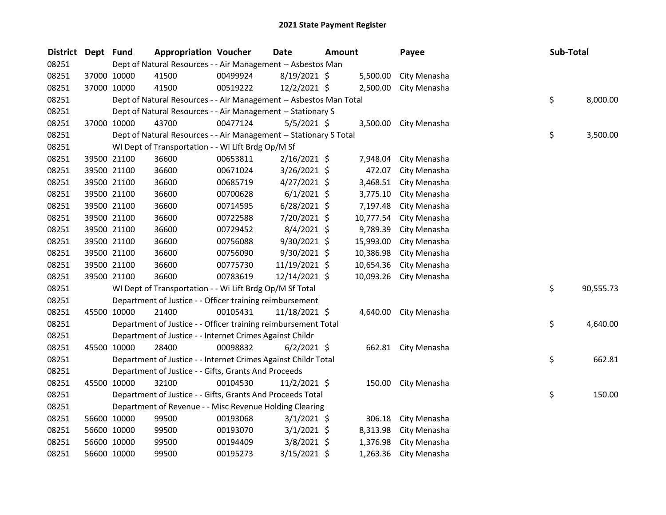| <b>District</b> | Dept Fund |             | <b>Appropriation Voucher</b>                                       |          | <b>Date</b>    | Amount |           | Payee               | Sub-Total |           |
|-----------------|-----------|-------------|--------------------------------------------------------------------|----------|----------------|--------|-----------|---------------------|-----------|-----------|
| 08251           |           |             | Dept of Natural Resources - - Air Management -- Asbestos Man       |          |                |        |           |                     |           |           |
| 08251           |           | 37000 10000 | 41500                                                              | 00499924 | 8/19/2021 \$   |        | 5,500.00  | City Menasha        |           |           |
| 08251           |           | 37000 10000 | 41500                                                              | 00519222 | 12/2/2021 \$   |        | 2,500.00  | City Menasha        |           |           |
| 08251           |           |             | Dept of Natural Resources - - Air Management -- Asbestos Man Total |          |                |        |           |                     | \$        | 8,000.00  |
| 08251           |           |             | Dept of Natural Resources - - Air Management -- Stationary S       |          |                |        |           |                     |           |           |
| 08251           |           | 37000 10000 | 43700                                                              | 00477124 | $5/5/2021$ \$  |        | 3,500.00  | City Menasha        |           |           |
| 08251           |           |             | Dept of Natural Resources - - Air Management -- Stationary S Total |          |                |        |           |                     | \$        | 3,500.00  |
| 08251           |           |             | WI Dept of Transportation - - Wi Lift Brdg Op/M Sf                 |          |                |        |           |                     |           |           |
| 08251           |           | 39500 21100 | 36600                                                              | 00653811 | $2/16/2021$ \$ |        | 7,948.04  | City Menasha        |           |           |
| 08251           |           | 39500 21100 | 36600                                                              | 00671024 | 3/26/2021 \$   |        | 472.07    | City Menasha        |           |           |
| 08251           |           | 39500 21100 | 36600                                                              | 00685719 | $4/27/2021$ \$ |        | 3,468.51  | City Menasha        |           |           |
| 08251           |           | 39500 21100 | 36600                                                              | 00700628 | $6/1/2021$ \$  |        | 3,775.10  | City Menasha        |           |           |
| 08251           |           | 39500 21100 | 36600                                                              | 00714595 | $6/28/2021$ \$ |        | 7,197.48  | City Menasha        |           |           |
| 08251           |           | 39500 21100 | 36600                                                              | 00722588 | 7/20/2021 \$   |        | 10,777.54 | City Menasha        |           |           |
| 08251           |           | 39500 21100 | 36600                                                              | 00729452 | $8/4/2021$ \$  |        | 9,789.39  | City Menasha        |           |           |
| 08251           |           | 39500 21100 | 36600                                                              | 00756088 | 9/30/2021 \$   |        | 15,993.00 | City Menasha        |           |           |
| 08251           |           | 39500 21100 | 36600                                                              | 00756090 | 9/30/2021 \$   |        | 10,386.98 | City Menasha        |           |           |
| 08251           |           | 39500 21100 | 36600                                                              | 00775730 | 11/19/2021 \$  |        | 10,654.36 | City Menasha        |           |           |
| 08251           |           | 39500 21100 | 36600                                                              | 00783619 | 12/14/2021 \$  |        | 10,093.26 | City Menasha        |           |           |
| 08251           |           |             | WI Dept of Transportation - - Wi Lift Brdg Op/M Sf Total           |          |                |        |           |                     | \$        | 90,555.73 |
| 08251           |           |             | Department of Justice - - Officer training reimbursement           |          |                |        |           |                     |           |           |
| 08251           |           | 45500 10000 | 21400                                                              | 00105431 | 11/18/2021 \$  |        | 4,640.00  | City Menasha        |           |           |
| 08251           |           |             | Department of Justice - - Officer training reimbursement Total     |          |                |        |           |                     | \$        | 4,640.00  |
| 08251           |           |             | Department of Justice - - Internet Crimes Against Childr           |          |                |        |           |                     |           |           |
| 08251           |           | 45500 10000 | 28400                                                              | 00098832 | $6/2/2021$ \$  |        |           | 662.81 City Menasha |           |           |
| 08251           |           |             | Department of Justice - - Internet Crimes Against Childr Total     |          |                |        |           |                     | \$        | 662.81    |
| 08251           |           |             | Department of Justice - - Gifts, Grants And Proceeds               |          |                |        |           |                     |           |           |
| 08251           |           | 45500 10000 | 32100                                                              | 00104530 | $11/2/2021$ \$ |        | 150.00    | City Menasha        |           |           |
| 08251           |           |             | Department of Justice - - Gifts, Grants And Proceeds Total         |          |                |        |           |                     | \$        | 150.00    |
| 08251           |           |             | Department of Revenue - - Misc Revenue Holding Clearing            |          |                |        |           |                     |           |           |
| 08251           |           | 56600 10000 | 99500                                                              | 00193068 | $3/1/2021$ \$  |        | 306.18    | City Menasha        |           |           |
| 08251           |           | 56600 10000 | 99500                                                              | 00193070 | $3/1/2021$ \$  |        | 8,313.98  | City Menasha        |           |           |
| 08251           |           | 56600 10000 | 99500                                                              | 00194409 | $3/8/2021$ \$  |        | 1,376.98  | City Menasha        |           |           |
| 08251           |           | 56600 10000 | 99500                                                              | 00195273 | $3/15/2021$ \$ |        | 1,263.36  | City Menasha        |           |           |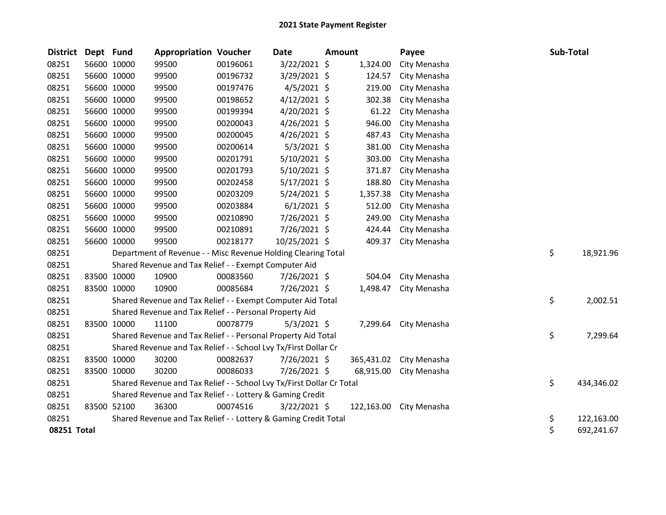| <b>District</b> | Dept Fund   |             | <b>Appropriation Voucher</b>                                          |          | Date           | <b>Amount</b> |            | Payee        | Sub-Total |            |
|-----------------|-------------|-------------|-----------------------------------------------------------------------|----------|----------------|---------------|------------|--------------|-----------|------------|
| 08251           | 56600 10000 |             | 99500                                                                 | 00196061 | 3/22/2021 \$   |               | 1,324.00   | City Menasha |           |            |
| 08251           |             | 56600 10000 | 99500                                                                 | 00196732 | 3/29/2021 \$   |               | 124.57     | City Menasha |           |            |
| 08251           | 56600 10000 |             | 99500                                                                 | 00197476 | $4/5/2021$ \$  |               | 219.00     | City Menasha |           |            |
| 08251           | 56600 10000 |             | 99500                                                                 | 00198652 | $4/12/2021$ \$ |               | 302.38     | City Menasha |           |            |
| 08251           | 56600 10000 |             | 99500                                                                 | 00199394 | $4/20/2021$ \$ |               | 61.22      | City Menasha |           |            |
| 08251           |             | 56600 10000 | 99500                                                                 | 00200043 | $4/26/2021$ \$ |               | 946.00     | City Menasha |           |            |
| 08251           | 56600 10000 |             | 99500                                                                 | 00200045 | $4/26/2021$ \$ |               | 487.43     | City Menasha |           |            |
| 08251           | 56600 10000 |             | 99500                                                                 | 00200614 | $5/3/2021$ \$  |               | 381.00     | City Menasha |           |            |
| 08251           | 56600 10000 |             | 99500                                                                 | 00201791 | $5/10/2021$ \$ |               | 303.00     | City Menasha |           |            |
| 08251           | 56600 10000 |             | 99500                                                                 | 00201793 | $5/10/2021$ \$ |               | 371.87     | City Menasha |           |            |
| 08251           | 56600 10000 |             | 99500                                                                 | 00202458 | 5/17/2021 \$   |               | 188.80     | City Menasha |           |            |
| 08251           | 56600 10000 |             | 99500                                                                 | 00203209 | 5/24/2021 \$   |               | 1,357.38   | City Menasha |           |            |
| 08251           | 56600 10000 |             | 99500                                                                 | 00203884 | $6/1/2021$ \$  |               | 512.00     | City Menasha |           |            |
| 08251           | 56600 10000 |             | 99500                                                                 | 00210890 | 7/26/2021 \$   |               | 249.00     | City Menasha |           |            |
| 08251           | 56600 10000 |             | 99500                                                                 | 00210891 | 7/26/2021 \$   |               | 424.44     | City Menasha |           |            |
| 08251           | 56600 10000 |             | 99500                                                                 | 00218177 | 10/25/2021 \$  |               | 409.37     | City Menasha |           |            |
| 08251           |             |             | Department of Revenue - - Misc Revenue Holding Clearing Total         |          |                |               |            |              | \$        | 18,921.96  |
| 08251           |             |             | Shared Revenue and Tax Relief - - Exempt Computer Aid                 |          |                |               |            |              |           |            |
| 08251           |             | 83500 10000 | 10900                                                                 | 00083560 | 7/26/2021 \$   |               | 504.04     | City Menasha |           |            |
| 08251           |             | 83500 10000 | 10900                                                                 | 00085684 | 7/26/2021 \$   |               | 1,498.47   | City Menasha |           |            |
| 08251           |             |             | Shared Revenue and Tax Relief - - Exempt Computer Aid Total           |          |                |               |            |              | \$        | 2,002.51   |
| 08251           |             |             | Shared Revenue and Tax Relief - - Personal Property Aid               |          |                |               |            |              |           |            |
| 08251           |             | 83500 10000 | 11100                                                                 | 00078779 | $5/3/2021$ \$  |               | 7,299.64   | City Menasha |           |            |
| 08251           |             |             | Shared Revenue and Tax Relief - - Personal Property Aid Total         |          |                |               |            |              | \$        | 7,299.64   |
| 08251           |             |             | Shared Revenue and Tax Relief - - School Lvy Tx/First Dollar Cr       |          |                |               |            |              |           |            |
| 08251           |             | 83500 10000 | 30200                                                                 | 00082637 | 7/26/2021 \$   |               | 365,431.02 | City Menasha |           |            |
| 08251           | 83500 10000 |             | 30200                                                                 | 00086033 | 7/26/2021 \$   |               | 68,915.00  | City Menasha |           |            |
| 08251           |             |             | Shared Revenue and Tax Relief - - School Lvy Tx/First Dollar Cr Total |          |                |               |            |              | \$        | 434,346.02 |
| 08251           |             |             | Shared Revenue and Tax Relief - - Lottery & Gaming Credit             |          |                |               |            |              |           |            |
| 08251           | 83500 52100 |             | 36300                                                                 | 00074516 | $3/22/2021$ \$ |               | 122,163.00 | City Menasha |           |            |
| 08251           |             |             | Shared Revenue and Tax Relief - - Lottery & Gaming Credit Total       |          |                |               |            |              | \$        | 122,163.00 |
| 08251 Total     |             |             |                                                                       |          |                |               |            |              | \$        | 692,241.67 |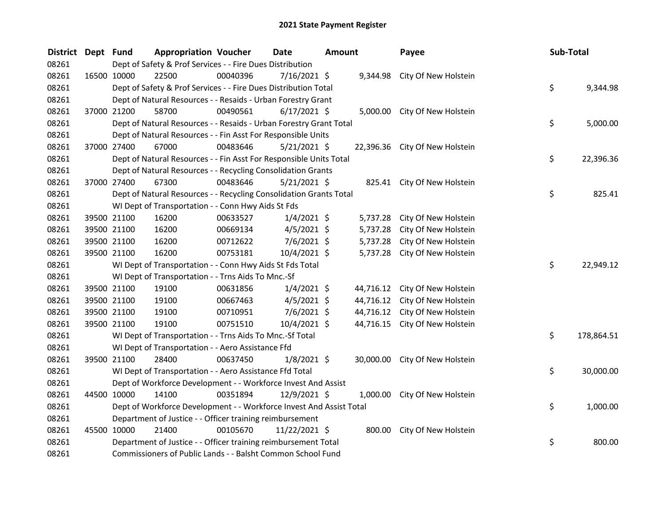| <b>District</b> | Dept Fund |             | <b>Appropriation Voucher</b>                                        |          | <b>Date</b>    | <b>Amount</b> |           | Payee                          | Sub-Total |            |
|-----------------|-----------|-------------|---------------------------------------------------------------------|----------|----------------|---------------|-----------|--------------------------------|-----------|------------|
| 08261           |           |             | Dept of Safety & Prof Services - - Fire Dues Distribution           |          |                |               |           |                                |           |            |
| 08261           |           | 16500 10000 | 22500                                                               | 00040396 | 7/16/2021 \$   |               | 9,344.98  | City Of New Holstein           |           |            |
| 08261           |           |             | Dept of Safety & Prof Services - - Fire Dues Distribution Total     |          |                |               |           |                                | \$        | 9,344.98   |
| 08261           |           |             | Dept of Natural Resources - - Resaids - Urban Forestry Grant        |          |                |               |           |                                |           |            |
| 08261           |           | 37000 21200 | 58700                                                               | 00490561 | $6/17/2021$ \$ |               |           | 5,000.00 City Of New Holstein  |           |            |
| 08261           |           |             | Dept of Natural Resources - - Resaids - Urban Forestry Grant Total  |          |                |               |           |                                | \$        | 5,000.00   |
| 08261           |           |             | Dept of Natural Resources - - Fin Asst For Responsible Units        |          |                |               |           |                                |           |            |
| 08261           |           | 37000 27400 | 67000                                                               | 00483646 | $5/21/2021$ \$ |               |           | 22,396.36 City Of New Holstein |           |            |
| 08261           |           |             | Dept of Natural Resources - - Fin Asst For Responsible Units Total  |          |                |               |           |                                | \$        | 22,396.36  |
| 08261           |           |             | Dept of Natural Resources - - Recycling Consolidation Grants        |          |                |               |           |                                |           |            |
| 08261           |           | 37000 27400 | 67300                                                               | 00483646 | $5/21/2021$ \$ |               |           | 825.41 City Of New Holstein    |           |            |
| 08261           |           |             | Dept of Natural Resources - - Recycling Consolidation Grants Total  |          |                |               |           |                                | \$        | 825.41     |
| 08261           |           |             | WI Dept of Transportation - - Conn Hwy Aids St Fds                  |          |                |               |           |                                |           |            |
| 08261           |           | 39500 21100 | 16200                                                               | 00633527 | $1/4/2021$ \$  |               | 5,737.28  | City Of New Holstein           |           |            |
| 08261           |           | 39500 21100 | 16200                                                               | 00669134 | $4/5/2021$ \$  |               | 5,737.28  | City Of New Holstein           |           |            |
| 08261           |           | 39500 21100 | 16200                                                               | 00712622 | $7/6/2021$ \$  |               | 5,737.28  | City Of New Holstein           |           |            |
| 08261           |           | 39500 21100 | 16200                                                               | 00753181 | 10/4/2021 \$   |               | 5,737.28  | City Of New Holstein           |           |            |
| 08261           |           |             | WI Dept of Transportation - - Conn Hwy Aids St Fds Total            |          |                |               |           |                                | \$        | 22,949.12  |
| 08261           |           |             | WI Dept of Transportation - - Trns Aids To Mnc.-Sf                  |          |                |               |           |                                |           |            |
| 08261           |           | 39500 21100 | 19100                                                               | 00631856 | $1/4/2021$ \$  |               | 44,716.12 | City Of New Holstein           |           |            |
| 08261           |           | 39500 21100 | 19100                                                               | 00667463 | $4/5/2021$ \$  |               | 44,716.12 | City Of New Holstein           |           |            |
| 08261           |           | 39500 21100 | 19100                                                               | 00710951 | $7/6/2021$ \$  |               | 44,716.12 | City Of New Holstein           |           |            |
| 08261           |           | 39500 21100 | 19100                                                               | 00751510 | 10/4/2021 \$   |               | 44,716.15 | City Of New Holstein           |           |            |
| 08261           |           |             | WI Dept of Transportation - - Trns Aids To Mnc.-Sf Total            |          |                |               |           |                                | \$        | 178,864.51 |
| 08261           |           |             | WI Dept of Transportation - - Aero Assistance Ffd                   |          |                |               |           |                                |           |            |
| 08261           |           | 39500 21100 | 28400                                                               | 00637450 | $1/8/2021$ \$  |               |           | 30,000.00 City Of New Holstein |           |            |
| 08261           |           |             | WI Dept of Transportation - - Aero Assistance Ffd Total             |          |                |               |           |                                | \$        | 30,000.00  |
| 08261           |           |             | Dept of Workforce Development - - Workforce Invest And Assist       |          |                |               |           |                                |           |            |
| 08261           |           | 44500 10000 | 14100                                                               | 00351894 | 12/9/2021 \$   |               | 1,000.00  | City Of New Holstein           |           |            |
| 08261           |           |             | Dept of Workforce Development - - Workforce Invest And Assist Total |          |                |               |           |                                | \$        | 1,000.00   |
| 08261           |           |             | Department of Justice - - Officer training reimbursement            |          |                |               |           |                                |           |            |
| 08261           |           | 45500 10000 | 21400                                                               | 00105670 | 11/22/2021 \$  |               | 800.00    | City Of New Holstein           |           |            |
| 08261           |           |             | Department of Justice - - Officer training reimbursement Total      |          |                |               |           |                                | \$        | 800.00     |
| 08261           |           |             | Commissioners of Public Lands - - Balsht Common School Fund         |          |                |               |           |                                |           |            |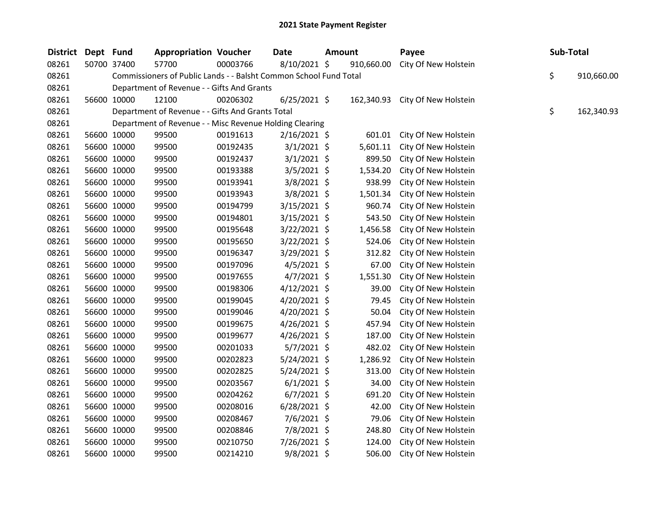| <b>District</b> | Dept Fund |             | <b>Appropriation Voucher</b>                                      |          | Date           | <b>Amount</b> |            | Payee                           | Sub-Total |            |
|-----------------|-----------|-------------|-------------------------------------------------------------------|----------|----------------|---------------|------------|---------------------------------|-----------|------------|
| 08261           |           | 50700 37400 | 57700                                                             | 00003766 | 8/10/2021 \$   |               | 910,660.00 | City Of New Holstein            |           |            |
| 08261           |           |             | Commissioners of Public Lands - - Balsht Common School Fund Total |          |                |               |            |                                 | \$        | 910,660.00 |
| 08261           |           |             | Department of Revenue - - Gifts And Grants                        |          |                |               |            |                                 |           |            |
| 08261           |           | 56600 10000 | 12100                                                             | 00206302 | $6/25/2021$ \$ |               |            | 162,340.93 City Of New Holstein |           |            |
| 08261           |           |             | Department of Revenue - - Gifts And Grants Total                  |          |                |               |            |                                 | \$        | 162,340.93 |
| 08261           |           |             | Department of Revenue - - Misc Revenue Holding Clearing           |          |                |               |            |                                 |           |            |
| 08261           |           | 56600 10000 | 99500                                                             | 00191613 | $2/16/2021$ \$ |               | 601.01     | City Of New Holstein            |           |            |
| 08261           |           | 56600 10000 | 99500                                                             | 00192435 | $3/1/2021$ \$  |               | 5,601.11   | City Of New Holstein            |           |            |
| 08261           |           | 56600 10000 | 99500                                                             | 00192437 | $3/1/2021$ \$  |               | 899.50     | City Of New Holstein            |           |            |
| 08261           |           | 56600 10000 | 99500                                                             | 00193388 | $3/5/2021$ \$  |               | 1,534.20   | City Of New Holstein            |           |            |
| 08261           |           | 56600 10000 | 99500                                                             | 00193941 | $3/8/2021$ \$  |               | 938.99     | City Of New Holstein            |           |            |
| 08261           |           | 56600 10000 | 99500                                                             | 00193943 | $3/8/2021$ \$  |               | 1,501.34   | City Of New Holstein            |           |            |
| 08261           |           | 56600 10000 | 99500                                                             | 00194799 | $3/15/2021$ \$ |               | 960.74     | City Of New Holstein            |           |            |
| 08261           |           | 56600 10000 | 99500                                                             | 00194801 | $3/15/2021$ \$ |               | 543.50     | City Of New Holstein            |           |            |
| 08261           |           | 56600 10000 | 99500                                                             | 00195648 | 3/22/2021 \$   |               | 1,456.58   | City Of New Holstein            |           |            |
| 08261           |           | 56600 10000 | 99500                                                             | 00195650 | $3/22/2021$ \$ |               | 524.06     | City Of New Holstein            |           |            |
| 08261           |           | 56600 10000 | 99500                                                             | 00196347 | $3/29/2021$ \$ |               | 312.82     | City Of New Holstein            |           |            |
| 08261           |           | 56600 10000 | 99500                                                             | 00197096 | $4/5/2021$ \$  |               | 67.00      | City Of New Holstein            |           |            |
| 08261           |           | 56600 10000 | 99500                                                             | 00197655 | $4/7/2021$ \$  |               | 1,551.30   | City Of New Holstein            |           |            |
| 08261           |           | 56600 10000 | 99500                                                             | 00198306 | $4/12/2021$ \$ |               | 39.00      | City Of New Holstein            |           |            |
| 08261           |           | 56600 10000 | 99500                                                             | 00199045 | $4/20/2021$ \$ |               | 79.45      | City Of New Holstein            |           |            |
| 08261           |           | 56600 10000 | 99500                                                             | 00199046 | $4/20/2021$ \$ |               | 50.04      | City Of New Holstein            |           |            |
| 08261           |           | 56600 10000 | 99500                                                             | 00199675 | $4/26/2021$ \$ |               | 457.94     | City Of New Holstein            |           |            |
| 08261           |           | 56600 10000 | 99500                                                             | 00199677 | $4/26/2021$ \$ |               | 187.00     | City Of New Holstein            |           |            |
| 08261           |           | 56600 10000 | 99500                                                             | 00201033 | $5/7/2021$ \$  |               | 482.02     | City Of New Holstein            |           |            |
| 08261           |           | 56600 10000 | 99500                                                             | 00202823 | 5/24/2021 \$   |               | 1,286.92   | City Of New Holstein            |           |            |
| 08261           |           | 56600 10000 | 99500                                                             | 00202825 | $5/24/2021$ \$ |               | 313.00     | City Of New Holstein            |           |            |
| 08261           |           | 56600 10000 | 99500                                                             | 00203567 | $6/1/2021$ \$  |               | 34.00      | City Of New Holstein            |           |            |
| 08261           |           | 56600 10000 | 99500                                                             | 00204262 | $6/7/2021$ \$  |               | 691.20     | City Of New Holstein            |           |            |
| 08261           |           | 56600 10000 | 99500                                                             | 00208016 | $6/28/2021$ \$ |               | 42.00      | City Of New Holstein            |           |            |
| 08261           |           | 56600 10000 | 99500                                                             | 00208467 | $7/6/2021$ \$  |               | 79.06      | City Of New Holstein            |           |            |
| 08261           |           | 56600 10000 | 99500                                                             | 00208846 | 7/8/2021 \$    |               | 248.80     | City Of New Holstein            |           |            |
| 08261           |           | 56600 10000 | 99500                                                             | 00210750 | 7/26/2021 \$   |               | 124.00     | City Of New Holstein            |           |            |
| 08261           |           | 56600 10000 | 99500                                                             | 00214210 | 9/8/2021 \$    |               | 506.00     | City Of New Holstein            |           |            |